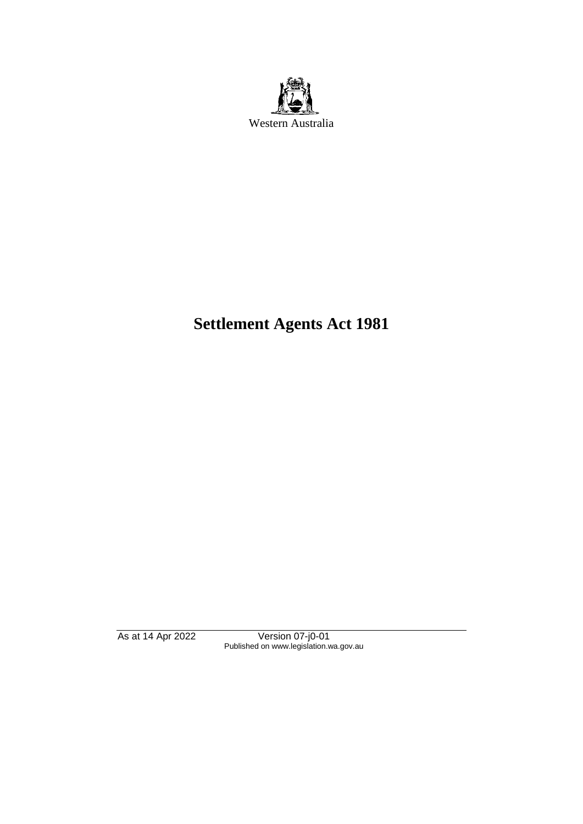

# **Settlement Agents Act 1981**

As at 14 Apr 2022 Version 07-j0-01 Published on www.legislation.wa.gov.au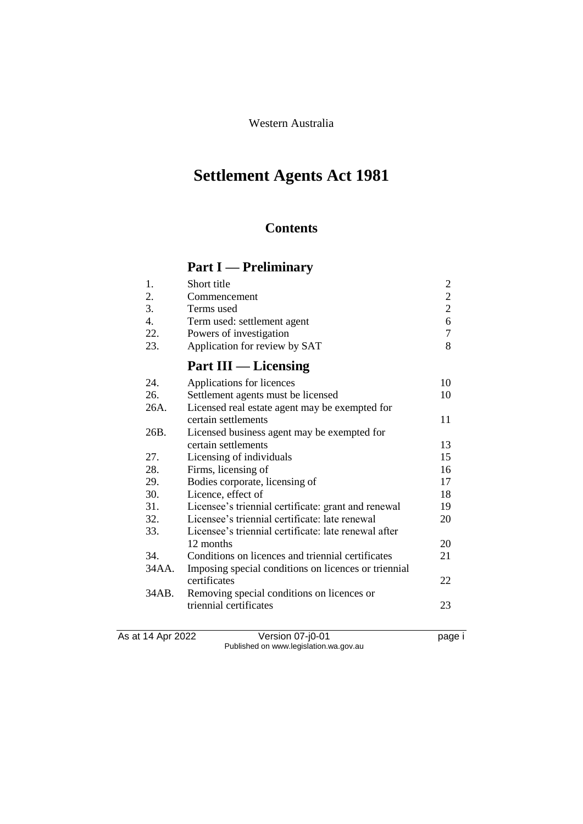# **Settlement Agents Act 1981**

## **Contents**

# **Part I — Preliminary**

|     | Short title                   |    |
|-----|-------------------------------|----|
| 2.  | Commencement                  |    |
| 3.  | Terms used                    |    |
| 4.  | Term used: settlement agent   | 6. |
| 22. | Powers of investigation       |    |
| 23. | Application for review by SAT |    |

# **Part III — Licensing**

| 24.   | Applications for licences                            | 10 |
|-------|------------------------------------------------------|----|
| 26.   | Settlement agents must be licensed                   | 10 |
| 26A.  | Licensed real estate agent may be exempted for       |    |
|       | certain settlements                                  | 11 |
| 26B.  | Licensed business agent may be exempted for          |    |
|       | certain settlements                                  | 13 |
| 27.   | Licensing of individuals                             | 15 |
| 28.   | Firms, licensing of                                  | 16 |
| 29.   | Bodies corporate, licensing of                       | 17 |
| 30.   | Licence, effect of                                   | 18 |
| 31.   | Licensee's triennial certificate: grant and renewal  | 19 |
| 32.   | Licensee's triennial certificate: late renewal       | 20 |
| 33.   | Licensee's triennial certificate: late renewal after |    |
|       | 12 months                                            | 20 |
| 34.   | Conditions on licences and triennial certificates    | 21 |
| 34AA. | Imposing special conditions on licences or triennial |    |
|       | certificates                                         | 22 |
| 34AB. | Removing special conditions on licences or           |    |
|       | triennial certificates                               | 23 |
|       |                                                      |    |
|       |                                                      |    |

As at 14 Apr 2022 Version 07-j0-01 page i Published on www.legislation.wa.gov.au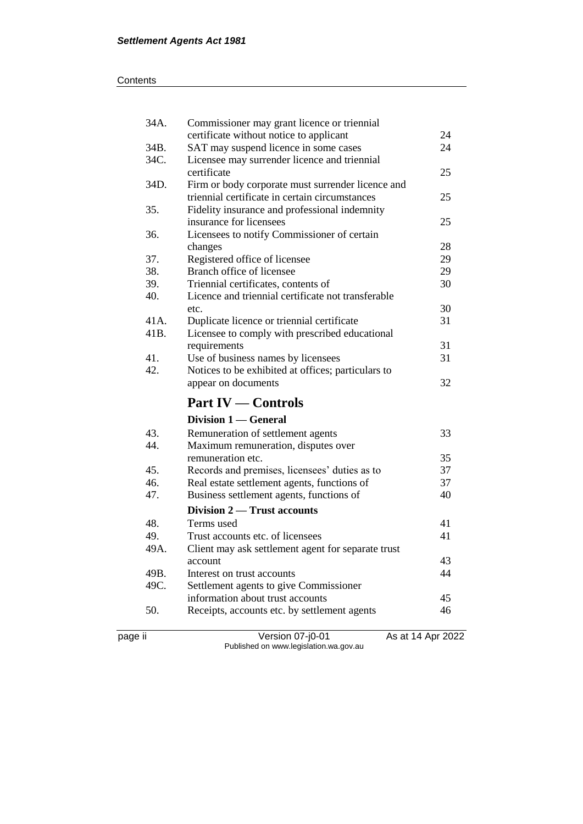#### **Contents**

| 34A. | Commissioner may grant licence or triennial                                                  |    |
|------|----------------------------------------------------------------------------------------------|----|
|      | certificate without notice to applicant                                                      | 24 |
| 34B. | SAT may suspend licence in some cases                                                        | 24 |
| 34C. | Licensee may surrender licence and triennial                                                 |    |
|      | certificate                                                                                  | 25 |
| 34D. | Firm or body corporate must surrender licence and                                            |    |
|      | triennial certificate in certain circumstances                                               | 25 |
| 35.  | Fidelity insurance and professional indemnity                                                |    |
|      | insurance for licensees                                                                      | 25 |
| 36.  | Licensees to notify Commissioner of certain                                                  |    |
|      | changes                                                                                      | 28 |
| 37.  | Registered office of licensee                                                                | 29 |
| 38.  | Branch office of licensee                                                                    | 29 |
| 39.  | Triennial certificates, contents of                                                          | 30 |
| 40.  | Licence and triennial certificate not transferable                                           |    |
|      | etc.                                                                                         | 30 |
| 41A. | Duplicate licence or triennial certificate                                                   | 31 |
| 41B. | Licensee to comply with prescribed educational                                               |    |
|      | requirements                                                                                 | 31 |
| 41.  | Use of business names by licensees                                                           | 31 |
| 42.  | Notices to be exhibited at offices; particulars to                                           |    |
|      | appear on documents                                                                          | 32 |
|      | <b>Part IV — Controls</b>                                                                    |    |
|      | Division 1 — General                                                                         |    |
|      |                                                                                              |    |
| 43.  |                                                                                              | 33 |
| 44.  | Remuneration of settlement agents<br>Maximum remuneration, disputes over                     |    |
|      | remuneration etc.                                                                            | 35 |
| 45.  |                                                                                              | 37 |
| 46.  | Records and premises, licensees' duties as to<br>Real estate settlement agents, functions of | 37 |
| 47.  | Business settlement agents, functions of                                                     | 40 |
|      | Division 2 — Trust accounts                                                                  |    |
| 48.  | Terms used                                                                                   | 41 |
| 49.  | Trust accounts etc. of licensees                                                             | 41 |
| 49A. |                                                                                              |    |
|      | Client may ask settlement agent for separate trust<br>account                                | 43 |
| 49B. | Interest on trust accounts                                                                   | 44 |
| 49C. |                                                                                              |    |
|      | Settlement agents to give Commissioner<br>information about trust accounts                   | 45 |
| 50.  | Receipts, accounts etc. by settlement agents                                                 | 46 |
|      |                                                                                              |    |

page ii Version 07-j0-01 As at 14 Apr 2022 Published on www.legislation.wa.gov.au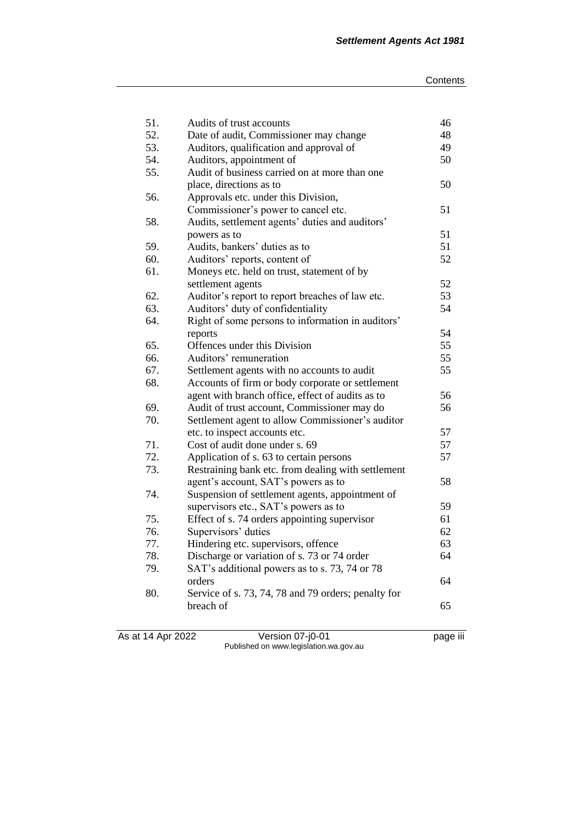| 51. | Audits of trust accounts                            | 46 |
|-----|-----------------------------------------------------|----|
| 52. | Date of audit, Commissioner may change              | 48 |
| 53. | Auditors, qualification and approval of             | 49 |
| 54. | Auditors, appointment of                            | 50 |
| 55. | Audit of business carried on at more than one       |    |
|     | place, directions as to                             | 50 |
| 56. | Approvals etc. under this Division,                 |    |
|     | Commissioner's power to cancel etc.                 | 51 |
| 58. | Audits, settlement agents' duties and auditors'     |    |
|     | powers as to                                        | 51 |
| 59. | Audits, bankers' duties as to                       | 51 |
| 60. | Auditors' reports, content of                       | 52 |
| 61. | Moneys etc. held on trust, statement of by          |    |
|     | settlement agents                                   | 52 |
| 62. | Auditor's report to report breaches of law etc.     | 53 |
| 63. | Auditors' duty of confidentiality                   | 54 |
| 64. | Right of some persons to information in auditors'   |    |
|     | reports                                             | 54 |
| 65. | Offences under this Division                        | 55 |
| 66. | Auditors' remuneration                              | 55 |
| 67. | Settlement agents with no accounts to audit         | 55 |
| 68. | Accounts of firm or body corporate or settlement    |    |
|     | agent with branch office, effect of audits as to    | 56 |
| 69. | Audit of trust account, Commissioner may do         | 56 |
| 70. | Settlement agent to allow Commissioner's auditor    |    |
|     | etc. to inspect accounts etc.                       | 57 |
| 71. | Cost of audit done under s. 69                      | 57 |
| 72. | Application of s. 63 to certain persons             | 57 |
| 73. | Restraining bank etc. from dealing with settlement  |    |
|     | agent's account, SAT's powers as to                 | 58 |
| 74. | Suspension of settlement agents, appointment of     |    |
|     | supervisors etc., SAT's powers as to                | 59 |
| 75. | Effect of s. 74 orders appointing supervisor        | 61 |
| 76. | Supervisors' duties                                 | 62 |
| 77. | Hindering etc. supervisors, offence                 | 63 |
| 78. | Discharge or variation of s. 73 or 74 order         | 64 |
| 79. | SAT's additional powers as to s. 73, 74 or 78       |    |
|     | orders                                              | 64 |
| 80. | Service of s. 73, 74, 78 and 79 orders; penalty for |    |
|     | breach of                                           | 65 |
|     |                                                     |    |

As at 14 Apr 2022 Version 07-j0-01 page iii Published on www.legislation.wa.gov.au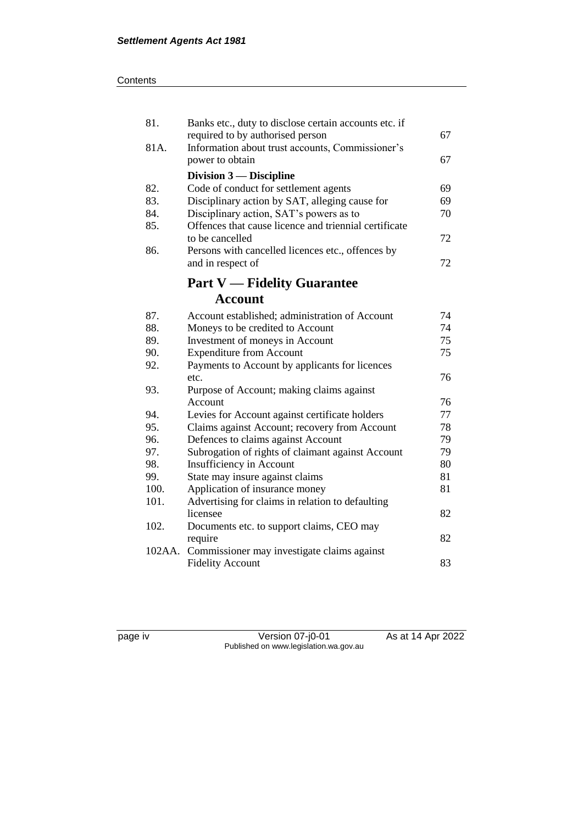| 81.    | Banks etc., duty to disclose certain accounts etc. if<br>required to by authorised person | 67 |
|--------|-------------------------------------------------------------------------------------------|----|
| 81A.   | Information about trust accounts, Commissioner's                                          |    |
|        | power to obtain                                                                           | 67 |
|        | Division $3$ — Discipline                                                                 |    |
| 82.    | Code of conduct for settlement agents                                                     | 69 |
| 83.    | Disciplinary action by SAT, alleging cause for                                            | 69 |
| 84.    | Disciplinary action, SAT's powers as to                                                   | 70 |
| 85.    | Offences that cause licence and triennial certificate                                     |    |
|        | to be cancelled                                                                           | 72 |
| 86.    | Persons with cancelled licences etc., offences by                                         |    |
|        | and in respect of                                                                         | 72 |
|        | <b>Part V — Fidelity Guarantee</b>                                                        |    |
|        | Account                                                                                   |    |
| 87.    | Account established; administration of Account                                            | 74 |
| 88.    | Moneys to be credited to Account                                                          | 74 |
| 89.    | Investment of moneys in Account                                                           | 75 |
| 90.    | <b>Expenditure from Account</b>                                                           | 75 |
| 92.    | Payments to Account by applicants for licences                                            |    |
|        | etc.                                                                                      | 76 |
| 93.    | Purpose of Account; making claims against                                                 |    |
|        | Account                                                                                   | 76 |
| 94.    | Levies for Account against certificate holders                                            | 77 |
| 95.    | Claims against Account; recovery from Account                                             | 78 |
| 96.    | Defences to claims against Account                                                        | 79 |
| 97.    | Subrogation of rights of claimant against Account                                         | 79 |
| 98.    | Insufficiency in Account                                                                  | 80 |
| 99.    | State may insure against claims                                                           | 81 |
| 100.   | Application of insurance money                                                            | 81 |
| 101.   | Advertising for claims in relation to defaulting                                          |    |
|        | licensee                                                                                  | 82 |
| 102.   | Documents etc. to support claims, CEO may                                                 |    |
|        | require                                                                                   | 82 |
| 102AA. | Commissioner may investigate claims against                                               |    |
|        | <b>Fidelity Account</b>                                                                   | 83 |

page iv Version 07-j0-01 As at 14 Apr 2022 Published on www.legislation.wa.gov.au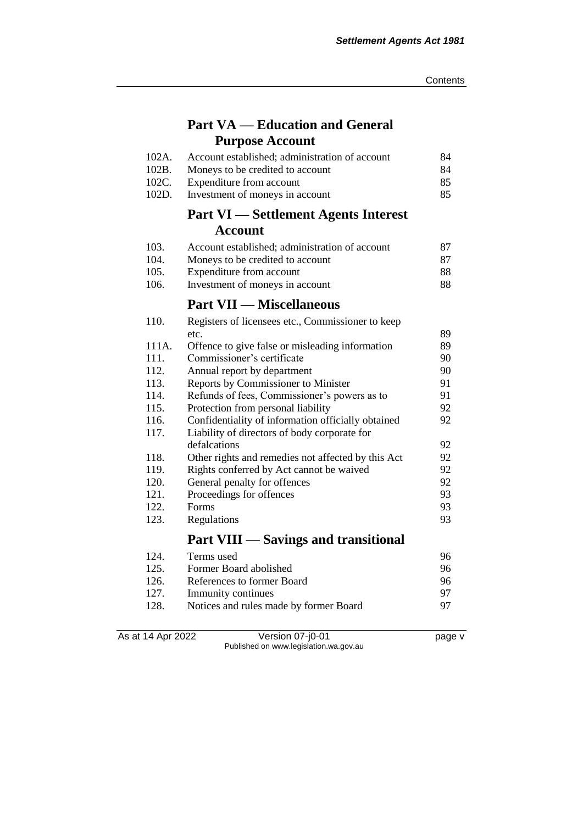## **Part VA — Education and General Purpose Account**

| 102A. | Account established; administration of account | 84. |
|-------|------------------------------------------------|-----|
| 102B. | Moneys to be credited to account               | 84  |
|       | 102C. Expenditure from account                 | 85. |
| 102D. | Investment of moneys in account                | 85. |

### **Part VI — Settlement Agents Interest Account**

| 103.  | Account established; administration of account | 87 |
|-------|------------------------------------------------|----|
| -104. | Moneys to be credited to account               | 87 |
| 105.  | Expenditure from account                       | 88 |
| 106.  | Investment of moneys in account                | 88 |

# **Part VII — Miscellaneous**

| 110.  | Registers of licensees etc., Commissioner to keep  |    |
|-------|----------------------------------------------------|----|
|       | etc.                                               | 89 |
| 111A. | Offence to give false or misleading information    | 89 |
| 111.  | Commissioner's certificate                         | 90 |
| 112.  | Annual report by department                        | 90 |
| 113.  | Reports by Commissioner to Minister                | 91 |
| 114.  | Refunds of fees, Commissioner's powers as to       | 91 |
| 115.  | Protection from personal liability                 | 92 |
| 116.  | Confidentiality of information officially obtained | 92 |
| 117.  | Liability of directors of body corporate for       |    |
|       | defalcations                                       | 92 |
| 118.  | Other rights and remedies not affected by this Act | 92 |
| 119.  | Rights conferred by Act cannot be waived           | 92 |
| 120.  | General penalty for offences                       | 92 |
| 121.  | Proceedings for offences                           | 93 |
| 122.  | Forms                                              | 93 |
| 123.  | Regulations                                        | 93 |
|       | <b>Part VIII — Savings and transitional</b>        |    |

| 124. | Terms used                             | 96 |
|------|----------------------------------------|----|
| 125. | Former Board abolished                 | 96 |
| 126. | References to former Board             | 96 |
| 127. | Immunity continues                     | 97 |
| 128. | Notices and rules made by former Board | 97 |

As at 14 Apr 2022 Version 07-j0-01 page v Published on www.legislation.wa.gov.au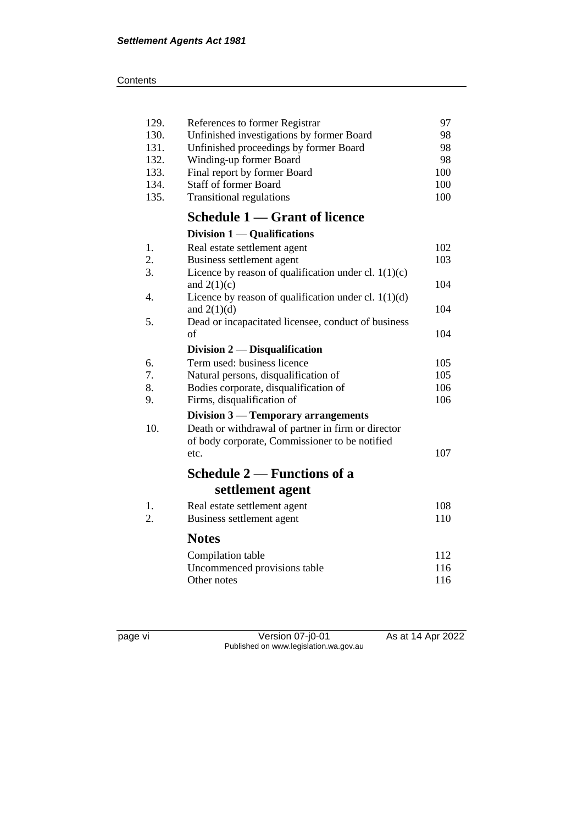| ∶ontents |
|----------|
|          |

| 129. | References to former Registrar                         | 97  |
|------|--------------------------------------------------------|-----|
| 130. | Unfinished investigations by former Board              | 98  |
| 131. | Unfinished proceedings by former Board                 | 98  |
| 132. | Winding-up former Board                                | 98  |
| 133. | Final report by former Board                           | 100 |
| 134. | <b>Staff of former Board</b>                           | 100 |
| 135. | <b>Transitional regulations</b>                        | 100 |
|      | Schedule 1 – Grant of licence                          |     |
|      | Division $1 -$ Qualifications                          |     |
| 1.   | Real estate settlement agent                           | 102 |
| 2.   | Business settlement agent                              | 103 |
| 3.   | Licence by reason of qualification under cl. $1(1)(c)$ |     |
|      | and $2(1)(c)$                                          | 104 |
| 4.   | Licence by reason of qualification under cl. $1(1)(d)$ |     |
|      | and $2(1)(d)$                                          | 104 |
| 5.   | Dead or incapacitated licensee, conduct of business    |     |
|      | $\sigma$ f                                             | 104 |
|      | Division $2$ — Disqualification                        |     |
| 6.   | Term used: business licence                            | 105 |
| 7.   | Natural persons, disqualification of                   | 105 |
| 8.   | Bodies corporate, disqualification of                  | 106 |
| 9.   | Firms, disqualification of                             | 106 |
|      | Division 3 — Temporary arrangements                    |     |
| 10.  | Death or withdrawal of partner in firm or director     |     |
|      | of body corporate, Commissioner to be notified         |     |
|      | etc.                                                   | 107 |
|      | Schedule 2 – Functions of a                            |     |
|      | settlement agent                                       |     |
| 1.   | Real estate settlement agent                           | 108 |
| 2.   | Business settlement agent                              | 110 |
|      | <b>Notes</b>                                           |     |
|      | Compilation table                                      | 112 |
|      | Uncommenced provisions table                           | 116 |
|      | Other notes                                            | 116 |
|      |                                                        |     |

page vi Version 07-j0-01 As at 14 Apr 2022 Published on www.legislation.wa.gov.au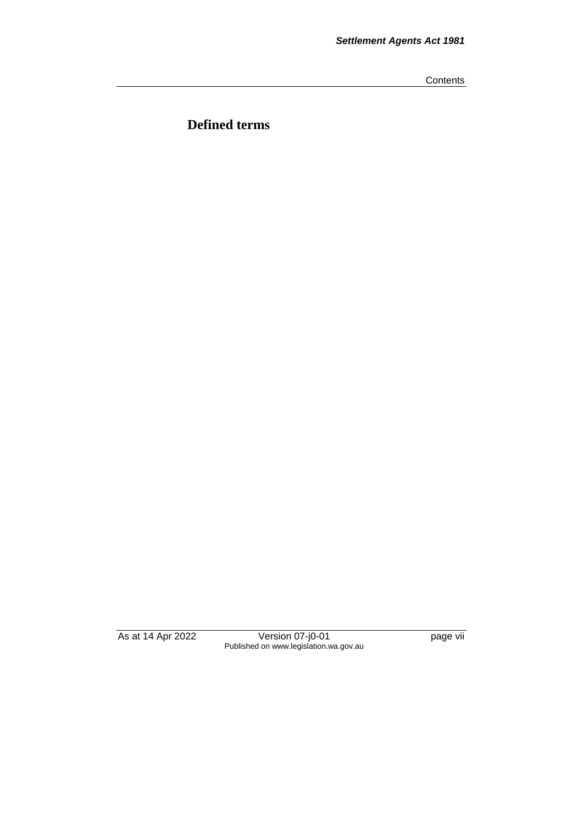**Contents** 

**Defined terms**

As at 14 Apr 2022 Version 07-j0-01 page vii Published on www.legislation.wa.gov.au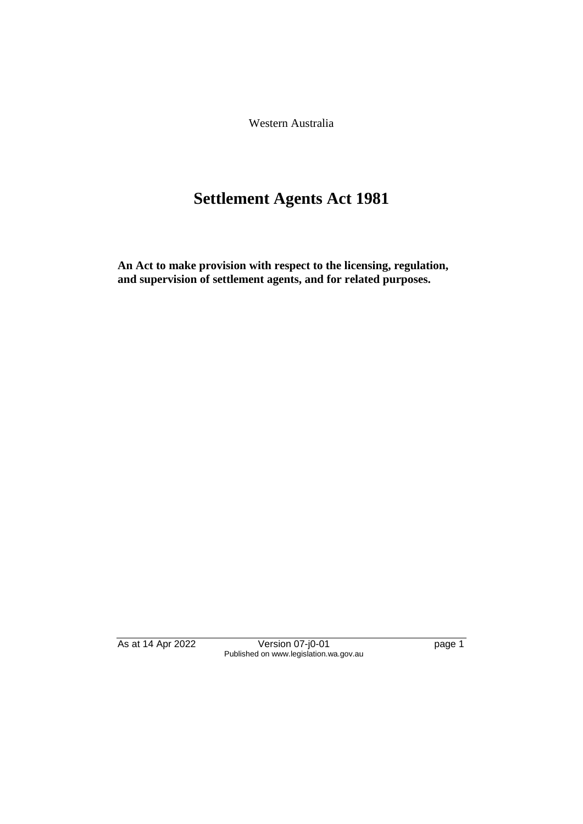Western Australia

# **Settlement Agents Act 1981**

**An Act to make provision with respect to the licensing, regulation, and supervision of settlement agents, and for related purposes.**

As at 14 Apr 2022 Version 07-j0-01 page 1 Published on www.legislation.wa.gov.au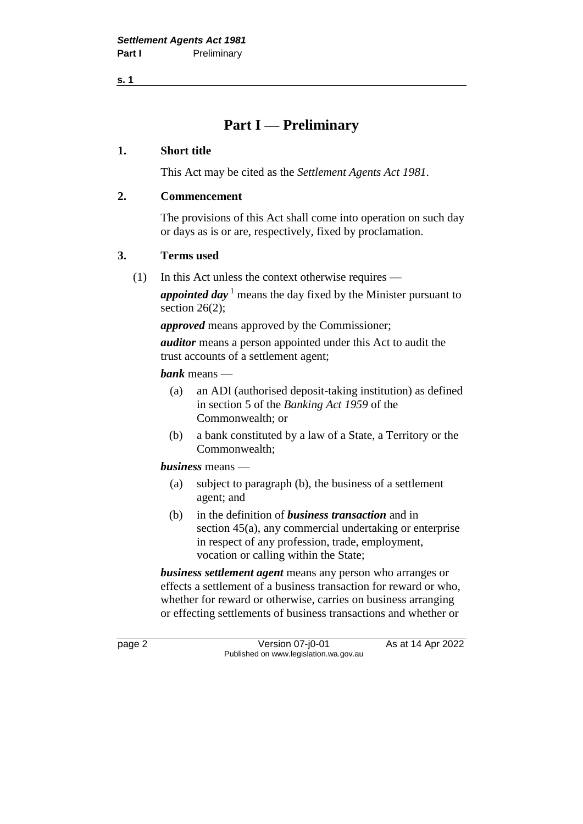### **Part I — Preliminary**

#### **1. Short title**

This Act may be cited as the *Settlement Agents Act 1981*.

#### **2. Commencement**

The provisions of this Act shall come into operation on such day or days as is or are, respectively, fixed by proclamation.

#### **3. Terms used**

(1) In this Act unless the context otherwise requires —

*appointed day* <sup>1</sup> means the day fixed by the Minister pursuant to section 26(2):

*approved* means approved by the Commissioner;

*auditor* means a person appointed under this Act to audit the trust accounts of a settlement agent;

*bank* means —

- (a) an ADI (authorised deposit-taking institution) as defined in section 5 of the *Banking Act 1959* of the Commonwealth; or
- (b) a bank constituted by a law of a State, a Territory or the Commonwealth;

*business* means —

- (a) subject to paragraph (b), the business of a settlement agent; and
- (b) in the definition of *business transaction* and in section 45(a), any commercial undertaking or enterprise in respect of any profession, trade, employment, vocation or calling within the State;

*business settlement agent* means any person who arranges or effects a settlement of a business transaction for reward or who, whether for reward or otherwise, carries on business arranging or effecting settlements of business transactions and whether or

page 2 Version 07-j0-01 As at 14 Apr 2022 Published on www.legislation.wa.gov.au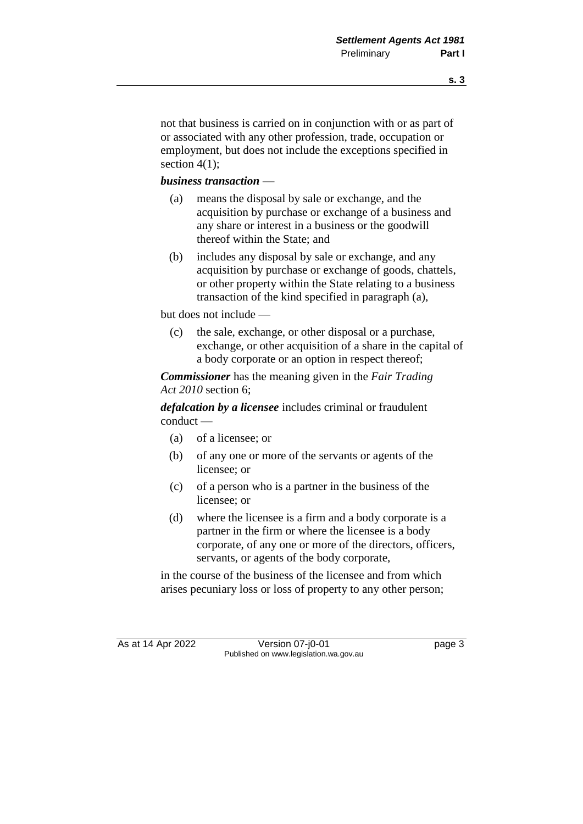not that business is carried on in conjunction with or as part of or associated with any other profession, trade, occupation or employment, but does not include the exceptions specified in section  $4(1)$ ;

#### *business transaction* —

- (a) means the disposal by sale or exchange, and the acquisition by purchase or exchange of a business and any share or interest in a business or the goodwill thereof within the State; and
- (b) includes any disposal by sale or exchange, and any acquisition by purchase or exchange of goods, chattels, or other property within the State relating to a business transaction of the kind specified in paragraph (a),

but does not include —

(c) the sale, exchange, or other disposal or a purchase, exchange, or other acquisition of a share in the capital of a body corporate or an option in respect thereof;

*Commissioner* has the meaning given in the *Fair Trading Act 2010* section 6;

*defalcation by a licensee* includes criminal or fraudulent conduct —

- (a) of a licensee; or
- (b) of any one or more of the servants or agents of the licensee; or
- (c) of a person who is a partner in the business of the licensee; or
- (d) where the licensee is a firm and a body corporate is a partner in the firm or where the licensee is a body corporate, of any one or more of the directors, officers, servants, or agents of the body corporate,

in the course of the business of the licensee and from which arises pecuniary loss or loss of property to any other person;

As at 14 Apr 2022 Version 07-j0-01 page 3 Published on www.legislation.wa.gov.au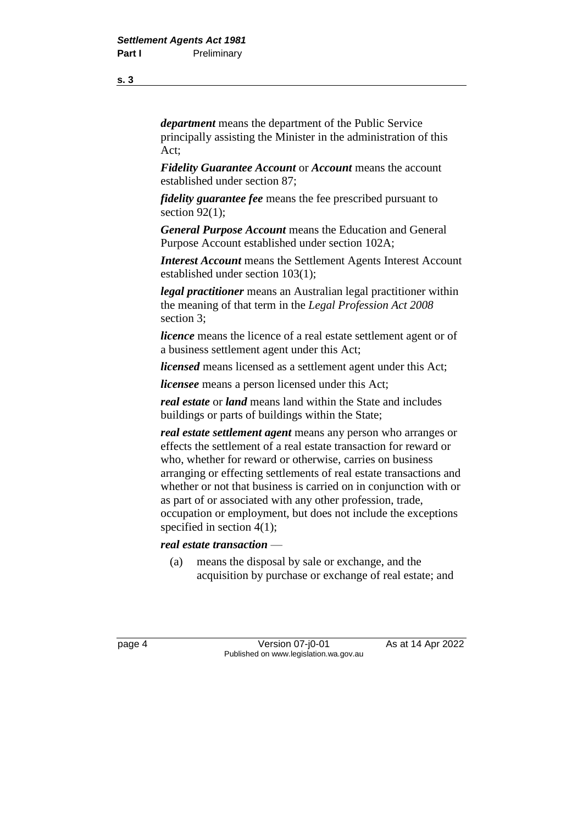*department* means the department of the Public Service principally assisting the Minister in the administration of this Act;

*Fidelity Guarantee Account* or *Account* means the account established under section 87;

*fidelity guarantee fee* means the fee prescribed pursuant to section  $92(1)$ ;

*General Purpose Account* means the Education and General Purpose Account established under section 102A;

*Interest Account* means the Settlement Agents Interest Account established under section 103(1);

*legal practitioner* means an Australian legal practitioner within the meaning of that term in the *Legal Profession Act 2008* section 3;

*licence* means the licence of a real estate settlement agent or of a business settlement agent under this Act;

*licensed* means licensed as a settlement agent under this Act;

*licensee* means a person licensed under this Act;

*real estate* or *land* means land within the State and includes buildings or parts of buildings within the State;

*real estate settlement agent* means any person who arranges or effects the settlement of a real estate transaction for reward or who, whether for reward or otherwise, carries on business arranging or effecting settlements of real estate transactions and whether or not that business is carried on in conjunction with or as part of or associated with any other profession, trade, occupation or employment, but does not include the exceptions specified in section 4(1);

#### *real estate transaction* —

(a) means the disposal by sale or exchange, and the acquisition by purchase or exchange of real estate; and

page 4 Version 07-j0-01 As at 14 Apr 2022 Published on www.legislation.wa.gov.au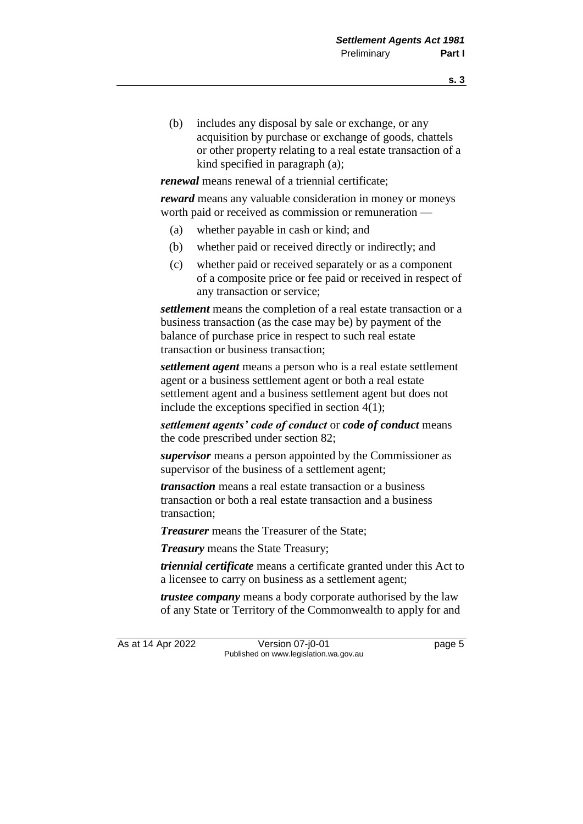- **s. 3**
- (b) includes any disposal by sale or exchange, or any acquisition by purchase or exchange of goods, chattels or other property relating to a real estate transaction of a kind specified in paragraph (a);

*renewal* means renewal of a triennial certificate;

*reward* means any valuable consideration in money or moneys worth paid or received as commission or remuneration —

- (a) whether payable in cash or kind; and
- (b) whether paid or received directly or indirectly; and
- (c) whether paid or received separately or as a component of a composite price or fee paid or received in respect of any transaction or service;

*settlement* means the completion of a real estate transaction or a business transaction (as the case may be) by payment of the balance of purchase price in respect to such real estate transaction or business transaction;

*settlement agent* means a person who is a real estate settlement agent or a business settlement agent or both a real estate settlement agent and a business settlement agent but does not include the exceptions specified in section 4(1);

*settlement agents' code of conduct* or *code of conduct* means the code prescribed under section 82;

*supervisor* means a person appointed by the Commissioner as supervisor of the business of a settlement agent;

*transaction* means a real estate transaction or a business transaction or both a real estate transaction and a business transaction;

*Treasurer* means the Treasurer of the State;

*Treasury* means the State Treasury;

*triennial certificate* means a certificate granted under this Act to a licensee to carry on business as a settlement agent;

*trustee company* means a body corporate authorised by the law of any State or Territory of the Commonwealth to apply for and

As at 14 Apr 2022 Version 07-j0-01 Page 5 Published on www.legislation.wa.gov.au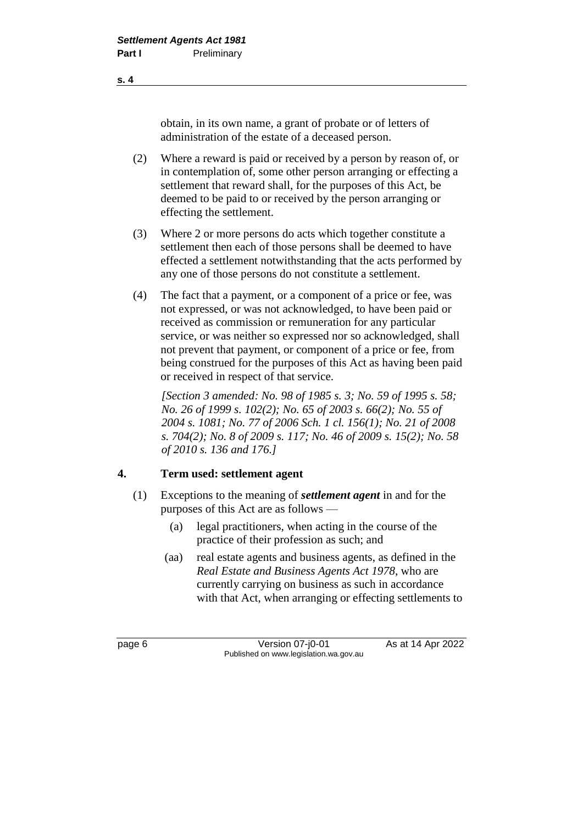obtain, in its own name, a grant of probate or of letters of administration of the estate of a deceased person.

- (2) Where a reward is paid or received by a person by reason of, or in contemplation of, some other person arranging or effecting a settlement that reward shall, for the purposes of this Act, be deemed to be paid to or received by the person arranging or effecting the settlement.
- (3) Where 2 or more persons do acts which together constitute a settlement then each of those persons shall be deemed to have effected a settlement notwithstanding that the acts performed by any one of those persons do not constitute a settlement.
- (4) The fact that a payment, or a component of a price or fee, was not expressed, or was not acknowledged, to have been paid or received as commission or remuneration for any particular service, or was neither so expressed nor so acknowledged, shall not prevent that payment, or component of a price or fee, from being construed for the purposes of this Act as having been paid or received in respect of that service.

*[Section 3 amended: No. 98 of 1985 s. 3; No. 59 of 1995 s. 58; No. 26 of 1999 s. 102(2); No. 65 of 2003 s. 66(2); No. 55 of 2004 s. 1081; No. 77 of 2006 Sch. 1 cl. 156(1); No. 21 of 2008 s. 704(2); No. 8 of 2009 s. 117; No. 46 of 2009 s. 15(2); No. 58 of 2010 s. 136 and 176.]*

#### **4. Term used: settlement agent**

- (1) Exceptions to the meaning of *settlement agent* in and for the purposes of this Act are as follows —
	- (a) legal practitioners, when acting in the course of the practice of their profession as such; and
	- (aa) real estate agents and business agents, as defined in the *Real Estate and Business Agents Act 1978*, who are currently carrying on business as such in accordance with that Act, when arranging or effecting settlements to

page 6 **Version 07-j0-01** As at 14 Apr 2022 Published on www.legislation.wa.gov.au

**s. 4**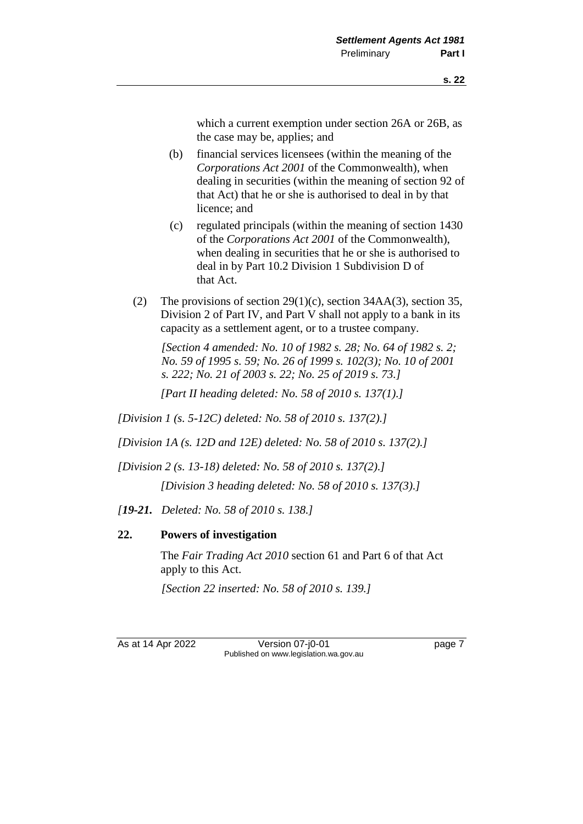which a current exemption under section 26A or 26B, as the case may be, applies; and

- (b) financial services licensees (within the meaning of the *Corporations Act 2001* of the Commonwealth), when dealing in securities (within the meaning of section 92 of that Act) that he or she is authorised to deal in by that licence; and
- (c) regulated principals (within the meaning of section 1430 of the *Corporations Act 2001* of the Commonwealth), when dealing in securities that he or she is authorised to deal in by Part 10.2 Division 1 Subdivision D of that Act.
- (2) The provisions of section  $29(1)(c)$ , section 34AA(3), section 35, Division 2 of Part IV, and Part V shall not apply to a bank in its capacity as a settlement agent, or to a trustee company.

*[Section 4 amended: No. 10 of 1982 s. 28; No. 64 of 1982 s. 2; No. 59 of 1995 s. 59; No. 26 of 1999 s. 102(3); No. 10 of 2001 s. 222; No. 21 of 2003 s. 22; No. 25 of 2019 s. 73.]*

*[Part II heading deleted: No. 58 of 2010 s. 137(1).]*

*[Division 1 (s. 5-12C) deleted: No. 58 of 2010 s. 137(2).]*

*[Division 1A (s. 12D and 12E) deleted: No. 58 of 2010 s. 137(2).]*

*[Division 2 (s. 13-18) deleted: No. 58 of 2010 s. 137(2).]*

*[Division 3 heading deleted: No. 58 of 2010 s. 137(3).]*

*[19-21. Deleted: No. 58 of 2010 s. 138.]*

#### **22. Powers of investigation**

The *Fair Trading Act 2010* section 61 and Part 6 of that Act apply to this Act.

*[Section 22 inserted: No. 58 of 2010 s. 139.]*

As at 14 Apr 2022 Version 07-j0-01 page 7 Published on www.legislation.wa.gov.au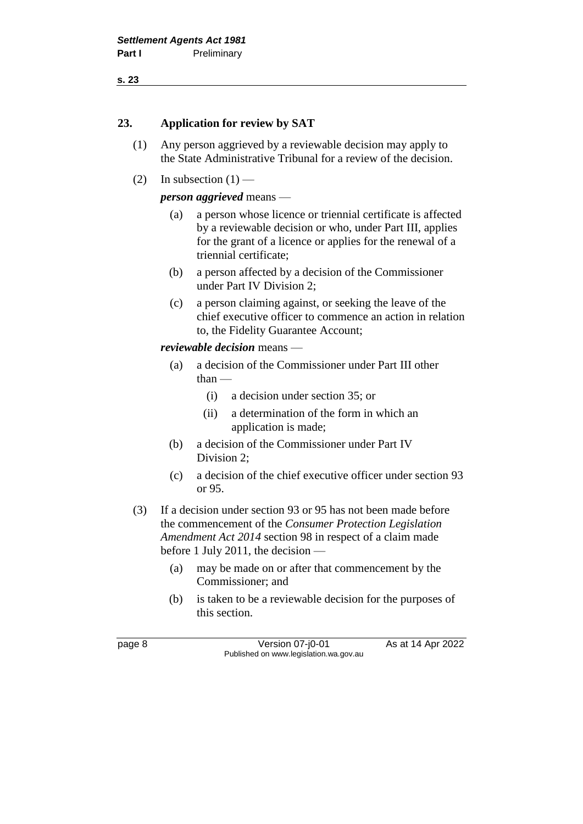#### **23. Application for review by SAT**

- (1) Any person aggrieved by a reviewable decision may apply to the State Administrative Tribunal for a review of the decision.
- (2) In subsection  $(1)$  —

#### *person aggrieved* means —

- (a) a person whose licence or triennial certificate is affected by a reviewable decision or who, under Part III, applies for the grant of a licence or applies for the renewal of a triennial certificate;
- (b) a person affected by a decision of the Commissioner under Part IV Division 2;
- (c) a person claiming against, or seeking the leave of the chief executive officer to commence an action in relation to, the Fidelity Guarantee Account;

#### *reviewable decision* means —

- (a) a decision of the Commissioner under Part III other  $than$ —
	- (i) a decision under section 35; or
	- (ii) a determination of the form in which an application is made;
- (b) a decision of the Commissioner under Part IV Division 2;
- (c) a decision of the chief executive officer under section 93 or 95.
- (3) If a decision under section 93 or 95 has not been made before the commencement of the *Consumer Protection Legislation Amendment Act 2014* section 98 in respect of a claim made before 1 July 2011, the decision —
	- (a) may be made on or after that commencement by the Commissioner; and
	- (b) is taken to be a reviewable decision for the purposes of this section.

page 8 Version 07-j0-01 As at 14 Apr 2022 Published on www.legislation.wa.gov.au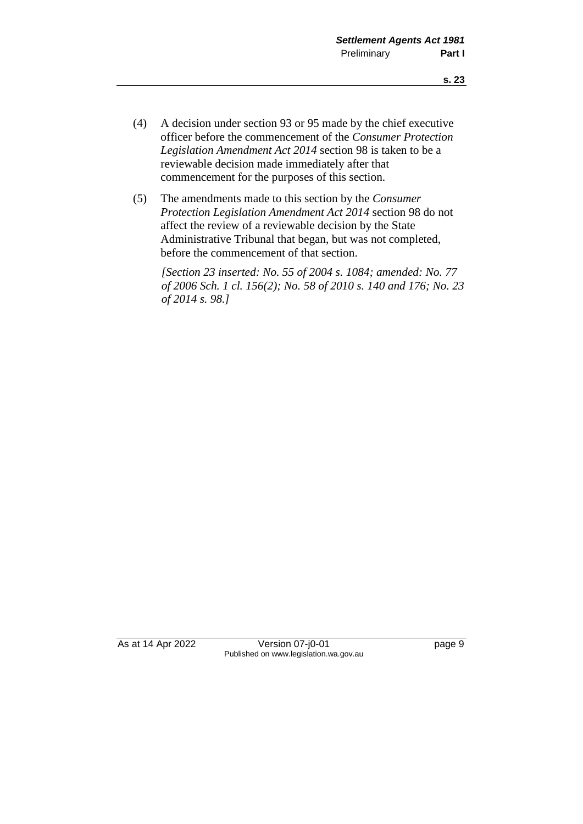- (4) A decision under section 93 or 95 made by the chief executive officer before the commencement of the *Consumer Protection Legislation Amendment Act 2014* section 98 is taken to be a reviewable decision made immediately after that commencement for the purposes of this section.
- (5) The amendments made to this section by the *Consumer Protection Legislation Amendment Act 2014* section 98 do not affect the review of a reviewable decision by the State Administrative Tribunal that began, but was not completed, before the commencement of that section.

*[Section 23 inserted: No. 55 of 2004 s. 1084; amended: No. 77 of 2006 Sch. 1 cl. 156(2); No. 58 of 2010 s. 140 and 176; No. 23 of 2014 s. 98.]*

As at 14 Apr 2022 Version 07-j0-01 page 9 Published on www.legislation.wa.gov.au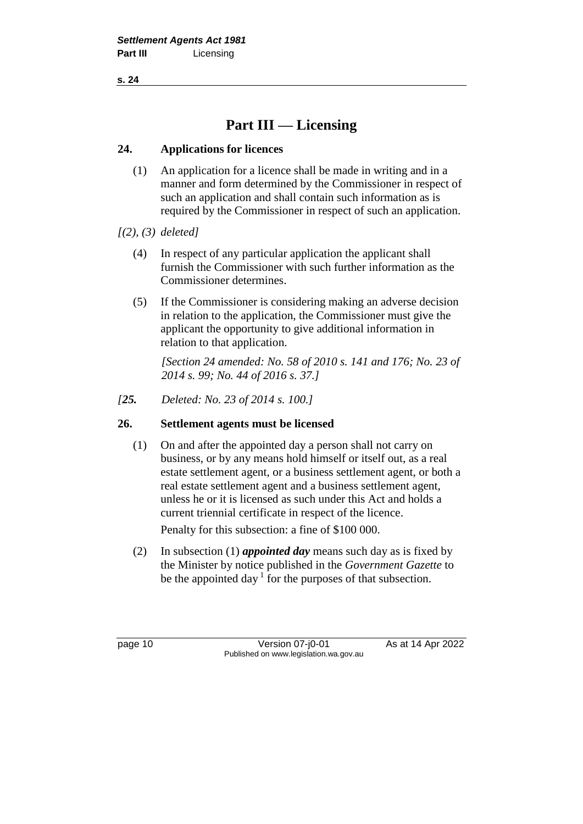## **Part III — Licensing**

#### **24. Applications for licences**

- (1) An application for a licence shall be made in writing and in a manner and form determined by the Commissioner in respect of such an application and shall contain such information as is required by the Commissioner in respect of such an application.
- *[(2), (3) deleted]*
	- (4) In respect of any particular application the applicant shall furnish the Commissioner with such further information as the Commissioner determines.
	- (5) If the Commissioner is considering making an adverse decision in relation to the application, the Commissioner must give the applicant the opportunity to give additional information in relation to that application.

*[Section 24 amended: No. 58 of 2010 s. 141 and 176; No. 23 of 2014 s. 99; No. 44 of 2016 s. 37.]*

*[25. Deleted: No. 23 of 2014 s. 100.]*

#### **26. Settlement agents must be licensed**

(1) On and after the appointed day a person shall not carry on business, or by any means hold himself or itself out, as a real estate settlement agent, or a business settlement agent, or both a real estate settlement agent and a business settlement agent, unless he or it is licensed as such under this Act and holds a current triennial certificate in respect of the licence.

Penalty for this subsection: a fine of \$100 000.

(2) In subsection (1) *appointed day* means such day as is fixed by the Minister by notice published in the *Government Gazette* to be the appointed day  $1$  for the purposes of that subsection.

page 10 **Version 07-j0-01** As at 14 Apr 2022 Published on www.legislation.wa.gov.au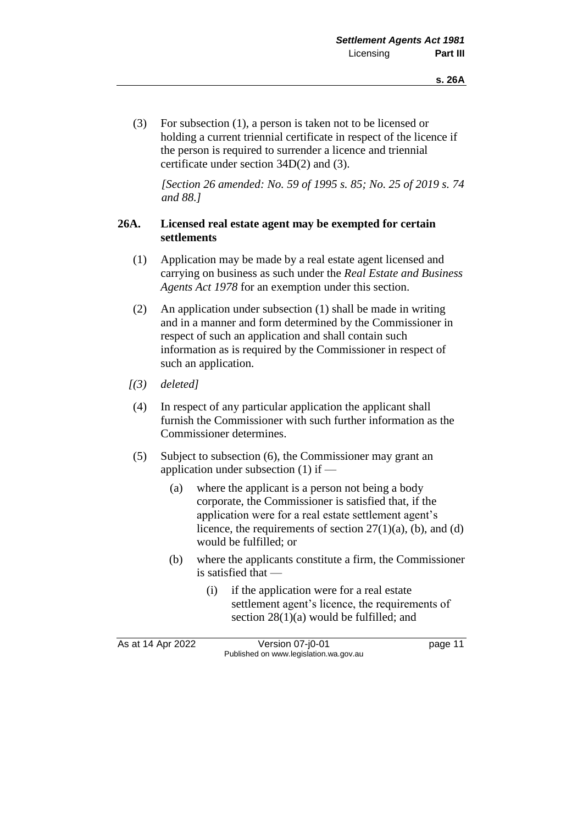(3) For subsection (1), a person is taken not to be licensed or holding a current triennial certificate in respect of the licence if the person is required to surrender a licence and triennial certificate under section 34D(2) and (3).

*[Section 26 amended: No. 59 of 1995 s. 85; No. 25 of 2019 s. 74 and 88.]*

#### **26A. Licensed real estate agent may be exempted for certain settlements**

- (1) Application may be made by a real estate agent licensed and carrying on business as such under the *Real Estate and Business Agents Act 1978* for an exemption under this section.
- (2) An application under subsection (1) shall be made in writing and in a manner and form determined by the Commissioner in respect of such an application and shall contain such information as is required by the Commissioner in respect of such an application.
- *[(3) deleted]*
- (4) In respect of any particular application the applicant shall furnish the Commissioner with such further information as the Commissioner determines.
- (5) Subject to subsection (6), the Commissioner may grant an application under subsection (1) if —
	- (a) where the applicant is a person not being a body corporate, the Commissioner is satisfied that, if the application were for a real estate settlement agent's licence, the requirements of section  $27(1)(a)$ , (b), and (d) would be fulfilled; or
	- (b) where the applicants constitute a firm, the Commissioner is satisfied that —
		- (i) if the application were for a real estate settlement agent's licence, the requirements of section 28(1)(a) would be fulfilled; and

As at 14 Apr 2022 Version 07-j0-01 page 11 Published on www.legislation.wa.gov.au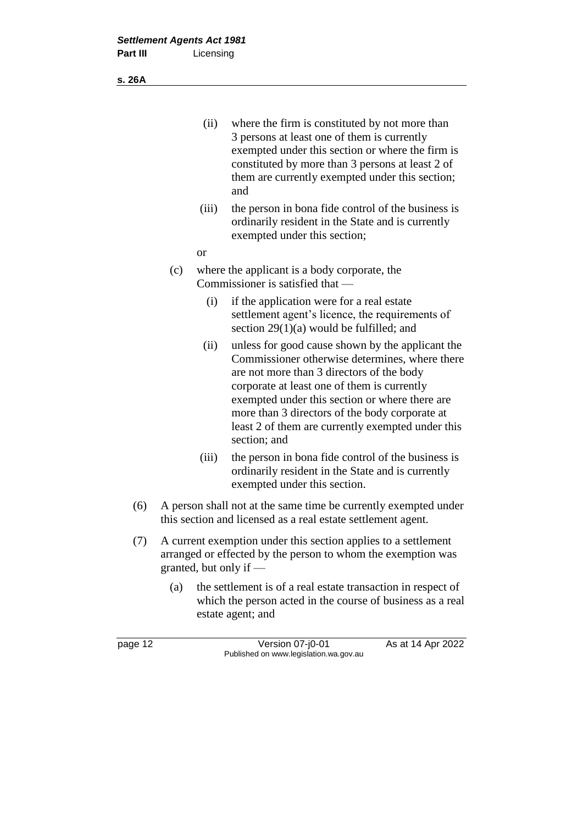- (ii) where the firm is constituted by not more than 3 persons at least one of them is currently exempted under this section or where the firm is constituted by more than 3 persons at least 2 of them are currently exempted under this section; and
- (iii) the person in bona fide control of the business is ordinarily resident in the State and is currently exempted under this section;
- or
- (c) where the applicant is a body corporate, the Commissioner is satisfied that —
	- (i) if the application were for a real estate settlement agent's licence, the requirements of section 29(1)(a) would be fulfilled; and
	- (ii) unless for good cause shown by the applicant the Commissioner otherwise determines, where there are not more than 3 directors of the body corporate at least one of them is currently exempted under this section or where there are more than 3 directors of the body corporate at least 2 of them are currently exempted under this section; and
	- (iii) the person in bona fide control of the business is ordinarily resident in the State and is currently exempted under this section.
- (6) A person shall not at the same time be currently exempted under this section and licensed as a real estate settlement agent.
- (7) A current exemption under this section applies to a settlement arranged or effected by the person to whom the exemption was granted, but only if —
	- (a) the settlement is of a real estate transaction in respect of which the person acted in the course of business as a real estate agent; and

page 12 **Version 07-j0-01** As at 14 Apr 2022 Published on www.legislation.wa.gov.au

**s. 26A**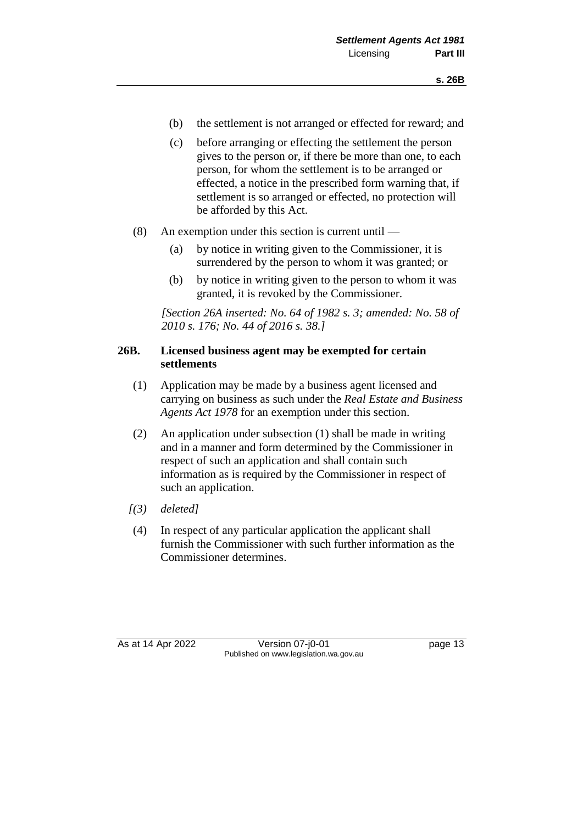- (b) the settlement is not arranged or effected for reward; and
- (c) before arranging or effecting the settlement the person gives to the person or, if there be more than one, to each person, for whom the settlement is to be arranged or effected, a notice in the prescribed form warning that, if settlement is so arranged or effected, no protection will be afforded by this Act.
- (8) An exemption under this section is current until
	- (a) by notice in writing given to the Commissioner, it is surrendered by the person to whom it was granted; or
	- (b) by notice in writing given to the person to whom it was granted, it is revoked by the Commissioner.

*[Section 26A inserted: No. 64 of 1982 s. 3; amended: No. 58 of 2010 s. 176; No. 44 of 2016 s. 38.]*

#### **26B. Licensed business agent may be exempted for certain settlements**

- (1) Application may be made by a business agent licensed and carrying on business as such under the *Real Estate and Business Agents Act 1978* for an exemption under this section.
- (2) An application under subsection (1) shall be made in writing and in a manner and form determined by the Commissioner in respect of such an application and shall contain such information as is required by the Commissioner in respect of such an application.
- *[(3) deleted]*
- (4) In respect of any particular application the applicant shall furnish the Commissioner with such further information as the Commissioner determines.

As at 14 Apr 2022 Version 07-j0-01 Page 13 Published on www.legislation.wa.gov.au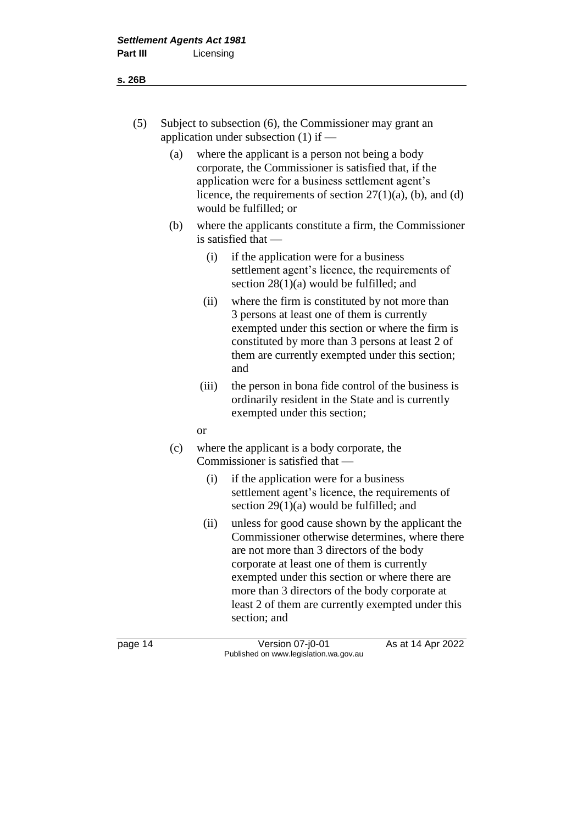- (5) Subject to subsection (6), the Commissioner may grant an application under subsection (1) if —
	- (a) where the applicant is a person not being a body corporate, the Commissioner is satisfied that, if the application were for a business settlement agent's licence, the requirements of section  $27(1)(a)$ , (b), and (d) would be fulfilled; or
	- (b) where the applicants constitute a firm, the Commissioner is satisfied that —
		- (i) if the application were for a business settlement agent's licence, the requirements of section 28(1)(a) would be fulfilled; and
		- (ii) where the firm is constituted by not more than 3 persons at least one of them is currently exempted under this section or where the firm is constituted by more than 3 persons at least 2 of them are currently exempted under this section; and
		- (iii) the person in bona fide control of the business is ordinarily resident in the State and is currently exempted under this section;
		- or
	- (c) where the applicant is a body corporate, the Commissioner is satisfied that —
		- (i) if the application were for a business settlement agent's licence, the requirements of section 29(1)(a) would be fulfilled; and
		- (ii) unless for good cause shown by the applicant the Commissioner otherwise determines, where there are not more than 3 directors of the body corporate at least one of them is currently exempted under this section or where there are more than 3 directors of the body corporate at least 2 of them are currently exempted under this section; and

page 14 Version 07-j0-01 As at 14 Apr 2022 Published on www.legislation.wa.gov.au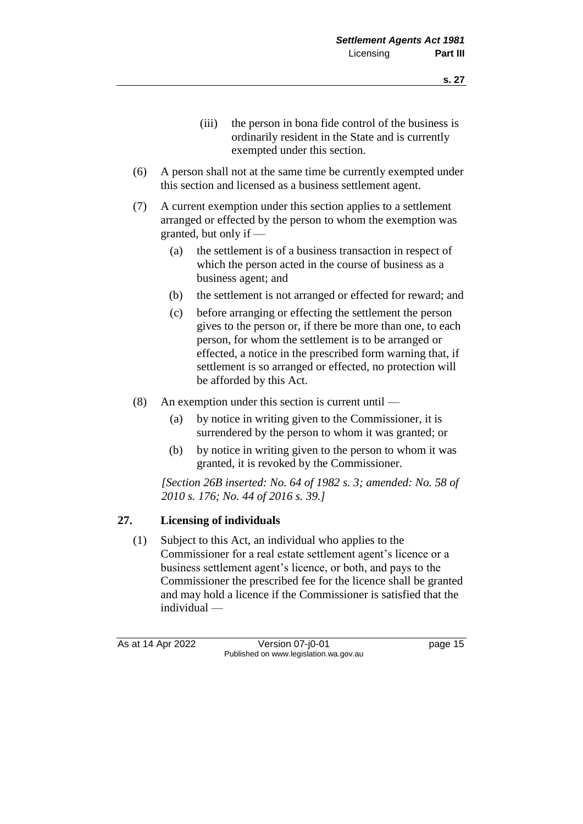- (iii) the person in bona fide control of the business is ordinarily resident in the State and is currently exempted under this section.
- (6) A person shall not at the same time be currently exempted under this section and licensed as a business settlement agent.
- (7) A current exemption under this section applies to a settlement arranged or effected by the person to whom the exemption was granted, but only if —
	- (a) the settlement is of a business transaction in respect of which the person acted in the course of business as a business agent; and
	- (b) the settlement is not arranged or effected for reward; and
	- (c) before arranging or effecting the settlement the person gives to the person or, if there be more than one, to each person, for whom the settlement is to be arranged or effected, a notice in the prescribed form warning that, if settlement is so arranged or effected, no protection will be afforded by this Act.
- (8) An exemption under this section is current until
	- (a) by notice in writing given to the Commissioner, it is surrendered by the person to whom it was granted; or
	- (b) by notice in writing given to the person to whom it was granted, it is revoked by the Commissioner.

*[Section 26B inserted: No. 64 of 1982 s. 3; amended: No. 58 of 2010 s. 176; No. 44 of 2016 s. 39.]*

#### **27. Licensing of individuals**

(1) Subject to this Act, an individual who applies to the Commissioner for a real estate settlement agent's licence or a business settlement agent's licence, or both, and pays to the Commissioner the prescribed fee for the licence shall be granted and may hold a licence if the Commissioner is satisfied that the individual —

As at 14 Apr 2022 Version 07-j0-01 Page 15 Published on www.legislation.wa.gov.au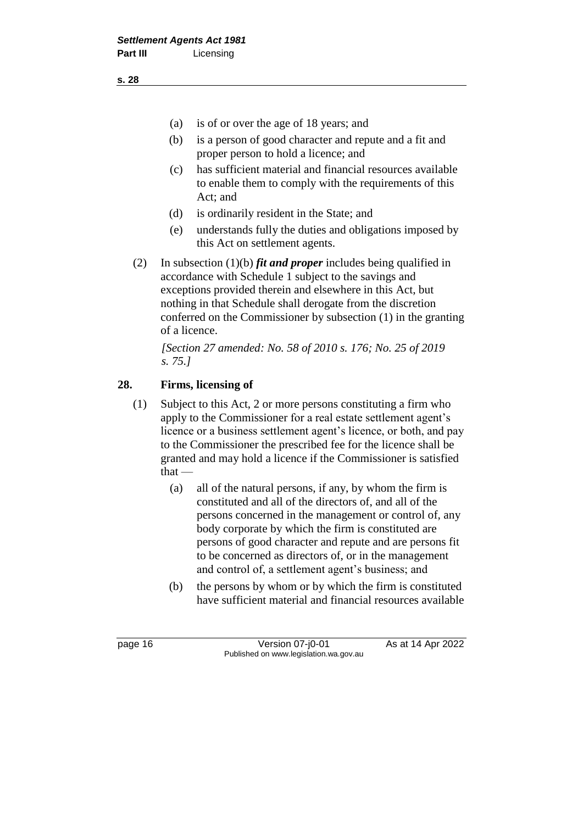- (a) is of or over the age of 18 years; and
- (b) is a person of good character and repute and a fit and proper person to hold a licence; and
- (c) has sufficient material and financial resources available to enable them to comply with the requirements of this Act; and
- (d) is ordinarily resident in the State; and
- (e) understands fully the duties and obligations imposed by this Act on settlement agents.
- (2) In subsection (1)(b) *fit and proper* includes being qualified in accordance with Schedule 1 subject to the savings and exceptions provided therein and elsewhere in this Act, but nothing in that Schedule shall derogate from the discretion conferred on the Commissioner by subsection (1) in the granting of a licence.

*[Section 27 amended: No. 58 of 2010 s. 176; No. 25 of 2019 s. 75.]*

#### **28. Firms, licensing of**

- (1) Subject to this Act, 2 or more persons constituting a firm who apply to the Commissioner for a real estate settlement agent's licence or a business settlement agent's licence, or both, and pay to the Commissioner the prescribed fee for the licence shall be granted and may hold a licence if the Commissioner is satisfied that —
	- (a) all of the natural persons, if any, by whom the firm is constituted and all of the directors of, and all of the persons concerned in the management or control of, any body corporate by which the firm is constituted are persons of good character and repute and are persons fit to be concerned as directors of, or in the management and control of, a settlement agent's business; and
	- (b) the persons by whom or by which the firm is constituted have sufficient material and financial resources available

page 16 **Version 07-j0-01** As at 14 Apr 2022 Published on www.legislation.wa.gov.au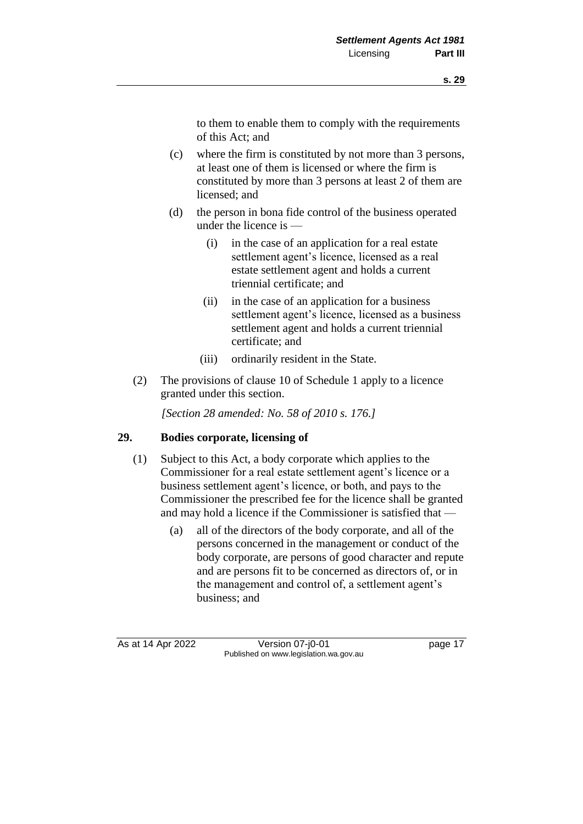to them to enable them to comply with the requirements of this Act; and

- (c) where the firm is constituted by not more than 3 persons, at least one of them is licensed or where the firm is constituted by more than 3 persons at least 2 of them are licensed; and
- (d) the person in bona fide control of the business operated under the licence is —
	- (i) in the case of an application for a real estate settlement agent's licence, licensed as a real estate settlement agent and holds a current triennial certificate; and
	- (ii) in the case of an application for a business settlement agent's licence, licensed as a business settlement agent and holds a current triennial certificate; and
	- (iii) ordinarily resident in the State.
- (2) The provisions of clause 10 of Schedule 1 apply to a licence granted under this section.

*[Section 28 amended: No. 58 of 2010 s. 176.]*

#### **29. Bodies corporate, licensing of**

- (1) Subject to this Act, a body corporate which applies to the Commissioner for a real estate settlement agent's licence or a business settlement agent's licence, or both, and pays to the Commissioner the prescribed fee for the licence shall be granted and may hold a licence if the Commissioner is satisfied that —
	- (a) all of the directors of the body corporate, and all of the persons concerned in the management or conduct of the body corporate, are persons of good character and repute and are persons fit to be concerned as directors of, or in the management and control of, a settlement agent's business; and

As at 14 Apr 2022 Version 07-j0-01 Page 17 Published on www.legislation.wa.gov.au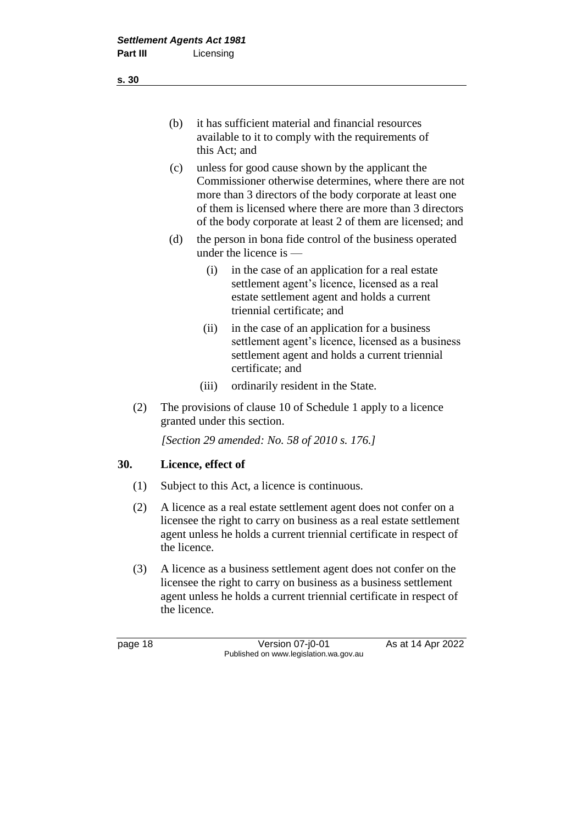- (b) it has sufficient material and financial resources available to it to comply with the requirements of this Act; and
- (c) unless for good cause shown by the applicant the Commissioner otherwise determines, where there are not more than 3 directors of the body corporate at least one of them is licensed where there are more than 3 directors of the body corporate at least 2 of them are licensed; and
- (d) the person in bona fide control of the business operated under the licence is —
	- (i) in the case of an application for a real estate settlement agent's licence, licensed as a real estate settlement agent and holds a current triennial certificate; and
	- (ii) in the case of an application for a business settlement agent's licence, licensed as a business settlement agent and holds a current triennial certificate; and
	- (iii) ordinarily resident in the State.
- (2) The provisions of clause 10 of Schedule 1 apply to a licence granted under this section.

*[Section 29 amended: No. 58 of 2010 s. 176.]*

#### **30. Licence, effect of**

- (1) Subject to this Act, a licence is continuous.
- (2) A licence as a real estate settlement agent does not confer on a licensee the right to carry on business as a real estate settlement agent unless he holds a current triennial certificate in respect of the licence.
- (3) A licence as a business settlement agent does not confer on the licensee the right to carry on business as a business settlement agent unless he holds a current triennial certificate in respect of the licence.

page 18 **Version 07-j0-01** As at 14 Apr 2022 Published on www.legislation.wa.gov.au

**s. 30**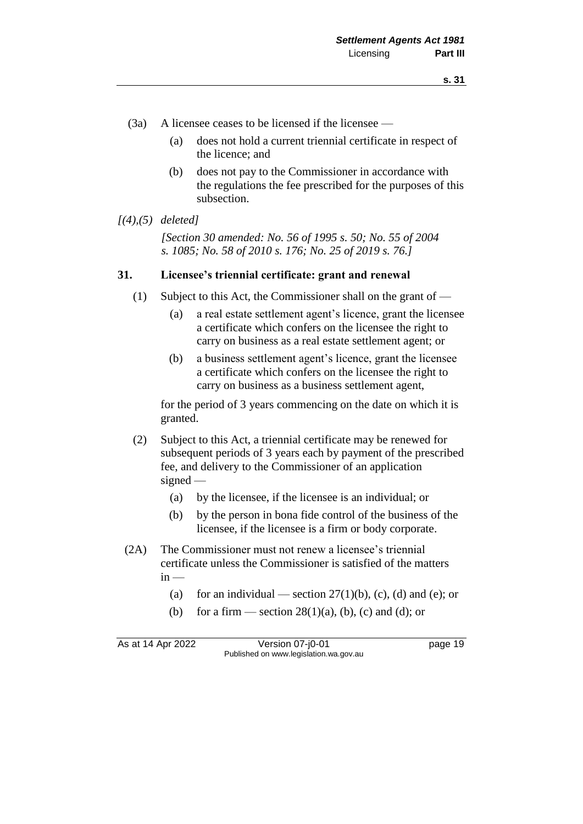- (3a) A licensee ceases to be licensed if the licensee
	- (a) does not hold a current triennial certificate in respect of the licence; and
	- (b) does not pay to the Commissioner in accordance with the regulations the fee prescribed for the purposes of this subsection.

#### *[(4),(5) deleted]*

*[Section 30 amended: No. 56 of 1995 s. 50; No. 55 of 2004 s. 1085; No. 58 of 2010 s. 176; No. 25 of 2019 s. 76.]*

#### **31. Licensee's triennial certificate: grant and renewal**

- (1) Subject to this Act, the Commissioner shall on the grant of
	- (a) a real estate settlement agent's licence, grant the licensee a certificate which confers on the licensee the right to carry on business as a real estate settlement agent; or
	- (b) a business settlement agent's licence, grant the licensee a certificate which confers on the licensee the right to carry on business as a business settlement agent,

for the period of 3 years commencing on the date on which it is granted.

- (2) Subject to this Act, a triennial certificate may be renewed for subsequent periods of 3 years each by payment of the prescribed fee, and delivery to the Commissioner of an application signed —
	- (a) by the licensee, if the licensee is an individual; or
	- (b) by the person in bona fide control of the business of the licensee, if the licensee is a firm or body corporate.
- (2A) The Commissioner must not renew a licensee's triennial certificate unless the Commissioner is satisfied of the matters  $in -$ 
	- (a) for an individual section  $27(1)(b)$ , (c), (d) and (e); or
	- (b) for a firm section  $28(1)(a)$ , (b), (c) and (d); or

As at 14 Apr 2022 Version 07-j0-01 page 19 Published on www.legislation.wa.gov.au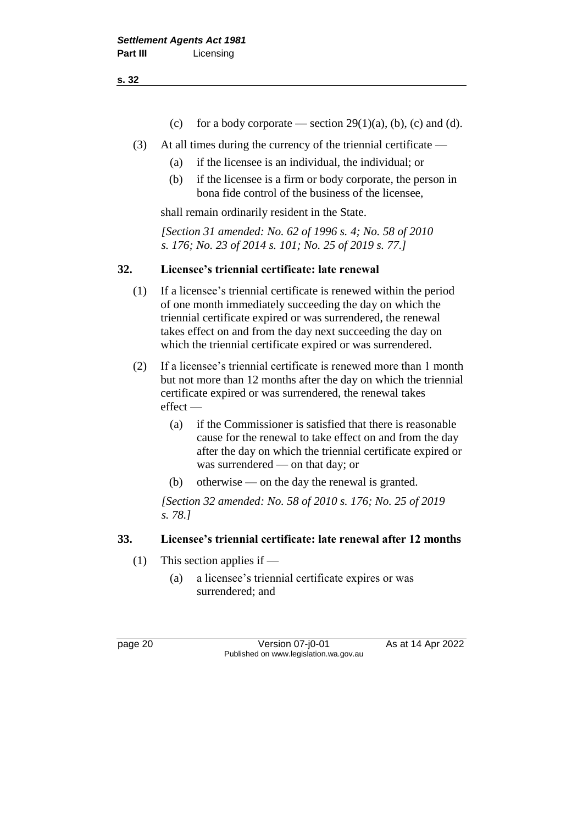- **s. 32**
- (c) for a body corporate section  $29(1)(a)$ , (b), (c) and (d).
- (3) At all times during the currency of the triennial certificate
	- (a) if the licensee is an individual, the individual; or
	- (b) if the licensee is a firm or body corporate, the person in bona fide control of the business of the licensee,

shall remain ordinarily resident in the State.

*[Section 31 amended: No. 62 of 1996 s. 4; No. 58 of 2010 s. 176; No. 23 of 2014 s. 101; No. 25 of 2019 s. 77.]*

#### **32. Licensee's triennial certificate: late renewal**

- (1) If a licensee's triennial certificate is renewed within the period of one month immediately succeeding the day on which the triennial certificate expired or was surrendered, the renewal takes effect on and from the day next succeeding the day on which the triennial certificate expired or was surrendered.
- (2) If a licensee's triennial certificate is renewed more than 1 month but not more than 12 months after the day on which the triennial certificate expired or was surrendered, the renewal takes effect —
	- (a) if the Commissioner is satisfied that there is reasonable cause for the renewal to take effect on and from the day after the day on which the triennial certificate expired or was surrendered — on that day; or
	- (b) otherwise on the day the renewal is granted.

*[Section 32 amended: No. 58 of 2010 s. 176; No. 25 of 2019 s. 78.]*

#### **33. Licensee's triennial certificate: late renewal after 12 months**

- (1) This section applies if
	- (a) a licensee's triennial certificate expires or was surrendered; and

page 20 Version 07-j0-01 As at 14 Apr 2022 Published on www.legislation.wa.gov.au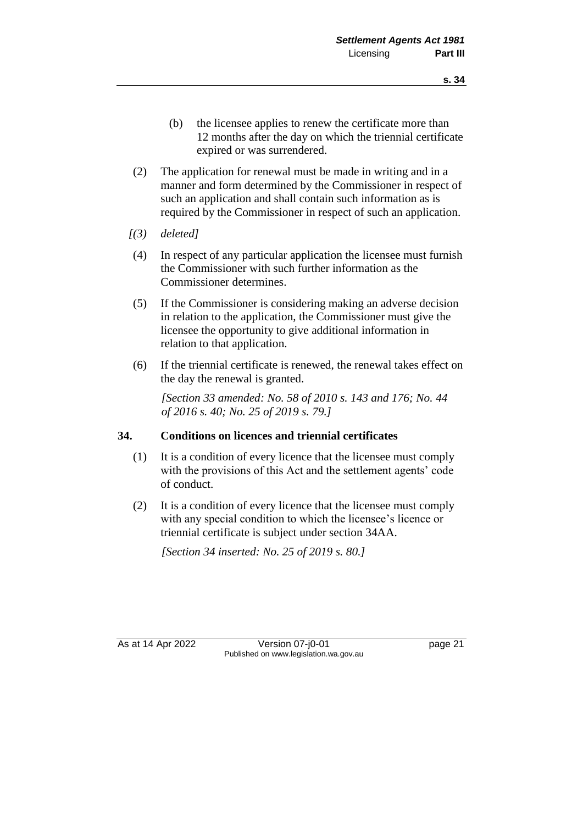- (b) the licensee applies to renew the certificate more than 12 months after the day on which the triennial certificate expired or was surrendered.
- (2) The application for renewal must be made in writing and in a manner and form determined by the Commissioner in respect of such an application and shall contain such information as is required by the Commissioner in respect of such an application.
- *[(3) deleted]*
- (4) In respect of any particular application the licensee must furnish the Commissioner with such further information as the Commissioner determines.
- (5) If the Commissioner is considering making an adverse decision in relation to the application, the Commissioner must give the licensee the opportunity to give additional information in relation to that application.
- (6) If the triennial certificate is renewed, the renewal takes effect on the day the renewal is granted.

*[Section 33 amended: No. 58 of 2010 s. 143 and 176; No. 44 of 2016 s. 40; No. 25 of 2019 s. 79.]*

#### **34. Conditions on licences and triennial certificates**

- (1) It is a condition of every licence that the licensee must comply with the provisions of this Act and the settlement agents' code of conduct.
- (2) It is a condition of every licence that the licensee must comply with any special condition to which the licensee's licence or triennial certificate is subject under section 34AA.

*[Section 34 inserted: No. 25 of 2019 s. 80.]*

As at 14 Apr 2022 Version 07-j0-01 Page 21 Published on www.legislation.wa.gov.au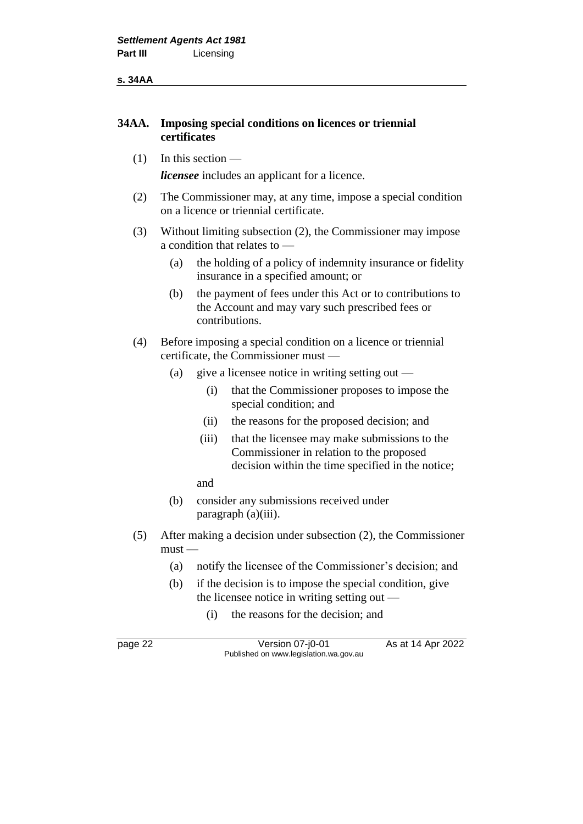**s. 34AA**

#### **34AA. Imposing special conditions on licences or triennial certificates**

 $(1)$  In this section —

*licensee* includes an applicant for a licence.

- (2) The Commissioner may, at any time, impose a special condition on a licence or triennial certificate.
- (3) Without limiting subsection (2), the Commissioner may impose a condition that relates to —
	- (a) the holding of a policy of indemnity insurance or fidelity insurance in a specified amount; or
	- (b) the payment of fees under this Act or to contributions to the Account and may vary such prescribed fees or contributions.
- (4) Before imposing a special condition on a licence or triennial certificate, the Commissioner must —
	- (a) give a licensee notice in writing setting out
		- (i) that the Commissioner proposes to impose the special condition; and
		- (ii) the reasons for the proposed decision; and
		- (iii) that the licensee may make submissions to the Commissioner in relation to the proposed decision within the time specified in the notice;
		- and
	- (b) consider any submissions received under paragraph (a)(iii).
- (5) After making a decision under subsection (2), the Commissioner must —
	- (a) notify the licensee of the Commissioner's decision; and
	- (b) if the decision is to impose the special condition, give the licensee notice in writing setting out —
		- (i) the reasons for the decision; and

page 22 **Version 07-j0-01** As at 14 Apr 2022 Published on www.legislation.wa.gov.au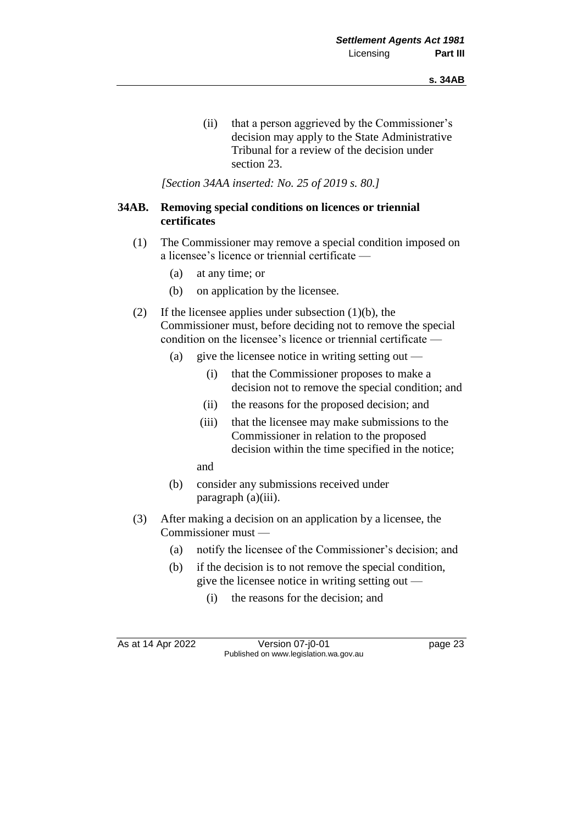(ii) that a person aggrieved by the Commissioner's decision may apply to the State Administrative Tribunal for a review of the decision under section 23.

*[Section 34AA inserted: No. 25 of 2019 s. 80.]*

#### **34AB. Removing special conditions on licences or triennial certificates**

- (1) The Commissioner may remove a special condition imposed on a licensee's licence or triennial certificate —
	- (a) at any time; or
	- (b) on application by the licensee.
- (2) If the licensee applies under subsection  $(1)(b)$ , the Commissioner must, before deciding not to remove the special condition on the licensee's licence or triennial certificate —
	- (a) give the licensee notice in writing setting out
		- (i) that the Commissioner proposes to make a decision not to remove the special condition; and
		- (ii) the reasons for the proposed decision; and
		- (iii) that the licensee may make submissions to the Commissioner in relation to the proposed decision within the time specified in the notice;

and

- (b) consider any submissions received under paragraph (a)(iii).
- (3) After making a decision on an application by a licensee, the Commissioner must —
	- (a) notify the licensee of the Commissioner's decision; and
	- (b) if the decision is to not remove the special condition, give the licensee notice in writing setting out —
		- (i) the reasons for the decision; and

As at 14 Apr 2022 Version 07-j0-01 page 23 Published on www.legislation.wa.gov.au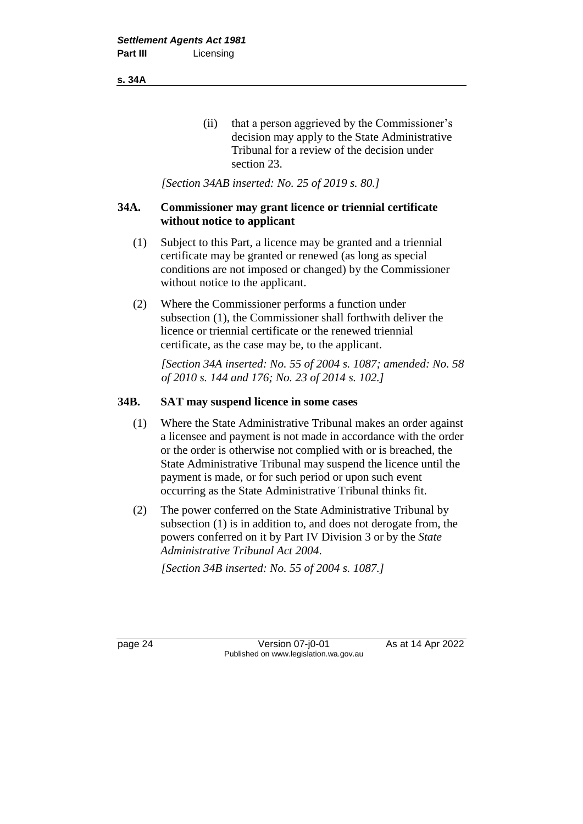**s. 34A**

(ii) that a person aggrieved by the Commissioner's decision may apply to the State Administrative Tribunal for a review of the decision under section 23.

*[Section 34AB inserted: No. 25 of 2019 s. 80.]*

#### **34A. Commissioner may grant licence or triennial certificate without notice to applicant**

- (1) Subject to this Part, a licence may be granted and a triennial certificate may be granted or renewed (as long as special conditions are not imposed or changed) by the Commissioner without notice to the applicant.
- (2) Where the Commissioner performs a function under subsection (1), the Commissioner shall forthwith deliver the licence or triennial certificate or the renewed triennial certificate, as the case may be, to the applicant.

*[Section 34A inserted: No. 55 of 2004 s. 1087; amended: No. 58 of 2010 s. 144 and 176; No. 23 of 2014 s. 102.]*

#### **34B. SAT may suspend licence in some cases**

- (1) Where the State Administrative Tribunal makes an order against a licensee and payment is not made in accordance with the order or the order is otherwise not complied with or is breached, the State Administrative Tribunal may suspend the licence until the payment is made, or for such period or upon such event occurring as the State Administrative Tribunal thinks fit.
- (2) The power conferred on the State Administrative Tribunal by subsection (1) is in addition to, and does not derogate from, the powers conferred on it by Part IV Division 3 or by the *State Administrative Tribunal Act 2004*. *[Section 34B inserted: No. 55 of 2004 s. 1087.]*

page 24 Version 07-j0-01 As at 14 Apr 2022 Published on www.legislation.wa.gov.au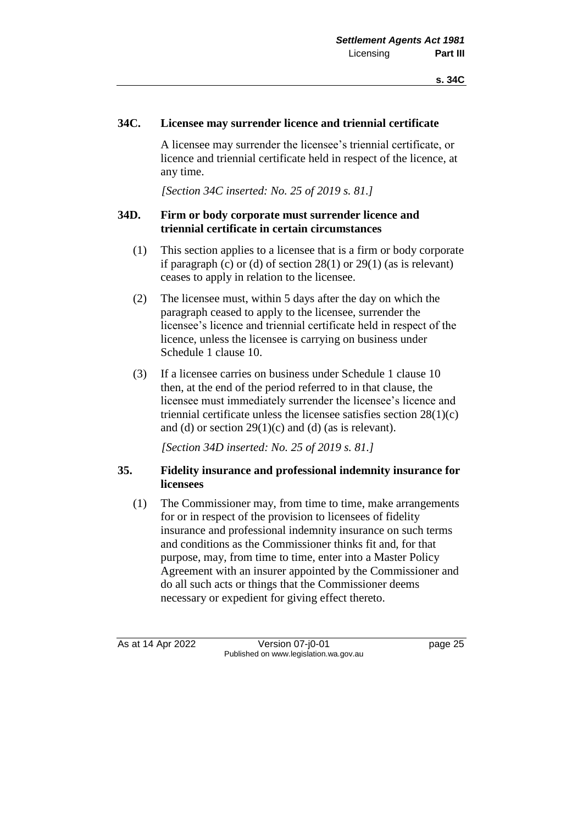#### **34C. Licensee may surrender licence and triennial certificate**

A licensee may surrender the licensee's triennial certificate, or licence and triennial certificate held in respect of the licence, at any time.

*[Section 34C inserted: No. 25 of 2019 s. 81.]*

#### **34D. Firm or body corporate must surrender licence and triennial certificate in certain circumstances**

- (1) This section applies to a licensee that is a firm or body corporate if paragraph (c) or (d) of section  $28(1)$  or  $29(1)$  (as is relevant) ceases to apply in relation to the licensee.
- (2) The licensee must, within 5 days after the day on which the paragraph ceased to apply to the licensee, surrender the licensee's licence and triennial certificate held in respect of the licence, unless the licensee is carrying on business under Schedule 1 clause 10.
- (3) If a licensee carries on business under Schedule 1 clause 10 then, at the end of the period referred to in that clause, the licensee must immediately surrender the licensee's licence and triennial certificate unless the licensee satisfies section 28(1)(c) and (d) or section  $29(1)(c)$  and (d) (as is relevant).

*[Section 34D inserted: No. 25 of 2019 s. 81.]*

#### **35. Fidelity insurance and professional indemnity insurance for licensees**

(1) The Commissioner may, from time to time, make arrangements for or in respect of the provision to licensees of fidelity insurance and professional indemnity insurance on such terms and conditions as the Commissioner thinks fit and, for that purpose, may, from time to time, enter into a Master Policy Agreement with an insurer appointed by the Commissioner and do all such acts or things that the Commissioner deems necessary or expedient for giving effect thereto.

As at 14 Apr 2022 Version 07-j0-01 page 25 Published on www.legislation.wa.gov.au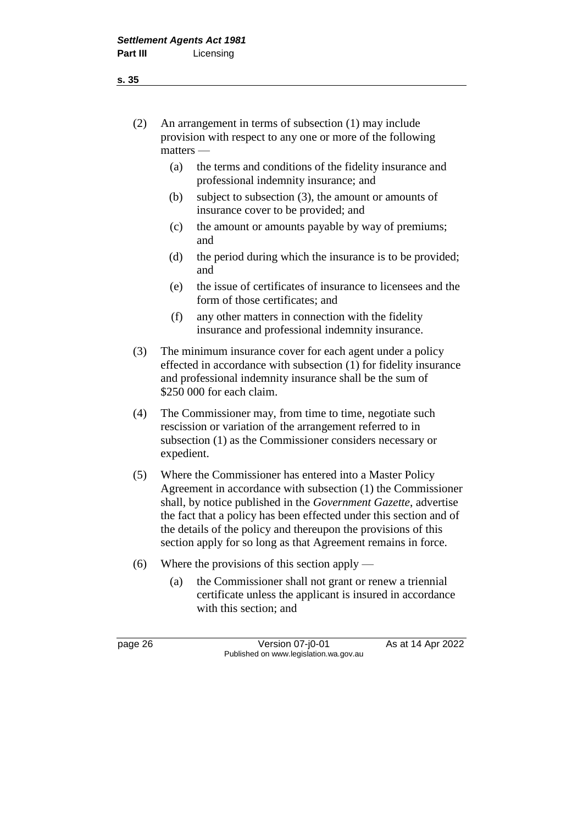(2) An arrangement in terms of subsection (1) may include provision with respect to any one or more of the following matters —

- (a) the terms and conditions of the fidelity insurance and professional indemnity insurance; and
- (b) subject to subsection (3), the amount or amounts of insurance cover to be provided; and
- (c) the amount or amounts payable by way of premiums; and
- (d) the period during which the insurance is to be provided; and
- (e) the issue of certificates of insurance to licensees and the form of those certificates; and
- (f) any other matters in connection with the fidelity insurance and professional indemnity insurance.
- (3) The minimum insurance cover for each agent under a policy effected in accordance with subsection (1) for fidelity insurance and professional indemnity insurance shall be the sum of \$250 000 for each claim.
- (4) The Commissioner may, from time to time, negotiate such rescission or variation of the arrangement referred to in subsection (1) as the Commissioner considers necessary or expedient.
- (5) Where the Commissioner has entered into a Master Policy Agreement in accordance with subsection (1) the Commissioner shall, by notice published in the *Government Gazette*, advertise the fact that a policy has been effected under this section and of the details of the policy and thereupon the provisions of this section apply for so long as that Agreement remains in force.
- (6) Where the provisions of this section apply
	- (a) the Commissioner shall not grant or renew a triennial certificate unless the applicant is insured in accordance with this section; and

page 26 **Version 07-j0-01** As at 14 Apr 2022 Published on www.legislation.wa.gov.au

**s. 35**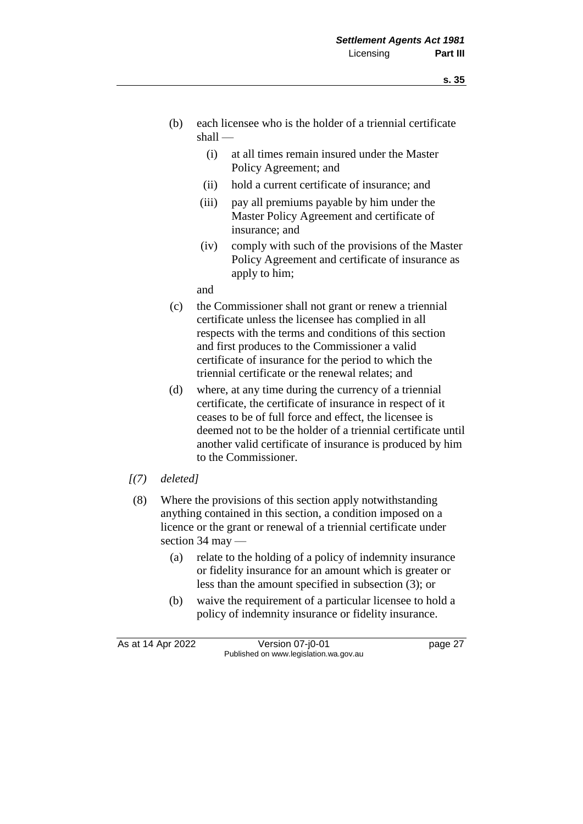- (b) each licensee who is the holder of a triennial certificate shall —
	- (i) at all times remain insured under the Master Policy Agreement; and
	- (ii) hold a current certificate of insurance; and
	- (iii) pay all premiums payable by him under the Master Policy Agreement and certificate of insurance; and
	- (iv) comply with such of the provisions of the Master Policy Agreement and certificate of insurance as apply to him;

and

- (c) the Commissioner shall not grant or renew a triennial certificate unless the licensee has complied in all respects with the terms and conditions of this section and first produces to the Commissioner a valid certificate of insurance for the period to which the triennial certificate or the renewal relates; and
- (d) where, at any time during the currency of a triennial certificate, the certificate of insurance in respect of it ceases to be of full force and effect, the licensee is deemed not to be the holder of a triennial certificate until another valid certificate of insurance is produced by him to the Commissioner.
- *[(7) deleted]*
- (8) Where the provisions of this section apply notwithstanding anything contained in this section, a condition imposed on a licence or the grant or renewal of a triennial certificate under section 34 may —
	- (a) relate to the holding of a policy of indemnity insurance or fidelity insurance for an amount which is greater or less than the amount specified in subsection (3); or
	- (b) waive the requirement of a particular licensee to hold a policy of indemnity insurance or fidelity insurance.

As at 14 Apr 2022 Version 07-j0-01 page 27 Published on www.legislation.wa.gov.au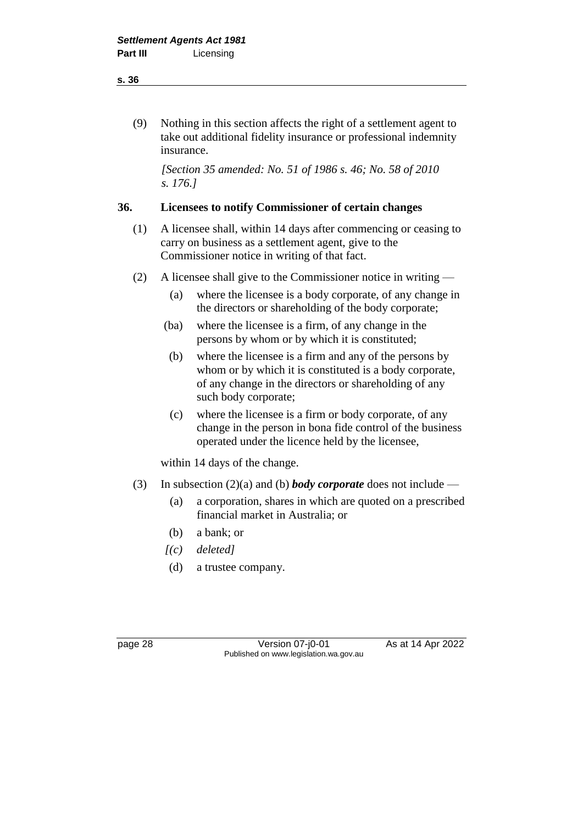(9) Nothing in this section affects the right of a settlement agent to take out additional fidelity insurance or professional indemnity insurance.

*[Section 35 amended: No. 51 of 1986 s. 46; No. 58 of 2010 s. 176.]*

# **36. Licensees to notify Commissioner of certain changes**

- (1) A licensee shall, within 14 days after commencing or ceasing to carry on business as a settlement agent, give to the Commissioner notice in writing of that fact.
- (2) A licensee shall give to the Commissioner notice in writing
	- (a) where the licensee is a body corporate, of any change in the directors or shareholding of the body corporate;
	- (ba) where the licensee is a firm, of any change in the persons by whom or by which it is constituted;
	- (b) where the licensee is a firm and any of the persons by whom or by which it is constituted is a body corporate, of any change in the directors or shareholding of any such body corporate;
	- (c) where the licensee is a firm or body corporate, of any change in the person in bona fide control of the business operated under the licence held by the licensee,

within 14 days of the change.

- (3) In subsection (2)(a) and (b) *body corporate* does not include
	- (a) a corporation, shares in which are quoted on a prescribed financial market in Australia; or
	- (b) a bank; or
	- *[(c) deleted]*
	- (d) a trustee company.

page 28 Version 07-j0-01 As at 14 Apr 2022 Published on www.legislation.wa.gov.au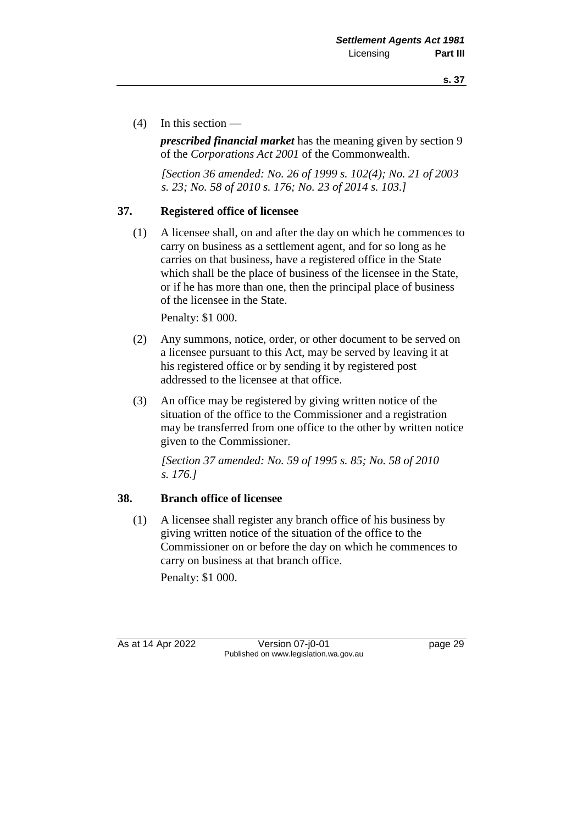(4) In this section —

*prescribed financial market* has the meaning given by section 9 of the *Corporations Act 2001* of the Commonwealth.

*[Section 36 amended: No. 26 of 1999 s. 102(4); No. 21 of 2003 s. 23; No. 58 of 2010 s. 176; No. 23 of 2014 s. 103.]*

# **37. Registered office of licensee**

(1) A licensee shall, on and after the day on which he commences to carry on business as a settlement agent, and for so long as he carries on that business, have a registered office in the State which shall be the place of business of the licensee in the State, or if he has more than one, then the principal place of business of the licensee in the State.

Penalty: \$1 000.

- (2) Any summons, notice, order, or other document to be served on a licensee pursuant to this Act, may be served by leaving it at his registered office or by sending it by registered post addressed to the licensee at that office.
- (3) An office may be registered by giving written notice of the situation of the office to the Commissioner and a registration may be transferred from one office to the other by written notice given to the Commissioner.

*[Section 37 amended: No. 59 of 1995 s. 85; No. 58 of 2010 s. 176.]*

# **38. Branch office of licensee**

(1) A licensee shall register any branch office of his business by giving written notice of the situation of the office to the Commissioner on or before the day on which he commences to carry on business at that branch office.

Penalty: \$1 000.

As at 14 Apr 2022 Version 07-j0-01 Page 29 Published on www.legislation.wa.gov.au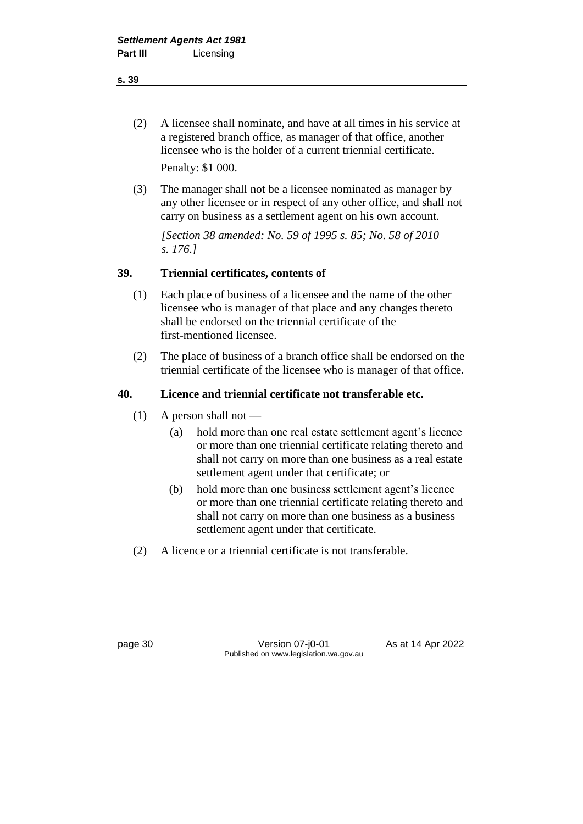- **s. 39**
	- (2) A licensee shall nominate, and have at all times in his service at a registered branch office, as manager of that office, another licensee who is the holder of a current triennial certificate. Penalty: \$1 000.
	- (3) The manager shall not be a licensee nominated as manager by any other licensee or in respect of any other office, and shall not carry on business as a settlement agent on his own account.

*[Section 38 amended: No. 59 of 1995 s. 85; No. 58 of 2010 s. 176.]*

# **39. Triennial certificates, contents of**

- (1) Each place of business of a licensee and the name of the other licensee who is manager of that place and any changes thereto shall be endorsed on the triennial certificate of the first-mentioned licensee.
- (2) The place of business of a branch office shall be endorsed on the triennial certificate of the licensee who is manager of that office.

## **40. Licence and triennial certificate not transferable etc.**

- $(1)$  A person shall not
	- (a) hold more than one real estate settlement agent's licence or more than one triennial certificate relating thereto and shall not carry on more than one business as a real estate settlement agent under that certificate; or
	- (b) hold more than one business settlement agent's licence or more than one triennial certificate relating thereto and shall not carry on more than one business as a business settlement agent under that certificate.
- (2) A licence or a triennial certificate is not transferable.

page 30 **Version 07-j0-01** As at 14 Apr 2022 Published on www.legislation.wa.gov.au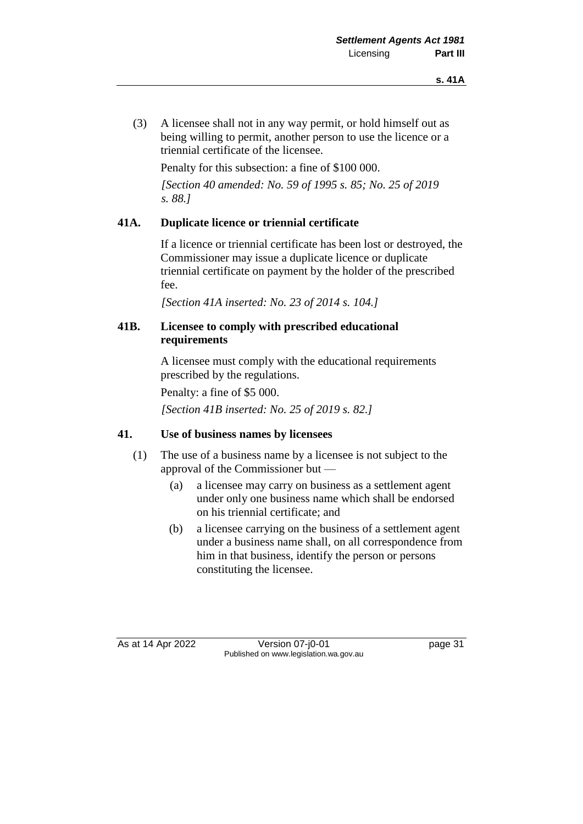(3) A licensee shall not in any way permit, or hold himself out as being willing to permit, another person to use the licence or a triennial certificate of the licensee.

Penalty for this subsection: a fine of \$100 000.

*[Section 40 amended: No. 59 of 1995 s. 85; No. 25 of 2019 s. 88.]*

## **41A. Duplicate licence or triennial certificate**

If a licence or triennial certificate has been lost or destroyed, the Commissioner may issue a duplicate licence or duplicate triennial certificate on payment by the holder of the prescribed fee.

*[Section 41A inserted: No. 23 of 2014 s. 104.]*

## **41B. Licensee to comply with prescribed educational requirements**

A licensee must comply with the educational requirements prescribed by the regulations.

Penalty: a fine of \$5 000.

*[Section 41B inserted: No. 25 of 2019 s. 82.]*

#### **41. Use of business names by licensees**

- (1) The use of a business name by a licensee is not subject to the approval of the Commissioner but —
	- (a) a licensee may carry on business as a settlement agent under only one business name which shall be endorsed on his triennial certificate; and
	- (b) a licensee carrying on the business of a settlement agent under a business name shall, on all correspondence from him in that business, identify the person or persons constituting the licensee.

As at 14 Apr 2022 Version 07-j0-01 page 31 Published on www.legislation.wa.gov.au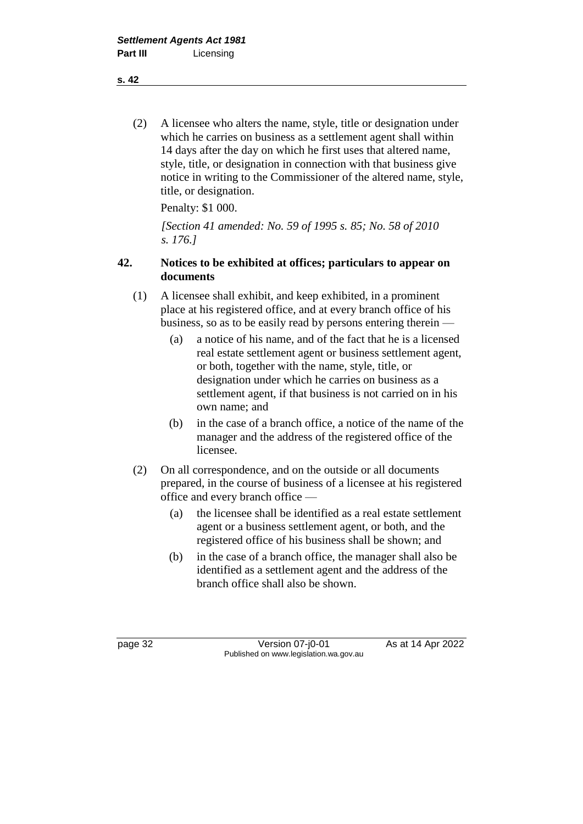(2) A licensee who alters the name, style, title or designation under which he carries on business as a settlement agent shall within 14 days after the day on which he first uses that altered name, style, title, or designation in connection with that business give notice in writing to the Commissioner of the altered name, style, title, or designation.

Penalty: \$1 000.

*[Section 41 amended: No. 59 of 1995 s. 85; No. 58 of 2010 s. 176.]*

## **42. Notices to be exhibited at offices; particulars to appear on documents**

- (1) A licensee shall exhibit, and keep exhibited, in a prominent place at his registered office, and at every branch office of his business, so as to be easily read by persons entering therein —
	- (a) a notice of his name, and of the fact that he is a licensed real estate settlement agent or business settlement agent, or both, together with the name, style, title, or designation under which he carries on business as a settlement agent, if that business is not carried on in his own name; and
	- (b) in the case of a branch office, a notice of the name of the manager and the address of the registered office of the licensee.
- (2) On all correspondence, and on the outside or all documents prepared, in the course of business of a licensee at his registered office and every branch office —
	- (a) the licensee shall be identified as a real estate settlement agent or a business settlement agent, or both, and the registered office of his business shall be shown; and
	- (b) in the case of a branch office, the manager shall also be identified as a settlement agent and the address of the branch office shall also be shown.

page 32 Version 07-j0-01 As at 14 Apr 2022 Published on www.legislation.wa.gov.au

**s. 42**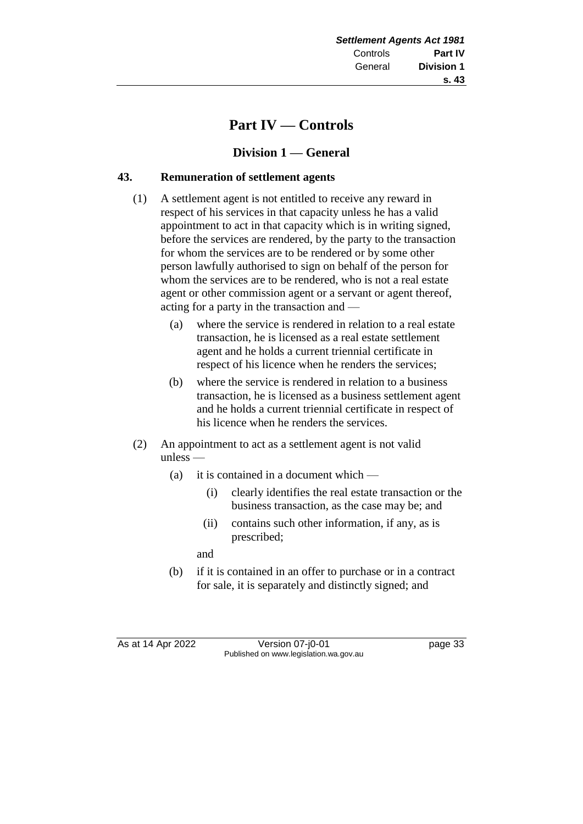# **Part IV — Controls**

# **Division 1 — General**

# **43. Remuneration of settlement agents**

- (1) A settlement agent is not entitled to receive any reward in respect of his services in that capacity unless he has a valid appointment to act in that capacity which is in writing signed, before the services are rendered, by the party to the transaction for whom the services are to be rendered or by some other person lawfully authorised to sign on behalf of the person for whom the services are to be rendered, who is not a real estate agent or other commission agent or a servant or agent thereof, acting for a party in the transaction and —
	- (a) where the service is rendered in relation to a real estate transaction, he is licensed as a real estate settlement agent and he holds a current triennial certificate in respect of his licence when he renders the services;
	- (b) where the service is rendered in relation to a business transaction, he is licensed as a business settlement agent and he holds a current triennial certificate in respect of his licence when he renders the services.
- (2) An appointment to act as a settlement agent is not valid unless —
	- (a) it is contained in a document which
		- (i) clearly identifies the real estate transaction or the business transaction, as the case may be; and
		- (ii) contains such other information, if any, as is prescribed;

and

(b) if it is contained in an offer to purchase or in a contract for sale, it is separately and distinctly signed; and

As at 14 Apr 2022 Version 07-j0-01 page 33 Published on www.legislation.wa.gov.au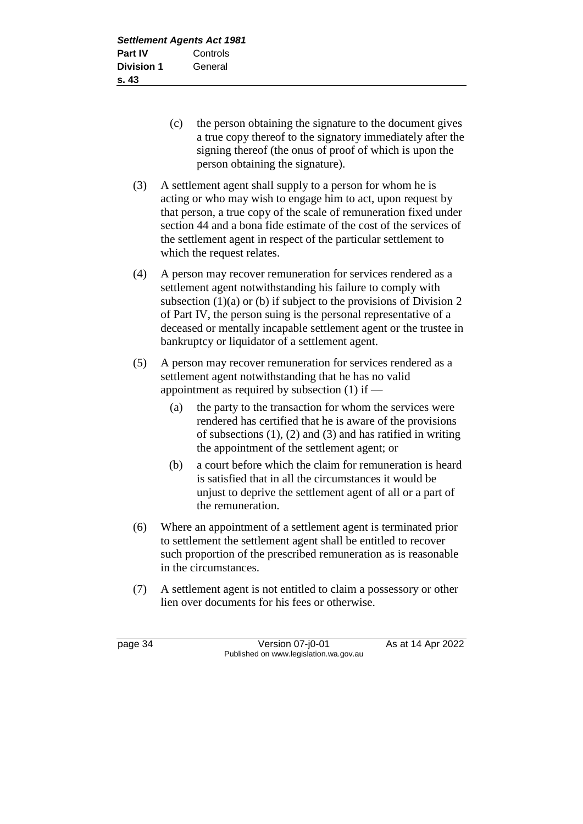- (c) the person obtaining the signature to the document gives a true copy thereof to the signatory immediately after the signing thereof (the onus of proof of which is upon the person obtaining the signature).
- (3) A settlement agent shall supply to a person for whom he is acting or who may wish to engage him to act, upon request by that person, a true copy of the scale of remuneration fixed under section 44 and a bona fide estimate of the cost of the services of the settlement agent in respect of the particular settlement to which the request relates.
- (4) A person may recover remuneration for services rendered as a settlement agent notwithstanding his failure to comply with subsection  $(1)(a)$  or  $(b)$  if subject to the provisions of Division 2 of Part IV, the person suing is the personal representative of a deceased or mentally incapable settlement agent or the trustee in bankruptcy or liquidator of a settlement agent.
- (5) A person may recover remuneration for services rendered as a settlement agent notwithstanding that he has no valid appointment as required by subsection (1) if —
	- (a) the party to the transaction for whom the services were rendered has certified that he is aware of the provisions of subsections  $(1)$ ,  $(2)$  and  $(3)$  and has ratified in writing the appointment of the settlement agent; or
	- (b) a court before which the claim for remuneration is heard is satisfied that in all the circumstances it would be unjust to deprive the settlement agent of all or a part of the remuneration.
- (6) Where an appointment of a settlement agent is terminated prior to settlement the settlement agent shall be entitled to recover such proportion of the prescribed remuneration as is reasonable in the circumstances.
- (7) A settlement agent is not entitled to claim a possessory or other lien over documents for his fees or otherwise.

page 34 Version 07-j0-01 As at 14 Apr 2022 Published on www.legislation.wa.gov.au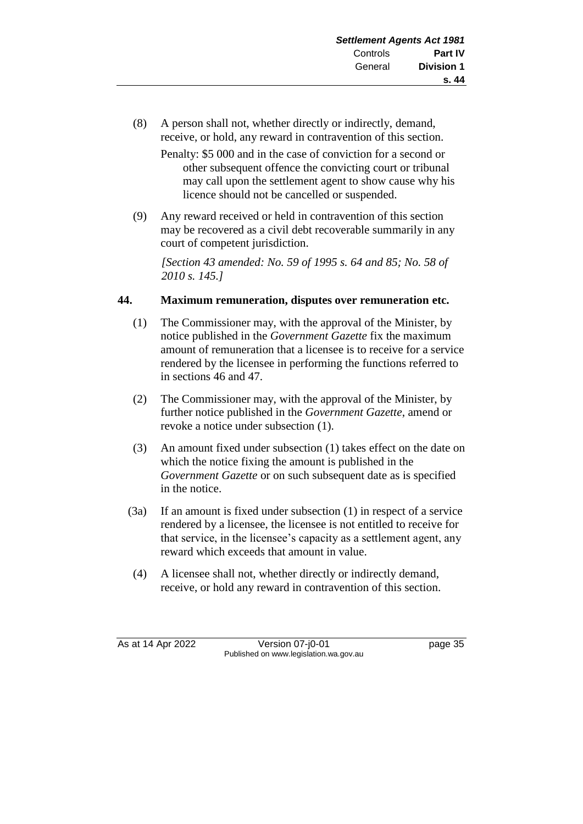- (8) A person shall not, whether directly or indirectly, demand, receive, or hold, any reward in contravention of this section.
	- Penalty: \$5 000 and in the case of conviction for a second or other subsequent offence the convicting court or tribunal may call upon the settlement agent to show cause why his licence should not be cancelled or suspended.
- (9) Any reward received or held in contravention of this section may be recovered as a civil debt recoverable summarily in any court of competent jurisdiction.

*[Section 43 amended: No. 59 of 1995 s. 64 and 85; No. 58 of 2010 s. 145.]*

# **44. Maximum remuneration, disputes over remuneration etc.**

- (1) The Commissioner may, with the approval of the Minister, by notice published in the *Government Gazette* fix the maximum amount of remuneration that a licensee is to receive for a service rendered by the licensee in performing the functions referred to in sections 46 and 47.
- (2) The Commissioner may, with the approval of the Minister, by further notice published in the *Government Gazette*, amend or revoke a notice under subsection (1).
- (3) An amount fixed under subsection (1) takes effect on the date on which the notice fixing the amount is published in the *Government Gazette* or on such subsequent date as is specified in the notice.
- (3a) If an amount is fixed under subsection (1) in respect of a service rendered by a licensee, the licensee is not entitled to receive for that service, in the licensee's capacity as a settlement agent, any reward which exceeds that amount in value.
- (4) A licensee shall not, whether directly or indirectly demand, receive, or hold any reward in contravention of this section.

As at 14 Apr 2022 Version 07-j0-01 page 35 Published on www.legislation.wa.gov.au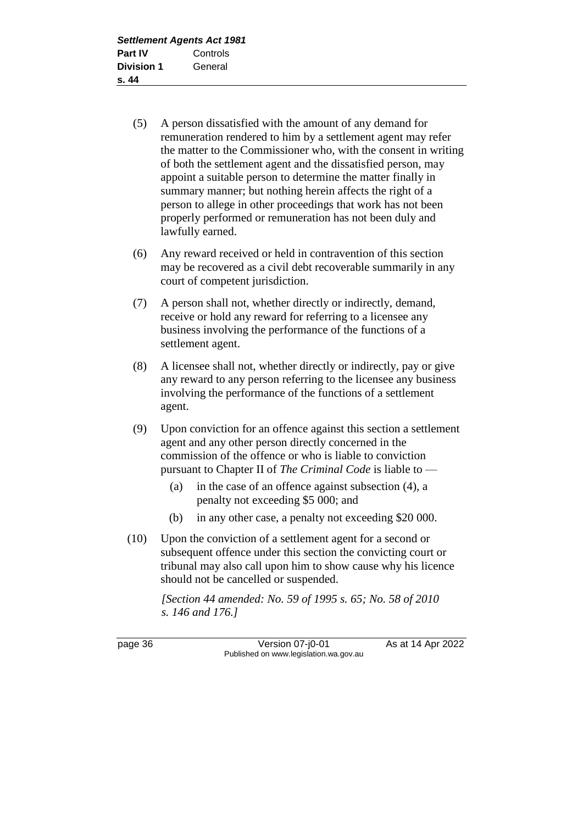- (5) A person dissatisfied with the amount of any demand for remuneration rendered to him by a settlement agent may refer the matter to the Commissioner who, with the consent in writing of both the settlement agent and the dissatisfied person, may appoint a suitable person to determine the matter finally in summary manner; but nothing herein affects the right of a person to allege in other proceedings that work has not been properly performed or remuneration has not been duly and lawfully earned.
- (6) Any reward received or held in contravention of this section may be recovered as a civil debt recoverable summarily in any court of competent jurisdiction.
- (7) A person shall not, whether directly or indirectly, demand, receive or hold any reward for referring to a licensee any business involving the performance of the functions of a settlement agent.
- (8) A licensee shall not, whether directly or indirectly, pay or give any reward to any person referring to the licensee any business involving the performance of the functions of a settlement agent.
- (9) Upon conviction for an offence against this section a settlement agent and any other person directly concerned in the commission of the offence or who is liable to conviction pursuant to Chapter II of *The Criminal Code* is liable to —
	- (a) in the case of an offence against subsection (4), a penalty not exceeding \$5 000; and
	- (b) in any other case, a penalty not exceeding \$20 000.
- (10) Upon the conviction of a settlement agent for a second or subsequent offence under this section the convicting court or tribunal may also call upon him to show cause why his licence should not be cancelled or suspended.

*[Section 44 amended: No. 59 of 1995 s. 65; No. 58 of 2010 s. 146 and 176.]*

page 36 **Version 07-j0-01** As at 14 Apr 2022 Published on www.legislation.wa.gov.au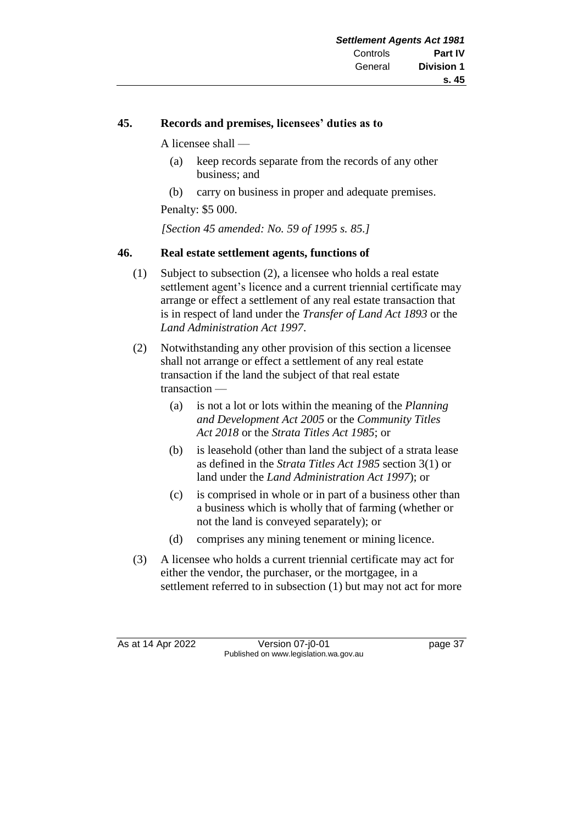## **45. Records and premises, licensees' duties as to**

A licensee shall —

- (a) keep records separate from the records of any other business; and
- (b) carry on business in proper and adequate premises.

Penalty: \$5 000.

*[Section 45 amended: No. 59 of 1995 s. 85.]*

#### **46. Real estate settlement agents, functions of**

- (1) Subject to subsection (2), a licensee who holds a real estate settlement agent's licence and a current triennial certificate may arrange or effect a settlement of any real estate transaction that is in respect of land under the *Transfer of Land Act 1893* or the *Land Administration Act 1997*.
- (2) Notwithstanding any other provision of this section a licensee shall not arrange or effect a settlement of any real estate transaction if the land the subject of that real estate transaction —
	- (a) is not a lot or lots within the meaning of the *Planning and Development Act 2005* or the *Community Titles Act 2018* or the *Strata Titles Act 1985*; or
	- (b) is leasehold (other than land the subject of a strata lease as defined in the *Strata Titles Act 1985* section 3(1) or land under the *Land Administration Act 1997*); or
	- (c) is comprised in whole or in part of a business other than a business which is wholly that of farming (whether or not the land is conveyed separately); or
	- (d) comprises any mining tenement or mining licence.
- (3) A licensee who holds a current triennial certificate may act for either the vendor, the purchaser, or the mortgagee, in a settlement referred to in subsection (1) but may not act for more

As at 14 Apr 2022 Version 07-j0-01 page 37 Published on www.legislation.wa.gov.au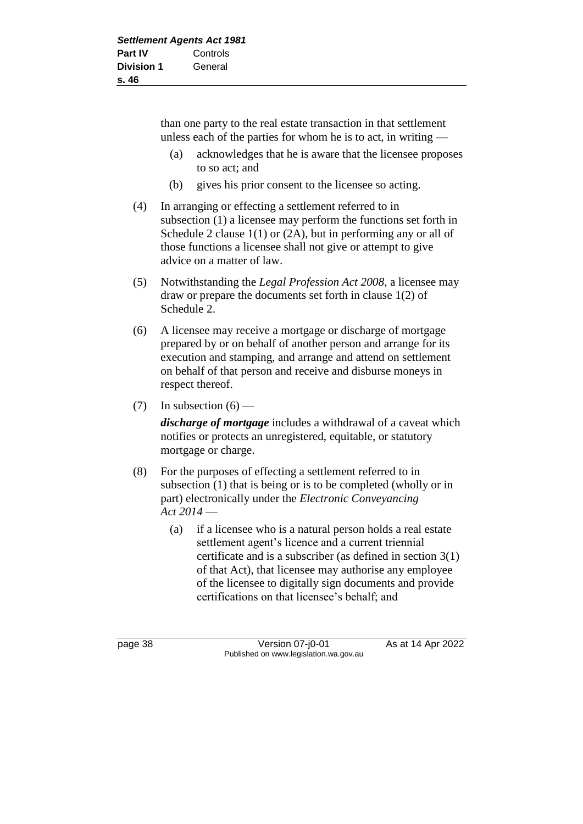than one party to the real estate transaction in that settlement unless each of the parties for whom he is to act, in writing —

- (a) acknowledges that he is aware that the licensee proposes to so act; and
- (b) gives his prior consent to the licensee so acting.
- (4) In arranging or effecting a settlement referred to in subsection (1) a licensee may perform the functions set forth in Schedule 2 clause 1(1) or (2A), but in performing any or all of those functions a licensee shall not give or attempt to give advice on a matter of law.
- (5) Notwithstanding the *Legal Profession Act 2008*, a licensee may draw or prepare the documents set forth in clause 1(2) of Schedule 2.
- (6) A licensee may receive a mortgage or discharge of mortgage prepared by or on behalf of another person and arrange for its execution and stamping, and arrange and attend on settlement on behalf of that person and receive and disburse moneys in respect thereof.
- (7) In subsection  $(6)$  —

*discharge of mortgage* includes a withdrawal of a caveat which notifies or protects an unregistered, equitable, or statutory mortgage or charge.

- (8) For the purposes of effecting a settlement referred to in subsection (1) that is being or is to be completed (wholly or in part) electronically under the *Electronic Conveyancing Act 2014* —
	- (a) if a licensee who is a natural person holds a real estate settlement agent's licence and a current triennial certificate and is a subscriber (as defined in section 3(1) of that Act), that licensee may authorise any employee of the licensee to digitally sign documents and provide certifications on that licensee's behalf; and

page 38 Version 07-j0-01 As at 14 Apr 2022 Published on www.legislation.wa.gov.au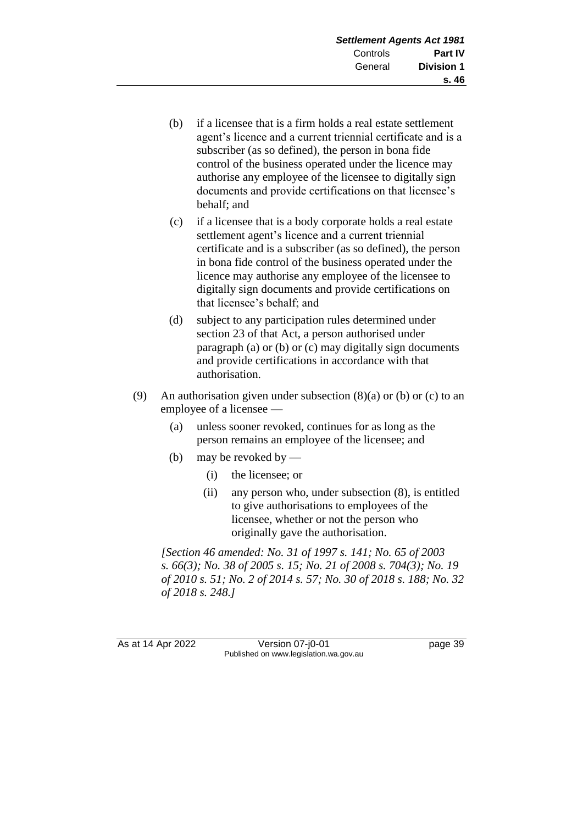- (b) if a licensee that is a firm holds a real estate settlement agent's licence and a current triennial certificate and is a subscriber (as so defined), the person in bona fide control of the business operated under the licence may authorise any employee of the licensee to digitally sign documents and provide certifications on that licensee's behalf; and
- (c) if a licensee that is a body corporate holds a real estate settlement agent's licence and a current triennial certificate and is a subscriber (as so defined), the person in bona fide control of the business operated under the licence may authorise any employee of the licensee to digitally sign documents and provide certifications on that licensee's behalf; and
- (d) subject to any participation rules determined under section 23 of that Act, a person authorised under paragraph (a) or (b) or (c) may digitally sign documents and provide certifications in accordance with that authorisation.
- (9) An authorisation given under subsection  $(8)(a)$  or  $(b)$  or  $(c)$  to an employee of a licensee —
	- (a) unless sooner revoked, continues for as long as the person remains an employee of the licensee; and
	- (b) may be revoked by
		- (i) the licensee; or
		- (ii) any person who, under subsection (8), is entitled to give authorisations to employees of the licensee, whether or not the person who originally gave the authorisation.

*[Section 46 amended: No. 31 of 1997 s. 141; No. 65 of 2003 s. 66(3); No. 38 of 2005 s. 15; No. 21 of 2008 s. 704(3); No. 19 of 2010 s. 51; No. 2 of 2014 s. 57; No. 30 of 2018 s. 188; No. 32 of 2018 s. 248.]*

As at 14 Apr 2022 Version 07-j0-01 page 39 Published on www.legislation.wa.gov.au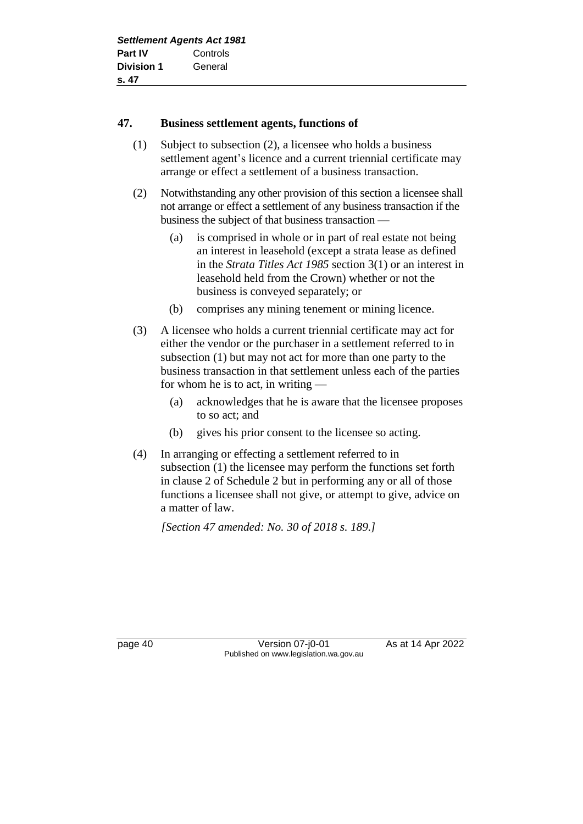#### **47. Business settlement agents, functions of**

- (1) Subject to subsection (2), a licensee who holds a business settlement agent's licence and a current triennial certificate may arrange or effect a settlement of a business transaction.
- (2) Notwithstanding any other provision of this section a licensee shall not arrange or effect a settlement of any business transaction if the business the subject of that business transaction —
	- (a) is comprised in whole or in part of real estate not being an interest in leasehold (except a strata lease as defined in the *Strata Titles Act 1985* section 3(1) or an interest in leasehold held from the Crown) whether or not the business is conveyed separately; or
	- (b) comprises any mining tenement or mining licence.
- (3) A licensee who holds a current triennial certificate may act for either the vendor or the purchaser in a settlement referred to in subsection (1) but may not act for more than one party to the business transaction in that settlement unless each of the parties for whom he is to act, in writing —
	- (a) acknowledges that he is aware that the licensee proposes to so act; and
	- (b) gives his prior consent to the licensee so acting.
- (4) In arranging or effecting a settlement referred to in subsection (1) the licensee may perform the functions set forth in clause 2 of Schedule 2 but in performing any or all of those functions a licensee shall not give, or attempt to give, advice on a matter of law.

*[Section 47 amended: No. 30 of 2018 s. 189.]*

page 40 Version 07-j0-01 As at 14 Apr 2022 Published on www.legislation.wa.gov.au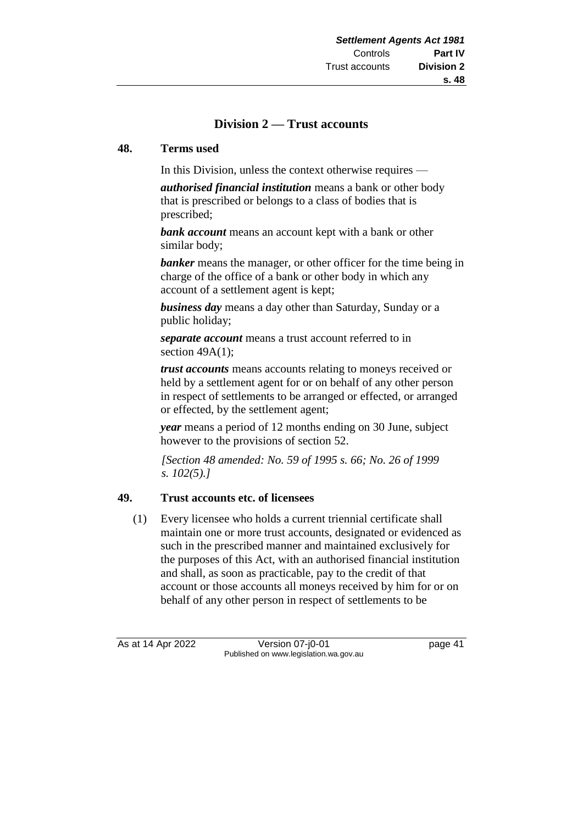# **Division 2 — Trust accounts**

#### **48. Terms used**

In this Division, unless the context otherwise requires —

*authorised financial institution* means a bank or other body that is prescribed or belongs to a class of bodies that is prescribed;

*bank account* means an account kept with a bank or other similar body;

**banker** means the manager, or other officer for the time being in charge of the office of a bank or other body in which any account of a settlement agent is kept;

*business day* means a day other than Saturday, Sunday or a public holiday;

*separate account* means a trust account referred to in section  $49A(1)$ ;

*trust accounts* means accounts relating to moneys received or held by a settlement agent for or on behalf of any other person in respect of settlements to be arranged or effected, or arranged or effected, by the settlement agent;

*year* means a period of 12 months ending on 30 June, subject however to the provisions of section 52.

*[Section 48 amended: No. 59 of 1995 s. 66; No. 26 of 1999 s. 102(5).]*

#### **49. Trust accounts etc. of licensees**

(1) Every licensee who holds a current triennial certificate shall maintain one or more trust accounts, designated or evidenced as such in the prescribed manner and maintained exclusively for the purposes of this Act, with an authorised financial institution and shall, as soon as practicable, pay to the credit of that account or those accounts all moneys received by him for or on behalf of any other person in respect of settlements to be

As at 14 Apr 2022 Version 07-j0-01 page 41 Published on www.legislation.wa.gov.au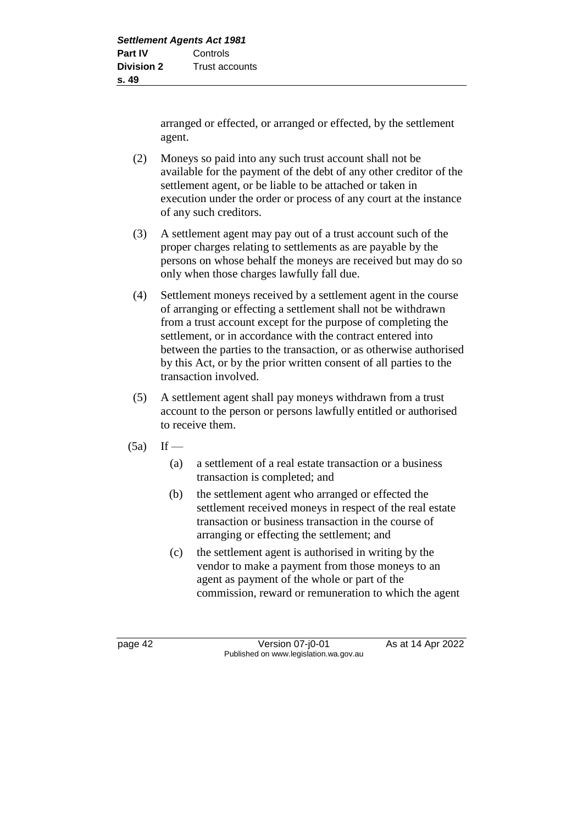arranged or effected, or arranged or effected, by the settlement agent.

- (2) Moneys so paid into any such trust account shall not be available for the payment of the debt of any other creditor of the settlement agent, or be liable to be attached or taken in execution under the order or process of any court at the instance of any such creditors.
- (3) A settlement agent may pay out of a trust account such of the proper charges relating to settlements as are payable by the persons on whose behalf the moneys are received but may do so only when those charges lawfully fall due.
- (4) Settlement moneys received by a settlement agent in the course of arranging or effecting a settlement shall not be withdrawn from a trust account except for the purpose of completing the settlement, or in accordance with the contract entered into between the parties to the transaction, or as otherwise authorised by this Act, or by the prior written consent of all parties to the transaction involved.
- (5) A settlement agent shall pay moneys withdrawn from a trust account to the person or persons lawfully entitled or authorised to receive them.
- $(5a)$  If
	- (a) a settlement of a real estate transaction or a business transaction is completed; and
	- (b) the settlement agent who arranged or effected the settlement received moneys in respect of the real estate transaction or business transaction in the course of arranging or effecting the settlement; and
	- (c) the settlement agent is authorised in writing by the vendor to make a payment from those moneys to an agent as payment of the whole or part of the commission, reward or remuneration to which the agent

page 42 Version 07-j0-01 As at 14 Apr 2022 Published on www.legislation.wa.gov.au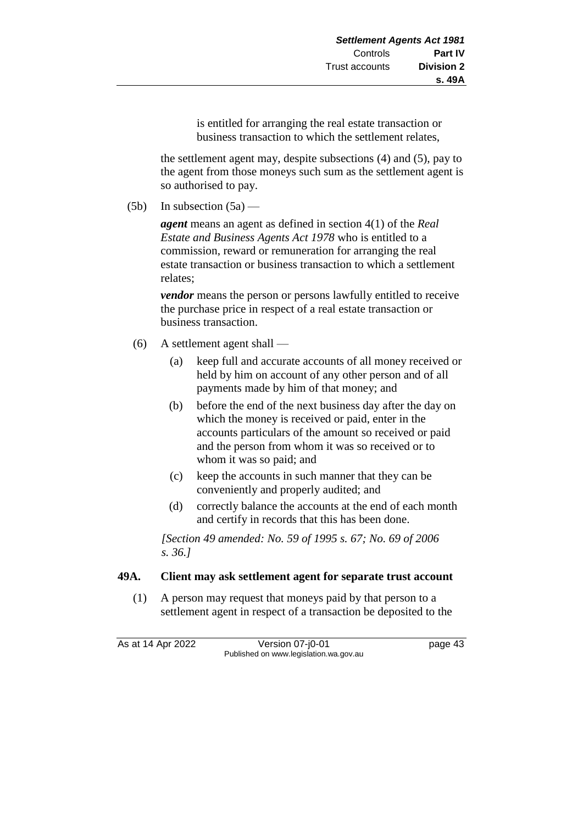is entitled for arranging the real estate transaction or business transaction to which the settlement relates,

the settlement agent may, despite subsections (4) and (5), pay to the agent from those moneys such sum as the settlement agent is so authorised to pay.

(5b) In subsection  $(5a)$  —

*agent* means an agent as defined in section 4(1) of the *Real Estate and Business Agents Act 1978* who is entitled to a commission, reward or remuneration for arranging the real estate transaction or business transaction to which a settlement relates;

*vendor* means the person or persons lawfully entitled to receive the purchase price in respect of a real estate transaction or business transaction.

- (6) A settlement agent shall
	- (a) keep full and accurate accounts of all money received or held by him on account of any other person and of all payments made by him of that money; and
	- (b) before the end of the next business day after the day on which the money is received or paid, enter in the accounts particulars of the amount so received or paid and the person from whom it was so received or to whom it was so paid; and
	- (c) keep the accounts in such manner that they can be conveniently and properly audited; and
	- (d) correctly balance the accounts at the end of each month and certify in records that this has been done.

*[Section 49 amended: No. 59 of 1995 s. 67; No. 69 of 2006 s. 36.]*

# **49A. Client may ask settlement agent for separate trust account**

(1) A person may request that moneys paid by that person to a settlement agent in respect of a transaction be deposited to the

As at 14 Apr 2022 Version 07-j0-01 page 43

Published on www.legislation.wa.gov.au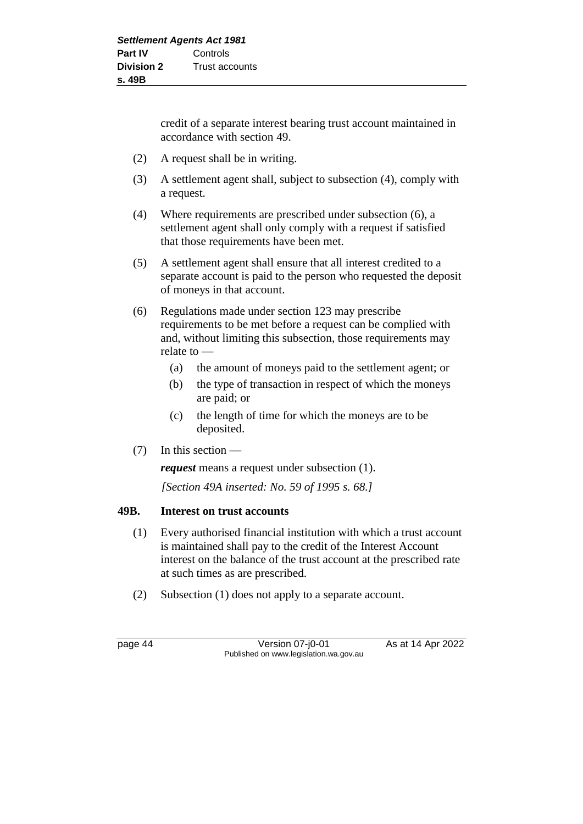credit of a separate interest bearing trust account maintained in accordance with section 49.

- (2) A request shall be in writing.
- (3) A settlement agent shall, subject to subsection (4), comply with a request.
- (4) Where requirements are prescribed under subsection (6), a settlement agent shall only comply with a request if satisfied that those requirements have been met.
- (5) A settlement agent shall ensure that all interest credited to a separate account is paid to the person who requested the deposit of moneys in that account.
- (6) Regulations made under section 123 may prescribe requirements to be met before a request can be complied with and, without limiting this subsection, those requirements may relate to —
	- (a) the amount of moneys paid to the settlement agent; or
	- (b) the type of transaction in respect of which the moneys are paid; or
	- (c) the length of time for which the moneys are to be deposited.
- (7) In this section —

*request* means a request under subsection (1).

*[Section 49A inserted: No. 59 of 1995 s. 68.]*

#### **49B. Interest on trust accounts**

- (1) Every authorised financial institution with which a trust account is maintained shall pay to the credit of the Interest Account interest on the balance of the trust account at the prescribed rate at such times as are prescribed.
- (2) Subsection (1) does not apply to a separate account.

page 44 Version 07-j0-01 As at 14 Apr 2022 Published on www.legislation.wa.gov.au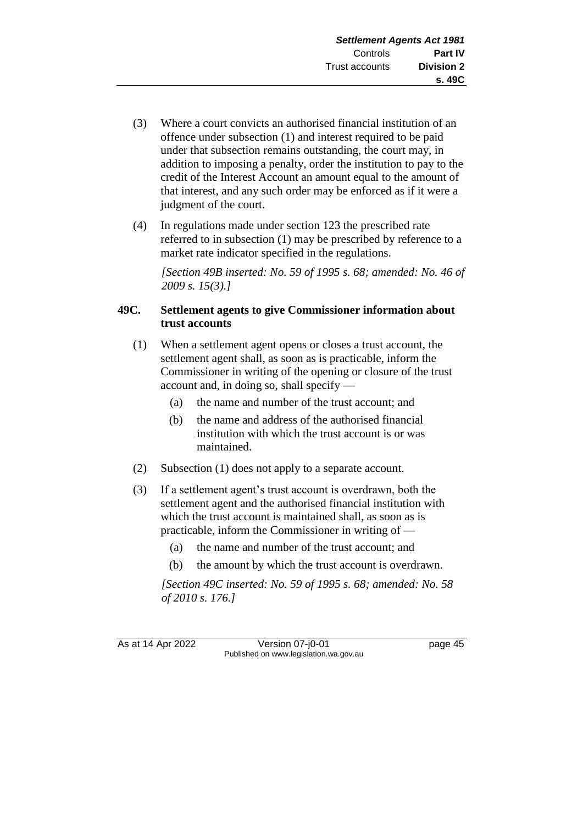- (3) Where a court convicts an authorised financial institution of an offence under subsection (1) and interest required to be paid under that subsection remains outstanding, the court may, in addition to imposing a penalty, order the institution to pay to the credit of the Interest Account an amount equal to the amount of that interest, and any such order may be enforced as if it were a judgment of the court.
- (4) In regulations made under section 123 the prescribed rate referred to in subsection (1) may be prescribed by reference to a market rate indicator specified in the regulations.

*[Section 49B inserted: No. 59 of 1995 s. 68; amended: No. 46 of 2009 s. 15(3).]*

## **49C. Settlement agents to give Commissioner information about trust accounts**

- (1) When a settlement agent opens or closes a trust account, the settlement agent shall, as soon as is practicable, inform the Commissioner in writing of the opening or closure of the trust account and, in doing so, shall specify —
	- (a) the name and number of the trust account; and
	- (b) the name and address of the authorised financial institution with which the trust account is or was maintained.
- (2) Subsection (1) does not apply to a separate account.
- (3) If a settlement agent's trust account is overdrawn, both the settlement agent and the authorised financial institution with which the trust account is maintained shall, as soon as is practicable, inform the Commissioner in writing of —
	- (a) the name and number of the trust account; and
	- (b) the amount by which the trust account is overdrawn.

*[Section 49C inserted: No. 59 of 1995 s. 68; amended: No. 58 of 2010 s. 176.]*

As at 14 Apr 2022 Version 07-j0-01 page 45 Published on www.legislation.wa.gov.au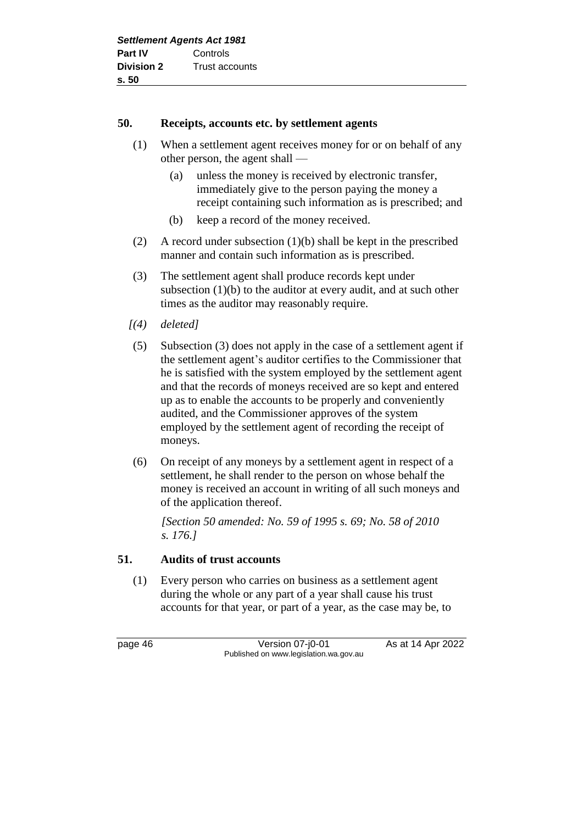## **50. Receipts, accounts etc. by settlement agents**

- (1) When a settlement agent receives money for or on behalf of any other person, the agent shall —
	- (a) unless the money is received by electronic transfer, immediately give to the person paying the money a receipt containing such information as is prescribed; and
	- (b) keep a record of the money received.
- (2) A record under subsection (1)(b) shall be kept in the prescribed manner and contain such information as is prescribed.
- (3) The settlement agent shall produce records kept under subsection (1)(b) to the auditor at every audit, and at such other times as the auditor may reasonably require.
- *[(4) deleted]*
- (5) Subsection (3) does not apply in the case of a settlement agent if the settlement agent's auditor certifies to the Commissioner that he is satisfied with the system employed by the settlement agent and that the records of moneys received are so kept and entered up as to enable the accounts to be properly and conveniently audited, and the Commissioner approves of the system employed by the settlement agent of recording the receipt of moneys.
- (6) On receipt of any moneys by a settlement agent in respect of a settlement, he shall render to the person on whose behalf the money is received an account in writing of all such moneys and of the application thereof.

*[Section 50 amended: No. 59 of 1995 s. 69; No. 58 of 2010 s. 176.]*

# **51. Audits of trust accounts**

(1) Every person who carries on business as a settlement agent during the whole or any part of a year shall cause his trust accounts for that year, or part of a year, as the case may be, to

page 46 Version 07-j0-01 As at 14 Apr 2022 Published on www.legislation.wa.gov.au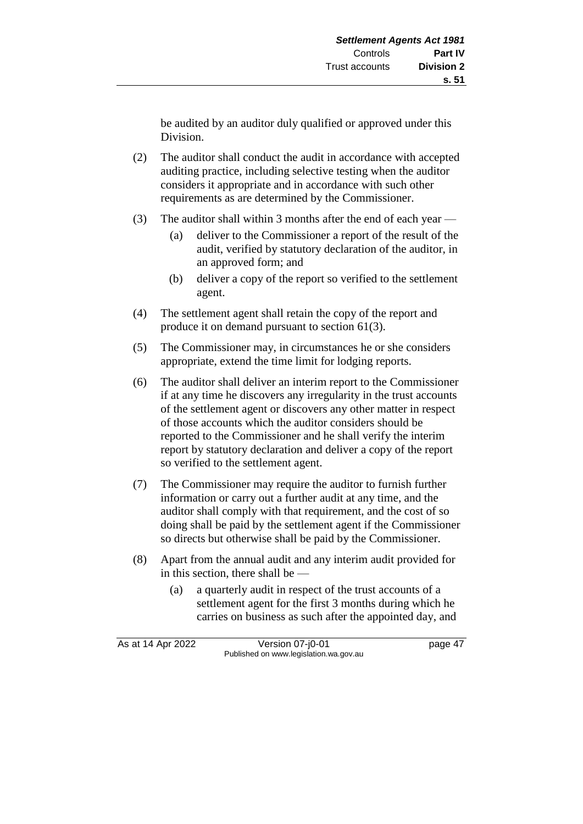be audited by an auditor duly qualified or approved under this Division.

- (2) The auditor shall conduct the audit in accordance with accepted auditing practice, including selective testing when the auditor considers it appropriate and in accordance with such other requirements as are determined by the Commissioner.
- (3) The auditor shall within 3 months after the end of each year
	- (a) deliver to the Commissioner a report of the result of the audit, verified by statutory declaration of the auditor, in an approved form; and
	- (b) deliver a copy of the report so verified to the settlement agent.
- (4) The settlement agent shall retain the copy of the report and produce it on demand pursuant to section 61(3).
- (5) The Commissioner may, in circumstances he or she considers appropriate, extend the time limit for lodging reports.
- (6) The auditor shall deliver an interim report to the Commissioner if at any time he discovers any irregularity in the trust accounts of the settlement agent or discovers any other matter in respect of those accounts which the auditor considers should be reported to the Commissioner and he shall verify the interim report by statutory declaration and deliver a copy of the report so verified to the settlement agent.
- (7) The Commissioner may require the auditor to furnish further information or carry out a further audit at any time, and the auditor shall comply with that requirement, and the cost of so doing shall be paid by the settlement agent if the Commissioner so directs but otherwise shall be paid by the Commissioner.
- (8) Apart from the annual audit and any interim audit provided for in this section, there shall be —
	- (a) a quarterly audit in respect of the trust accounts of a settlement agent for the first 3 months during which he carries on business as such after the appointed day, and

As at 14 Apr 2022 Version 07-j0-01 page 47 Published on www.legislation.wa.gov.au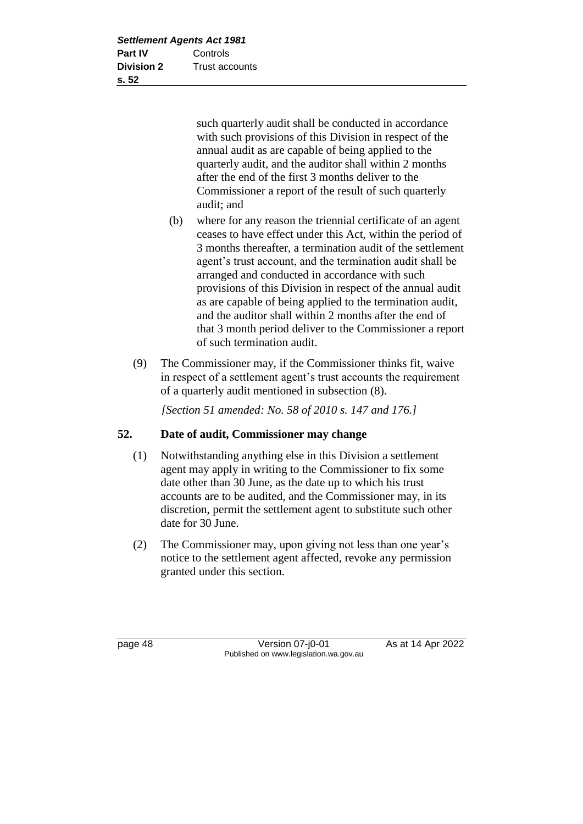such quarterly audit shall be conducted in accordance with such provisions of this Division in respect of the annual audit as are capable of being applied to the quarterly audit, and the auditor shall within 2 months after the end of the first 3 months deliver to the Commissioner a report of the result of such quarterly audit; and

- (b) where for any reason the triennial certificate of an agent ceases to have effect under this Act, within the period of 3 months thereafter, a termination audit of the settlement agent's trust account, and the termination audit shall be arranged and conducted in accordance with such provisions of this Division in respect of the annual audit as are capable of being applied to the termination audit, and the auditor shall within 2 months after the end of that 3 month period deliver to the Commissioner a report of such termination audit.
- (9) The Commissioner may, if the Commissioner thinks fit, waive in respect of a settlement agent's trust accounts the requirement of a quarterly audit mentioned in subsection (8).

*[Section 51 amended: No. 58 of 2010 s. 147 and 176.]*

# **52. Date of audit, Commissioner may change**

- (1) Notwithstanding anything else in this Division a settlement agent may apply in writing to the Commissioner to fix some date other than 30 June, as the date up to which his trust accounts are to be audited, and the Commissioner may, in its discretion, permit the settlement agent to substitute such other date for 30 June.
- (2) The Commissioner may, upon giving not less than one year's notice to the settlement agent affected, revoke any permission granted under this section.

page 48 Version 07-j0-01 As at 14 Apr 2022 Published on www.legislation.wa.gov.au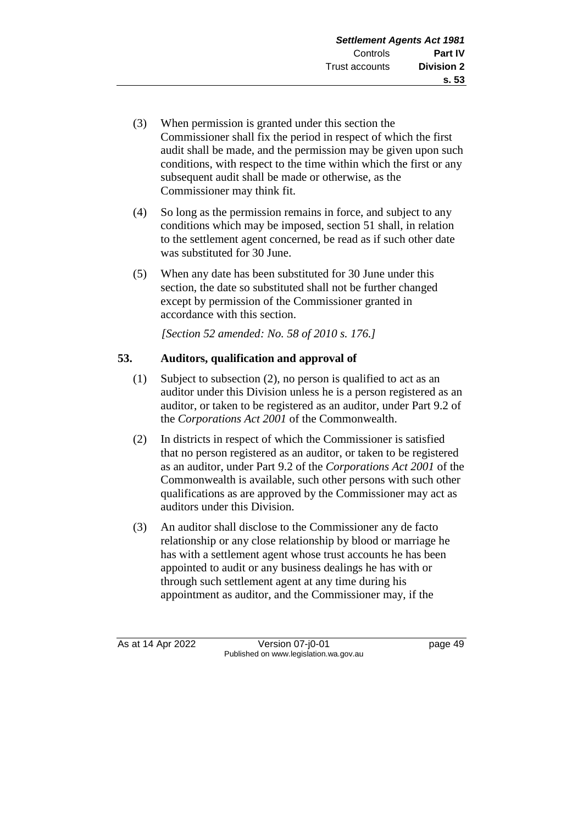- (3) When permission is granted under this section the Commissioner shall fix the period in respect of which the first audit shall be made, and the permission may be given upon such conditions, with respect to the time within which the first or any subsequent audit shall be made or otherwise, as the Commissioner may think fit.
- (4) So long as the permission remains in force, and subject to any conditions which may be imposed, section 51 shall, in relation to the settlement agent concerned, be read as if such other date was substituted for 30 June.
- (5) When any date has been substituted for 30 June under this section, the date so substituted shall not be further changed except by permission of the Commissioner granted in accordance with this section.

*[Section 52 amended: No. 58 of 2010 s. 176.]*

# **53. Auditors, qualification and approval of**

- (1) Subject to subsection (2), no person is qualified to act as an auditor under this Division unless he is a person registered as an auditor, or taken to be registered as an auditor, under Part 9.2 of the *Corporations Act 2001* of the Commonwealth.
- (2) In districts in respect of which the Commissioner is satisfied that no person registered as an auditor, or taken to be registered as an auditor, under Part 9.2 of the *Corporations Act 2001* of the Commonwealth is available, such other persons with such other qualifications as are approved by the Commissioner may act as auditors under this Division.
- (3) An auditor shall disclose to the Commissioner any de facto relationship or any close relationship by blood or marriage he has with a settlement agent whose trust accounts he has been appointed to audit or any business dealings he has with or through such settlement agent at any time during his appointment as auditor, and the Commissioner may, if the

As at 14 Apr 2022 Version 07-j0-01 page 49 Published on www.legislation.wa.gov.au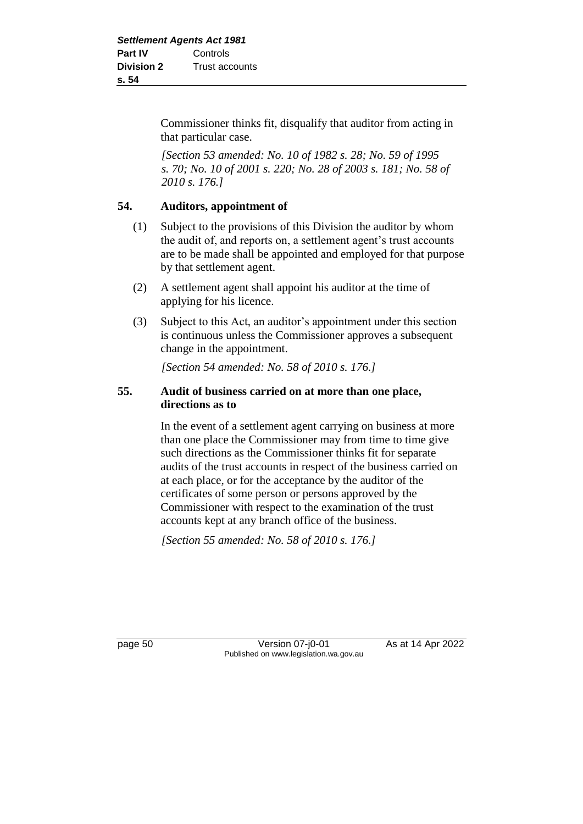Commissioner thinks fit, disqualify that auditor from acting in that particular case.

*[Section 53 amended: No. 10 of 1982 s. 28; No. 59 of 1995 s. 70; No. 10 of 2001 s. 220; No. 28 of 2003 s. 181; No. 58 of 2010 s. 176.]*

## **54. Auditors, appointment of**

- (1) Subject to the provisions of this Division the auditor by whom the audit of, and reports on, a settlement agent's trust accounts are to be made shall be appointed and employed for that purpose by that settlement agent.
- (2) A settlement agent shall appoint his auditor at the time of applying for his licence.
- (3) Subject to this Act, an auditor's appointment under this section is continuous unless the Commissioner approves a subsequent change in the appointment.

*[Section 54 amended: No. 58 of 2010 s. 176.]*

## **55. Audit of business carried on at more than one place, directions as to**

In the event of a settlement agent carrying on business at more than one place the Commissioner may from time to time give such directions as the Commissioner thinks fit for separate audits of the trust accounts in respect of the business carried on at each place, or for the acceptance by the auditor of the certificates of some person or persons approved by the Commissioner with respect to the examination of the trust accounts kept at any branch office of the business.

*[Section 55 amended: No. 58 of 2010 s. 176.]*

page 50 Version 07-j0-01 As at 14 Apr 2022 Published on www.legislation.wa.gov.au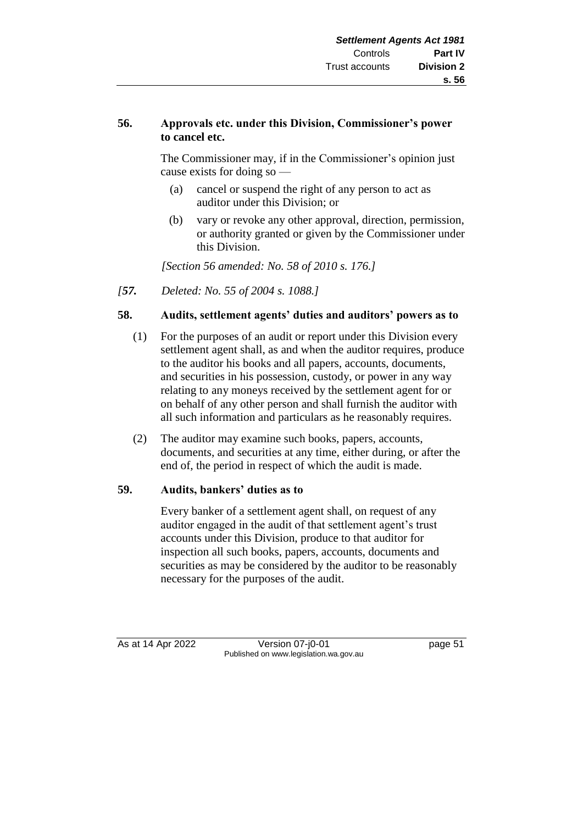## **56. Approvals etc. under this Division, Commissioner's power to cancel etc.**

The Commissioner may, if in the Commissioner's opinion just cause exists for doing so —

- (a) cancel or suspend the right of any person to act as auditor under this Division; or
- (b) vary or revoke any other approval, direction, permission, or authority granted or given by the Commissioner under this Division.

*[Section 56 amended: No. 58 of 2010 s. 176.]*

*[57. Deleted: No. 55 of 2004 s. 1088.]*

## **58. Audits, settlement agents' duties and auditors' powers as to**

- (1) For the purposes of an audit or report under this Division every settlement agent shall, as and when the auditor requires, produce to the auditor his books and all papers, accounts, documents, and securities in his possession, custody, or power in any way relating to any moneys received by the settlement agent for or on behalf of any other person and shall furnish the auditor with all such information and particulars as he reasonably requires.
- (2) The auditor may examine such books, papers, accounts, documents, and securities at any time, either during, or after the end of, the period in respect of which the audit is made.

#### **59. Audits, bankers' duties as to**

Every banker of a settlement agent shall, on request of any auditor engaged in the audit of that settlement agent's trust accounts under this Division, produce to that auditor for inspection all such books, papers, accounts, documents and securities as may be considered by the auditor to be reasonably necessary for the purposes of the audit.

As at 14 Apr 2022 Version 07-j0-01 page 51 Published on www.legislation.wa.gov.au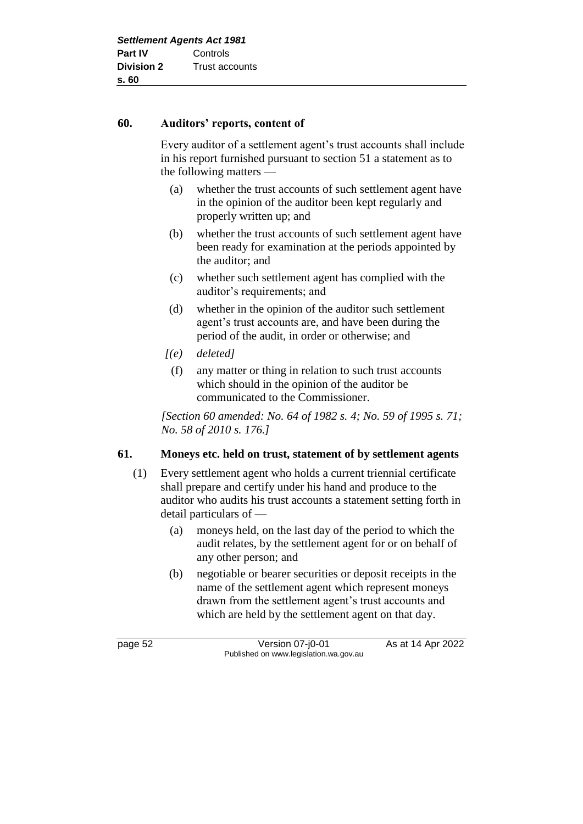#### **60. Auditors' reports, content of**

Every auditor of a settlement agent's trust accounts shall include in his report furnished pursuant to section 51 a statement as to the following matters —

- (a) whether the trust accounts of such settlement agent have in the opinion of the auditor been kept regularly and properly written up; and
- (b) whether the trust accounts of such settlement agent have been ready for examination at the periods appointed by the auditor; and
- (c) whether such settlement agent has complied with the auditor's requirements; and
- (d) whether in the opinion of the auditor such settlement agent's trust accounts are, and have been during the period of the audit, in order or otherwise; and
- *[(e) deleted]*
- (f) any matter or thing in relation to such trust accounts which should in the opinion of the auditor be communicated to the Commissioner.

*[Section 60 amended: No. 64 of 1982 s. 4; No. 59 of 1995 s. 71; No. 58 of 2010 s. 176.]*

#### **61. Moneys etc. held on trust, statement of by settlement agents**

- (1) Every settlement agent who holds a current triennial certificate shall prepare and certify under his hand and produce to the auditor who audits his trust accounts a statement setting forth in detail particulars of —
	- (a) moneys held, on the last day of the period to which the audit relates, by the settlement agent for or on behalf of any other person; and
	- (b) negotiable or bearer securities or deposit receipts in the name of the settlement agent which represent moneys drawn from the settlement agent's trust accounts and which are held by the settlement agent on that day.

page 52 Version 07-j0-01 As at 14 Apr 2022 Published on www.legislation.wa.gov.au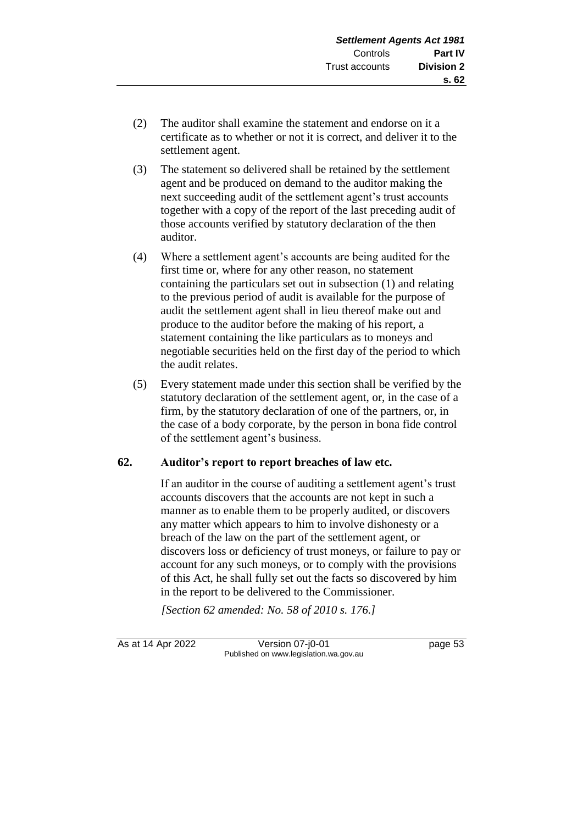- (2) The auditor shall examine the statement and endorse on it a certificate as to whether or not it is correct, and deliver it to the settlement agent.
- (3) The statement so delivered shall be retained by the settlement agent and be produced on demand to the auditor making the next succeeding audit of the settlement agent's trust accounts together with a copy of the report of the last preceding audit of those accounts verified by statutory declaration of the then auditor.
- (4) Where a settlement agent's accounts are being audited for the first time or, where for any other reason, no statement containing the particulars set out in subsection (1) and relating to the previous period of audit is available for the purpose of audit the settlement agent shall in lieu thereof make out and produce to the auditor before the making of his report, a statement containing the like particulars as to moneys and negotiable securities held on the first day of the period to which the audit relates.
- (5) Every statement made under this section shall be verified by the statutory declaration of the settlement agent, or, in the case of a firm, by the statutory declaration of one of the partners, or, in the case of a body corporate, by the person in bona fide control of the settlement agent's business.

# **62. Auditor's report to report breaches of law etc.**

If an auditor in the course of auditing a settlement agent's trust accounts discovers that the accounts are not kept in such a manner as to enable them to be properly audited, or discovers any matter which appears to him to involve dishonesty or a breach of the law on the part of the settlement agent, or discovers loss or deficiency of trust moneys, or failure to pay or account for any such moneys, or to comply with the provisions of this Act, he shall fully set out the facts so discovered by him in the report to be delivered to the Commissioner.

*[Section 62 amended: No. 58 of 2010 s. 176.]*

As at 14 Apr 2022 Version 07-j0-01 page 53 Published on www.legislation.wa.gov.au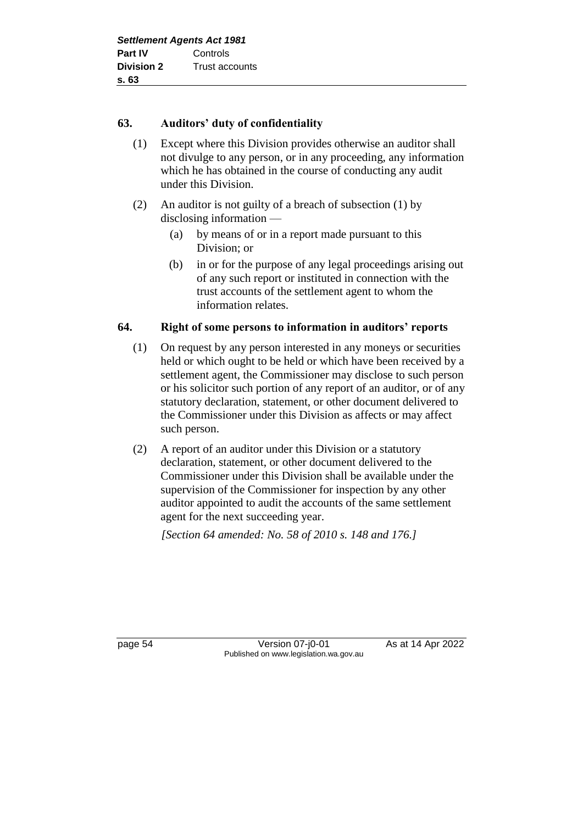## **63. Auditors' duty of confidentiality**

- (1) Except where this Division provides otherwise an auditor shall not divulge to any person, or in any proceeding, any information which he has obtained in the course of conducting any audit under this Division.
- (2) An auditor is not guilty of a breach of subsection (1) by disclosing information —
	- (a) by means of or in a report made pursuant to this Division; or
	- (b) in or for the purpose of any legal proceedings arising out of any such report or instituted in connection with the trust accounts of the settlement agent to whom the information relates.

## **64. Right of some persons to information in auditors' reports**

- (1) On request by any person interested in any moneys or securities held or which ought to be held or which have been received by a settlement agent, the Commissioner may disclose to such person or his solicitor such portion of any report of an auditor, or of any statutory declaration, statement, or other document delivered to the Commissioner under this Division as affects or may affect such person.
- (2) A report of an auditor under this Division or a statutory declaration, statement, or other document delivered to the Commissioner under this Division shall be available under the supervision of the Commissioner for inspection by any other auditor appointed to audit the accounts of the same settlement agent for the next succeeding year.

*[Section 64 amended: No. 58 of 2010 s. 148 and 176.]*

page 54 Version 07-j0-01 As at 14 Apr 2022 Published on www.legislation.wa.gov.au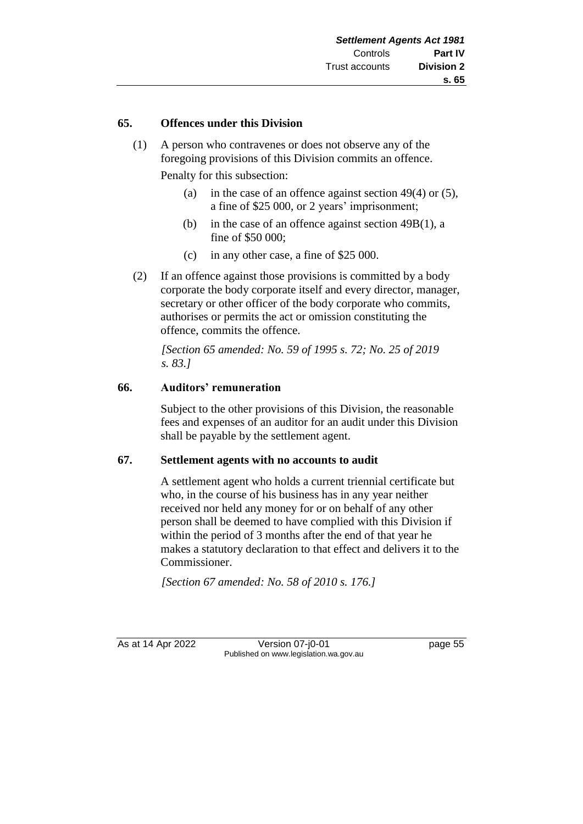#### **65. Offences under this Division**

(1) A person who contravenes or does not observe any of the foregoing provisions of this Division commits an offence.

Penalty for this subsection:

- (a) in the case of an offence against section 49(4) or (5), a fine of \$25 000, or 2 years' imprisonment;
- (b) in the case of an offence against section 49B(1), a fine of \$50 000;
- (c) in any other case, a fine of \$25 000.
- (2) If an offence against those provisions is committed by a body corporate the body corporate itself and every director, manager, secretary or other officer of the body corporate who commits, authorises or permits the act or omission constituting the offence, commits the offence.

*[Section 65 amended: No. 59 of 1995 s. 72; No. 25 of 2019 s. 83.]*

#### **66. Auditors' remuneration**

Subject to the other provisions of this Division, the reasonable fees and expenses of an auditor for an audit under this Division shall be payable by the settlement agent.

#### **67. Settlement agents with no accounts to audit**

A settlement agent who holds a current triennial certificate but who, in the course of his business has in any year neither received nor held any money for or on behalf of any other person shall be deemed to have complied with this Division if within the period of 3 months after the end of that year he makes a statutory declaration to that effect and delivers it to the Commissioner.

*[Section 67 amended: No. 58 of 2010 s. 176.]*

As at 14 Apr 2022 Version 07-j0-01 Page 55 Published on www.legislation.wa.gov.au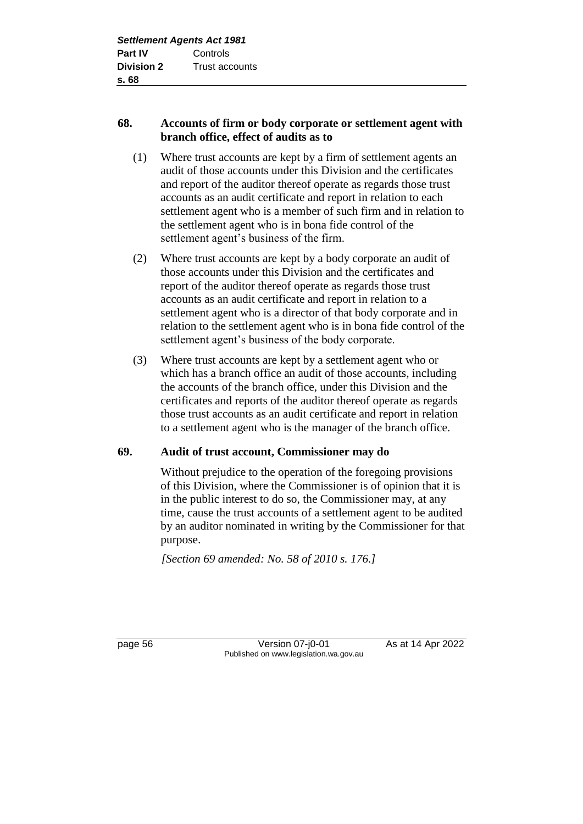# **68. Accounts of firm or body corporate or settlement agent with branch office, effect of audits as to**

- (1) Where trust accounts are kept by a firm of settlement agents an audit of those accounts under this Division and the certificates and report of the auditor thereof operate as regards those trust accounts as an audit certificate and report in relation to each settlement agent who is a member of such firm and in relation to the settlement agent who is in bona fide control of the settlement agent's business of the firm.
- (2) Where trust accounts are kept by a body corporate an audit of those accounts under this Division and the certificates and report of the auditor thereof operate as regards those trust accounts as an audit certificate and report in relation to a settlement agent who is a director of that body corporate and in relation to the settlement agent who is in bona fide control of the settlement agent's business of the body corporate.
- (3) Where trust accounts are kept by a settlement agent who or which has a branch office an audit of those accounts, including the accounts of the branch office, under this Division and the certificates and reports of the auditor thereof operate as regards those trust accounts as an audit certificate and report in relation to a settlement agent who is the manager of the branch office.

# **69. Audit of trust account, Commissioner may do**

Without prejudice to the operation of the foregoing provisions of this Division, where the Commissioner is of opinion that it is in the public interest to do so, the Commissioner may, at any time, cause the trust accounts of a settlement agent to be audited by an auditor nominated in writing by the Commissioner for that purpose.

*[Section 69 amended: No. 58 of 2010 s. 176.]*

page 56 Version 07-j0-01 As at 14 Apr 2022 Published on www.legislation.wa.gov.au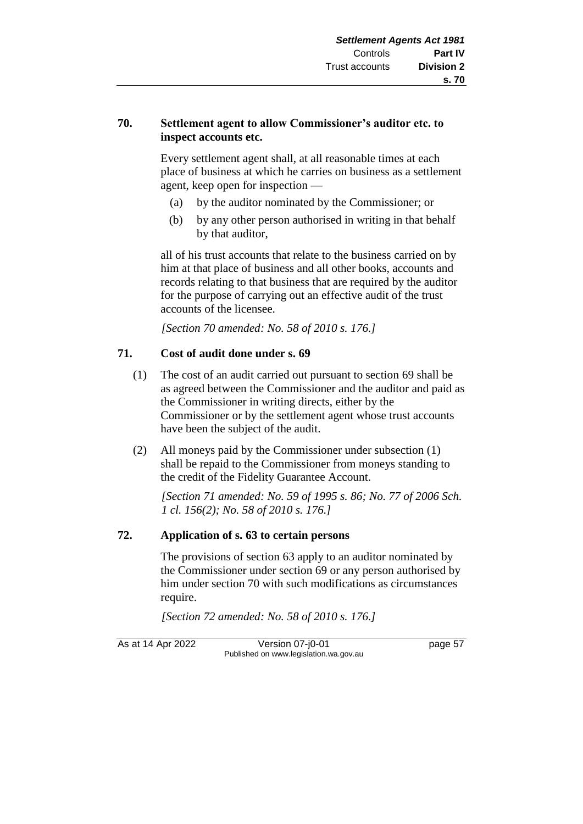## **70. Settlement agent to allow Commissioner's auditor etc. to inspect accounts etc.**

Every settlement agent shall, at all reasonable times at each place of business at which he carries on business as a settlement agent, keep open for inspection —

- (a) by the auditor nominated by the Commissioner; or
- (b) by any other person authorised in writing in that behalf by that auditor,

all of his trust accounts that relate to the business carried on by him at that place of business and all other books, accounts and records relating to that business that are required by the auditor for the purpose of carrying out an effective audit of the trust accounts of the licensee.

*[Section 70 amended: No. 58 of 2010 s. 176.]*

# **71. Cost of audit done under s. 69**

- (1) The cost of an audit carried out pursuant to section 69 shall be as agreed between the Commissioner and the auditor and paid as the Commissioner in writing directs, either by the Commissioner or by the settlement agent whose trust accounts have been the subject of the audit.
- (2) All moneys paid by the Commissioner under subsection (1) shall be repaid to the Commissioner from moneys standing to the credit of the Fidelity Guarantee Account.

*[Section 71 amended: No. 59 of 1995 s. 86; No. 77 of 2006 Sch. 1 cl. 156(2); No. 58 of 2010 s. 176.]*

# **72. Application of s. 63 to certain persons**

The provisions of section 63 apply to an auditor nominated by the Commissioner under section 69 or any person authorised by him under section 70 with such modifications as circumstances require.

*[Section 72 amended: No. 58 of 2010 s. 176.]*

As at 14 Apr 2022 Version 07-j0-01 page 57 Published on www.legislation.wa.gov.au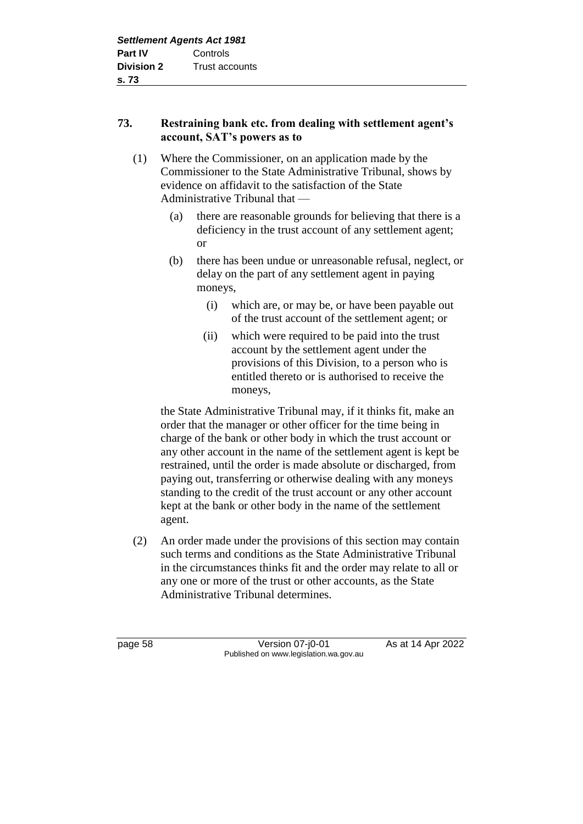# **73. Restraining bank etc. from dealing with settlement agent's account, SAT's powers as to**

- (1) Where the Commissioner, on an application made by the Commissioner to the State Administrative Tribunal, shows by evidence on affidavit to the satisfaction of the State Administrative Tribunal that —
	- (a) there are reasonable grounds for believing that there is a deficiency in the trust account of any settlement agent; or
	- (b) there has been undue or unreasonable refusal, neglect, or delay on the part of any settlement agent in paying moneys,
		- (i) which are, or may be, or have been payable out of the trust account of the settlement agent; or
		- (ii) which were required to be paid into the trust account by the settlement agent under the provisions of this Division, to a person who is entitled thereto or is authorised to receive the moneys,

the State Administrative Tribunal may, if it thinks fit, make an order that the manager or other officer for the time being in charge of the bank or other body in which the trust account or any other account in the name of the settlement agent is kept be restrained, until the order is made absolute or discharged, from paying out, transferring or otherwise dealing with any moneys standing to the credit of the trust account or any other account kept at the bank or other body in the name of the settlement agent.

(2) An order made under the provisions of this section may contain such terms and conditions as the State Administrative Tribunal in the circumstances thinks fit and the order may relate to all or any one or more of the trust or other accounts, as the State Administrative Tribunal determines.

page 58 Version 07-j0-01 As at 14 Apr 2022 Published on www.legislation.wa.gov.au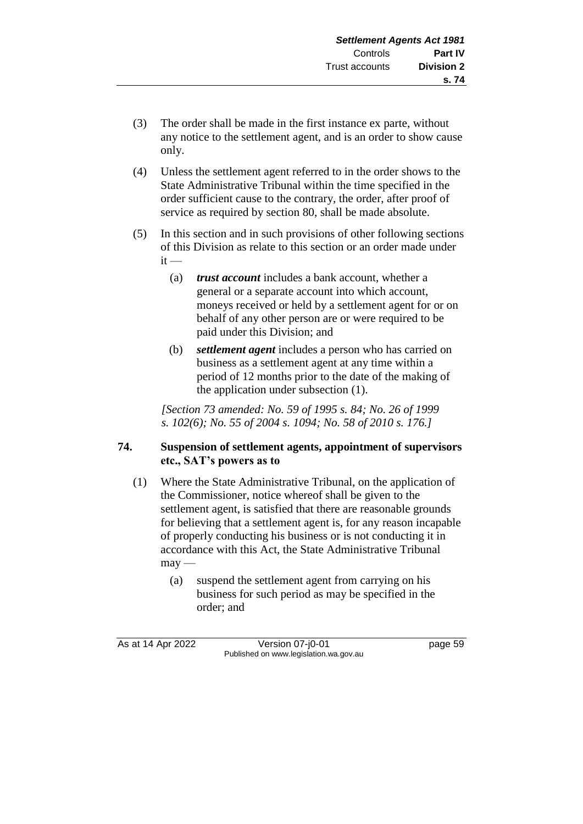- (3) The order shall be made in the first instance ex parte, without any notice to the settlement agent, and is an order to show cause only.
- (4) Unless the settlement agent referred to in the order shows to the State Administrative Tribunal within the time specified in the order sufficient cause to the contrary, the order, after proof of service as required by section 80, shall be made absolute.
- (5) In this section and in such provisions of other following sections of this Division as relate to this section or an order made under  $it -$ 
	- (a) *trust account* includes a bank account, whether a general or a separate account into which account, moneys received or held by a settlement agent for or on behalf of any other person are or were required to be paid under this Division; and
	- (b) *settlement agent* includes a person who has carried on business as a settlement agent at any time within a period of 12 months prior to the date of the making of the application under subsection (1).

*[Section 73 amended: No. 59 of 1995 s. 84; No. 26 of 1999 s. 102(6); No. 55 of 2004 s. 1094; No. 58 of 2010 s. 176.]*

# **74. Suspension of settlement agents, appointment of supervisors etc., SAT's powers as to**

- (1) Where the State Administrative Tribunal, on the application of the Commissioner, notice whereof shall be given to the settlement agent, is satisfied that there are reasonable grounds for believing that a settlement agent is, for any reason incapable of properly conducting his business or is not conducting it in accordance with this Act, the State Administrative Tribunal  $m$ ay —
	- (a) suspend the settlement agent from carrying on his business for such period as may be specified in the order; and

As at 14 Apr 2022 Version 07-j0-01 page 59 Published on www.legislation.wa.gov.au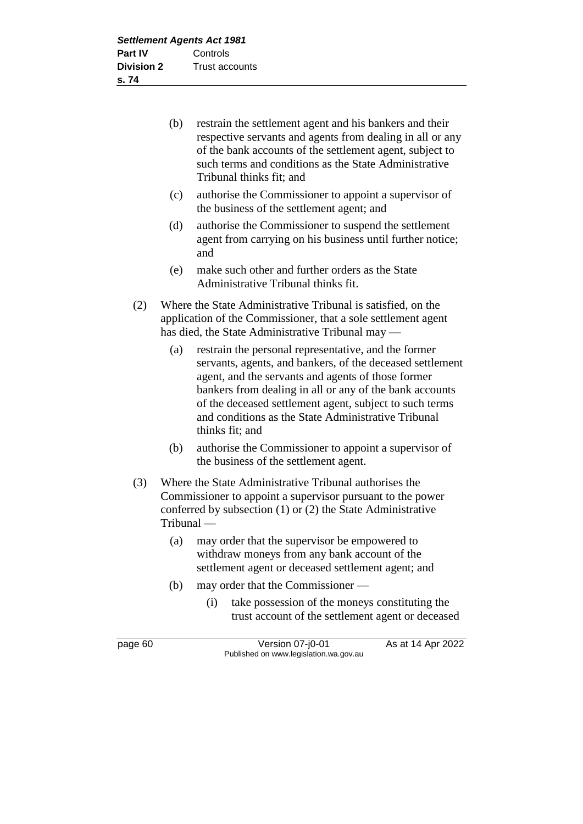| (b) | restrain the settlement agent and his bankers and their   |
|-----|-----------------------------------------------------------|
|     | respective servants and agents from dealing in all or any |
|     | of the bank accounts of the settlement agent, subject to  |
|     | such terms and conditions as the State Administrative     |
|     | Tribunal thinks fit; and                                  |

- (c) authorise the Commissioner to appoint a supervisor of the business of the settlement agent; and
- (d) authorise the Commissioner to suspend the settlement agent from carrying on his business until further notice; and
- (e) make such other and further orders as the State Administrative Tribunal thinks fit.
- (2) Where the State Administrative Tribunal is satisfied, on the application of the Commissioner, that a sole settlement agent has died, the State Administrative Tribunal may —
	- (a) restrain the personal representative, and the former servants, agents, and bankers, of the deceased settlement agent, and the servants and agents of those former bankers from dealing in all or any of the bank accounts of the deceased settlement agent, subject to such terms and conditions as the State Administrative Tribunal thinks fit; and
	- (b) authorise the Commissioner to appoint a supervisor of the business of the settlement agent.
- (3) Where the State Administrative Tribunal authorises the Commissioner to appoint a supervisor pursuant to the power conferred by subsection (1) or (2) the State Administrative Tribunal —
	- (a) may order that the supervisor be empowered to withdraw moneys from any bank account of the settlement agent or deceased settlement agent; and
	- (b) may order that the Commissioner
		- (i) take possession of the moneys constituting the trust account of the settlement agent or deceased

page 60 **Version 07-j0-01** As at 14 Apr 2022 Published on www.legislation.wa.gov.au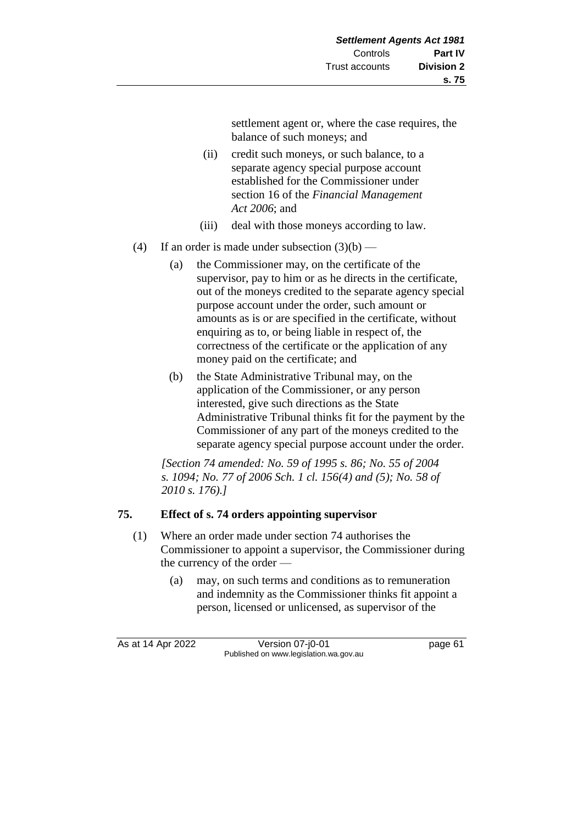settlement agent or, where the case requires, the balance of such moneys; and

- (ii) credit such moneys, or such balance, to a separate agency special purpose account established for the Commissioner under section 16 of the *Financial Management Act 2006*; and
- (iii) deal with those moneys according to law.
- (4) If an order is made under subsection  $(3)(b)$ 
	- (a) the Commissioner may, on the certificate of the supervisor, pay to him or as he directs in the certificate, out of the moneys credited to the separate agency special purpose account under the order, such amount or amounts as is or are specified in the certificate, without enquiring as to, or being liable in respect of, the correctness of the certificate or the application of any money paid on the certificate; and
	- (b) the State Administrative Tribunal may, on the application of the Commissioner, or any person interested, give such directions as the State Administrative Tribunal thinks fit for the payment by the Commissioner of any part of the moneys credited to the separate agency special purpose account under the order.

*[Section 74 amended: No. 59 of 1995 s. 86; No. 55 of 2004 s. 1094; No. 77 of 2006 Sch. 1 cl. 156(4) and (5); No. 58 of 2010 s. 176).]*

# **75. Effect of s. 74 orders appointing supervisor**

- (1) Where an order made under section 74 authorises the Commissioner to appoint a supervisor, the Commissioner during the currency of the order —
	- (a) may, on such terms and conditions as to remuneration and indemnity as the Commissioner thinks fit appoint a person, licensed or unlicensed, as supervisor of the

As at 14 Apr 2022 Version 07-j0-01 page 61 Published on www.legislation.wa.gov.au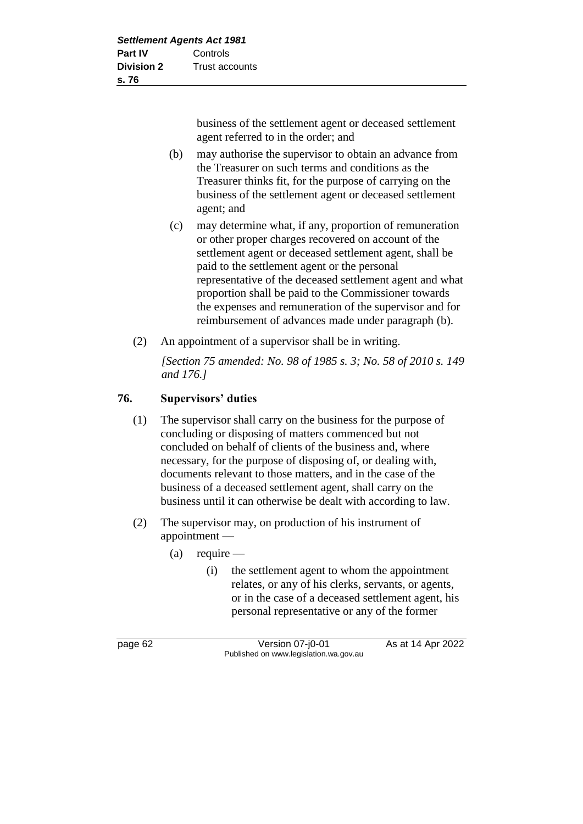business of the settlement agent or deceased settlement agent referred to in the order; and

- (b) may authorise the supervisor to obtain an advance from the Treasurer on such terms and conditions as the Treasurer thinks fit, for the purpose of carrying on the business of the settlement agent or deceased settlement agent; and
- (c) may determine what, if any, proportion of remuneration or other proper charges recovered on account of the settlement agent or deceased settlement agent, shall be paid to the settlement agent or the personal representative of the deceased settlement agent and what proportion shall be paid to the Commissioner towards the expenses and remuneration of the supervisor and for reimbursement of advances made under paragraph (b).
- (2) An appointment of a supervisor shall be in writing.

*[Section 75 amended: No. 98 of 1985 s. 3; No. 58 of 2010 s. 149 and 176.]*

# **76. Supervisors' duties**

- (1) The supervisor shall carry on the business for the purpose of concluding or disposing of matters commenced but not concluded on behalf of clients of the business and, where necessary, for the purpose of disposing of, or dealing with, documents relevant to those matters, and in the case of the business of a deceased settlement agent, shall carry on the business until it can otherwise be dealt with according to law.
- (2) The supervisor may, on production of his instrument of appointment —
	- $(a)$  require
		- (i) the settlement agent to whom the appointment relates, or any of his clerks, servants, or agents, or in the case of a deceased settlement agent, his personal representative or any of the former

page 62 Version 07-j0-01 As at 14 Apr 2022 Published on www.legislation.wa.gov.au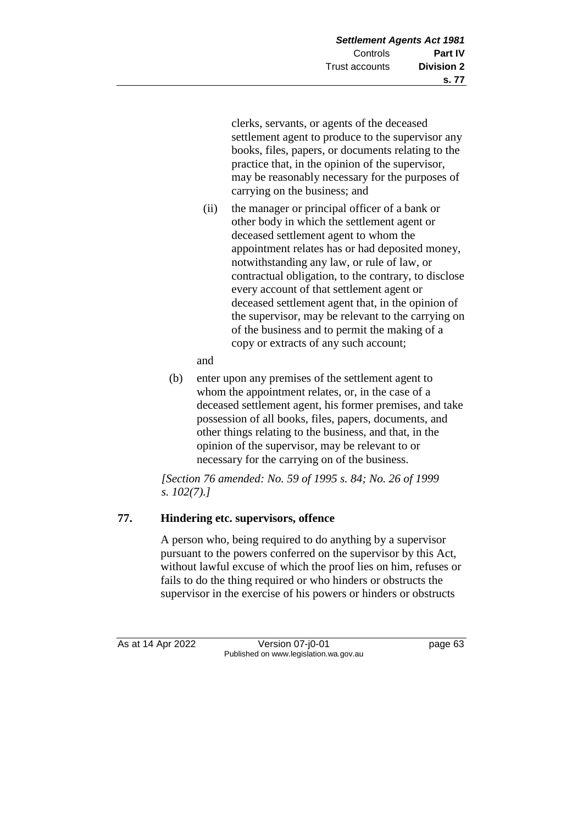clerks, servants, or agents of the deceased settlement agent to produce to the supervisor any books, files, papers, or documents relating to the practice that, in the opinion of the supervisor, may be reasonably necessary for the purposes of carrying on the business; and

- (ii) the manager or principal officer of a bank or other body in which the settlement agent or deceased settlement agent to whom the appointment relates has or had deposited money, notwithstanding any law, or rule of law, or contractual obligation, to the contrary, to disclose every account of that settlement agent or deceased settlement agent that, in the opinion of the supervisor, may be relevant to the carrying on of the business and to permit the making of a copy or extracts of any such account;
- and
- (b) enter upon any premises of the settlement agent to whom the appointment relates, or, in the case of a deceased settlement agent, his former premises, and take possession of all books, files, papers, documents, and other things relating to the business, and that, in the opinion of the supervisor, may be relevant to or necessary for the carrying on of the business.

*[Section 76 amended: No. 59 of 1995 s. 84; No. 26 of 1999 s. 102(7).]*

# **77. Hindering etc. supervisors, offence**

A person who, being required to do anything by a supervisor pursuant to the powers conferred on the supervisor by this Act, without lawful excuse of which the proof lies on him, refuses or fails to do the thing required or who hinders or obstructs the supervisor in the exercise of his powers or hinders or obstructs

As at 14 Apr 2022 Version 07-j0-01 Page 63 Published on www.legislation.wa.gov.au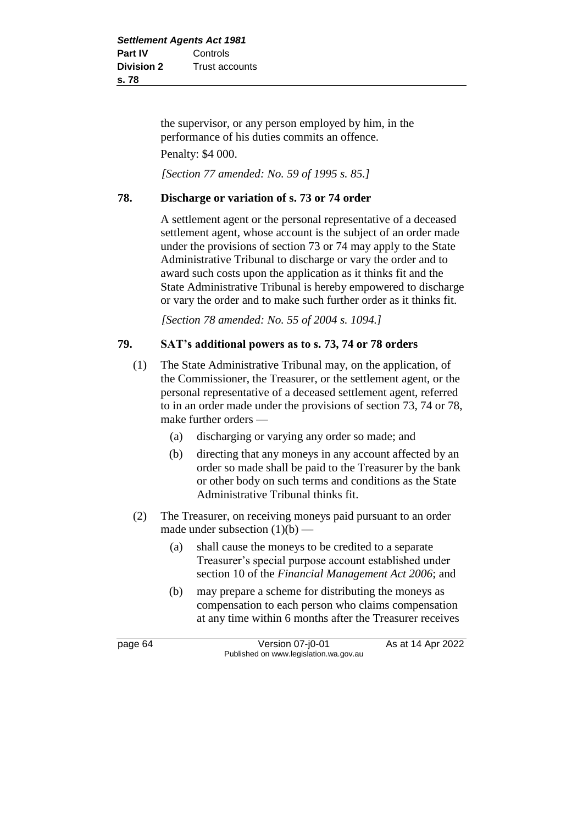the supervisor, or any person employed by him, in the performance of his duties commits an offence. Penalty: \$4 000.

*[Section 77 amended: No. 59 of 1995 s. 85.]*

### **78. Discharge or variation of s. 73 or 74 order**

A settlement agent or the personal representative of a deceased settlement agent, whose account is the subject of an order made under the provisions of section 73 or 74 may apply to the State Administrative Tribunal to discharge or vary the order and to award such costs upon the application as it thinks fit and the State Administrative Tribunal is hereby empowered to discharge or vary the order and to make such further order as it thinks fit.

*[Section 78 amended: No. 55 of 2004 s. 1094.]*

## **79. SAT's additional powers as to s. 73, 74 or 78 orders**

- (1) The State Administrative Tribunal may, on the application, of the Commissioner, the Treasurer, or the settlement agent, or the personal representative of a deceased settlement agent, referred to in an order made under the provisions of section 73, 74 or 78, make further orders —
	- (a) discharging or varying any order so made; and
	- (b) directing that any moneys in any account affected by an order so made shall be paid to the Treasurer by the bank or other body on such terms and conditions as the State Administrative Tribunal thinks fit.
- (2) The Treasurer, on receiving moneys paid pursuant to an order made under subsection  $(1)(b)$  —
	- (a) shall cause the moneys to be credited to a separate Treasurer's special purpose account established under section 10 of the *Financial Management Act 2006*; and
	- (b) may prepare a scheme for distributing the moneys as compensation to each person who claims compensation at any time within 6 months after the Treasurer receives

page 64 Version 07-j0-01 As at 14 Apr 2022 Published on www.legislation.wa.gov.au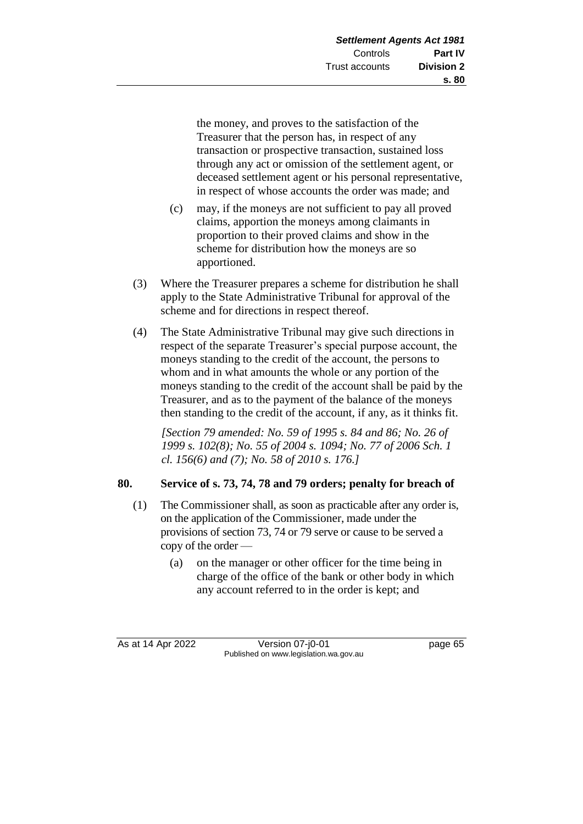the money, and proves to the satisfaction of the Treasurer that the person has, in respect of any transaction or prospective transaction, sustained loss through any act or omission of the settlement agent, or deceased settlement agent or his personal representative, in respect of whose accounts the order was made; and

- (c) may, if the moneys are not sufficient to pay all proved claims, apportion the moneys among claimants in proportion to their proved claims and show in the scheme for distribution how the moneys are so apportioned.
- (3) Where the Treasurer prepares a scheme for distribution he shall apply to the State Administrative Tribunal for approval of the scheme and for directions in respect thereof.
- (4) The State Administrative Tribunal may give such directions in respect of the separate Treasurer's special purpose account, the moneys standing to the credit of the account, the persons to whom and in what amounts the whole or any portion of the moneys standing to the credit of the account shall be paid by the Treasurer, and as to the payment of the balance of the moneys then standing to the credit of the account, if any, as it thinks fit.

*[Section 79 amended: No. 59 of 1995 s. 84 and 86; No. 26 of 1999 s. 102(8); No. 55 of 2004 s. 1094; No. 77 of 2006 Sch. 1 cl. 156(6) and (7); No. 58 of 2010 s. 176.]*

## **80. Service of s. 73, 74, 78 and 79 orders; penalty for breach of**

- (1) The Commissioner shall, as soon as practicable after any order is, on the application of the Commissioner, made under the provisions of section 73, 74 or 79 serve or cause to be served a copy of the order —
	- (a) on the manager or other officer for the time being in charge of the office of the bank or other body in which any account referred to in the order is kept; and

As at 14 Apr 2022 Version 07-j0-01 page 65 Published on www.legislation.wa.gov.au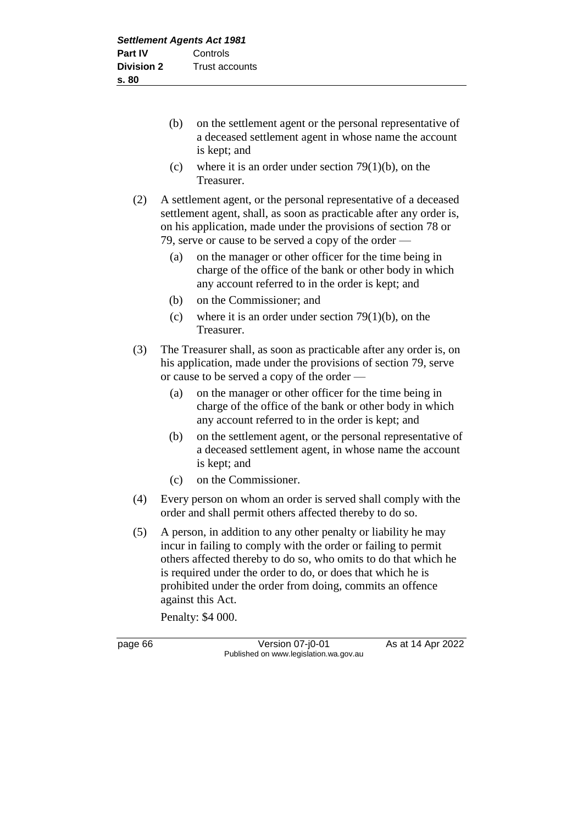- (b) on the settlement agent or the personal representative of a deceased settlement agent in whose name the account is kept; and
- (c) where it is an order under section  $79(1)(b)$ , on the Treasurer.
- (2) A settlement agent, or the personal representative of a deceased settlement agent, shall, as soon as practicable after any order is, on his application, made under the provisions of section 78 or 79, serve or cause to be served a copy of the order -
	- (a) on the manager or other officer for the time being in charge of the office of the bank or other body in which any account referred to in the order is kept; and
	- (b) on the Commissioner; and
	- (c) where it is an order under section  $79(1)(b)$ , on the Treasurer.
- (3) The Treasurer shall, as soon as practicable after any order is, on his application, made under the provisions of section 79, serve or cause to be served a copy of the order —
	- (a) on the manager or other officer for the time being in charge of the office of the bank or other body in which any account referred to in the order is kept; and
	- (b) on the settlement agent, or the personal representative of a deceased settlement agent, in whose name the account is kept; and
	- (c) on the Commissioner.
- (4) Every person on whom an order is served shall comply with the order and shall permit others affected thereby to do so.
- (5) A person, in addition to any other penalty or liability he may incur in failing to comply with the order or failing to permit others affected thereby to do so, who omits to do that which he is required under the order to do, or does that which he is prohibited under the order from doing, commits an offence against this Act.

Penalty: \$4 000.

page 66 **Version 07-j0-01** As at 14 Apr 2022 Published on www.legislation.wa.gov.au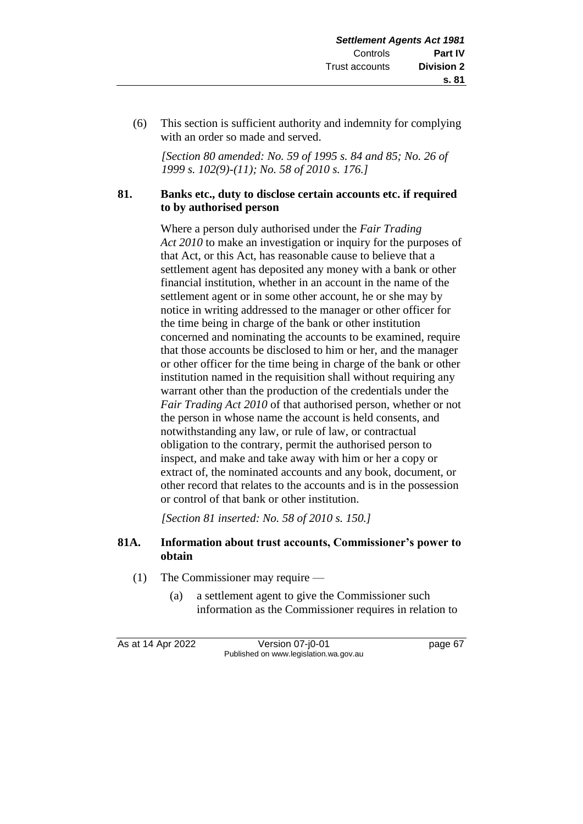(6) This section is sufficient authority and indemnity for complying with an order so made and served.

*[Section 80 amended: No. 59 of 1995 s. 84 and 85; No. 26 of 1999 s. 102(9)-(11); No. 58 of 2010 s. 176.]*

## **81. Banks etc., duty to disclose certain accounts etc. if required to by authorised person**

Where a person duly authorised under the *Fair Trading Act 2010* to make an investigation or inquiry for the purposes of that Act, or this Act, has reasonable cause to believe that a settlement agent has deposited any money with a bank or other financial institution, whether in an account in the name of the settlement agent or in some other account, he or she may by notice in writing addressed to the manager or other officer for the time being in charge of the bank or other institution concerned and nominating the accounts to be examined, require that those accounts be disclosed to him or her, and the manager or other officer for the time being in charge of the bank or other institution named in the requisition shall without requiring any warrant other than the production of the credentials under the *Fair Trading Act 2010* of that authorised person, whether or not the person in whose name the account is held consents, and notwithstanding any law, or rule of law, or contractual obligation to the contrary, permit the authorised person to inspect, and make and take away with him or her a copy or extract of, the nominated accounts and any book, document, or other record that relates to the accounts and is in the possession or control of that bank or other institution.

*[Section 81 inserted: No. 58 of 2010 s. 150.]*

## **81A. Information about trust accounts, Commissioner's power to obtain**

- (1) The Commissioner may require
	- (a) a settlement agent to give the Commissioner such information as the Commissioner requires in relation to

As at 14 Apr 2022 Version 07-j0-01 page 67 Published on www.legislation.wa.gov.au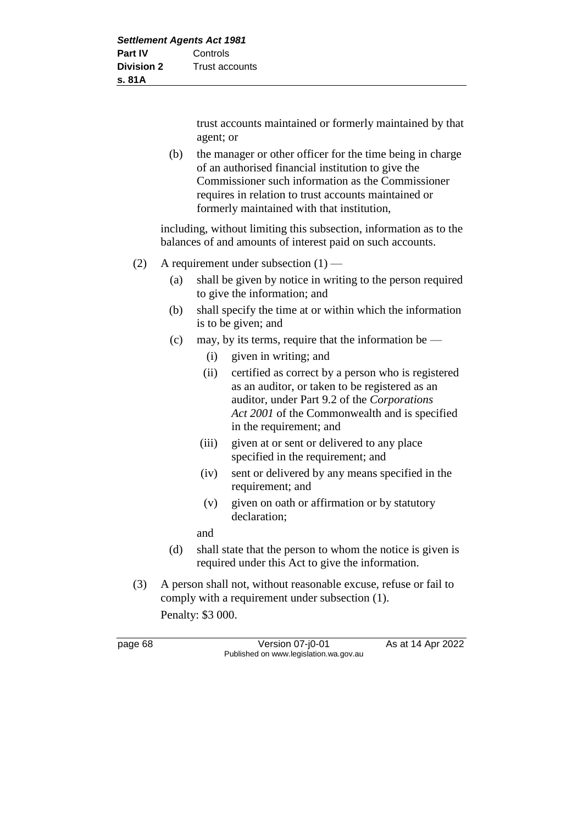trust accounts maintained or formerly maintained by that agent; or

(b) the manager or other officer for the time being in charge of an authorised financial institution to give the Commissioner such information as the Commissioner requires in relation to trust accounts maintained or formerly maintained with that institution,

including, without limiting this subsection, information as to the balances of and amounts of interest paid on such accounts.

- (2) A requirement under subsection (1)
	- (a) shall be given by notice in writing to the person required to give the information; and
	- (b) shall specify the time at or within which the information is to be given; and
	- (c) may, by its terms, require that the information be
		- (i) given in writing; and
		- (ii) certified as correct by a person who is registered as an auditor, or taken to be registered as an auditor, under Part 9.2 of the *Corporations Act 2001* of the Commonwealth and is specified in the requirement; and
		- (iii) given at or sent or delivered to any place specified in the requirement; and
		- (iv) sent or delivered by any means specified in the requirement; and
		- (v) given on oath or affirmation or by statutory declaration;

and

- (d) shall state that the person to whom the notice is given is required under this Act to give the information.
- (3) A person shall not, without reasonable excuse, refuse or fail to comply with a requirement under subsection (1).

Penalty: \$3 000.

page 68 Version 07-j0-01 As at 14 Apr 2022 Published on www.legislation.wa.gov.au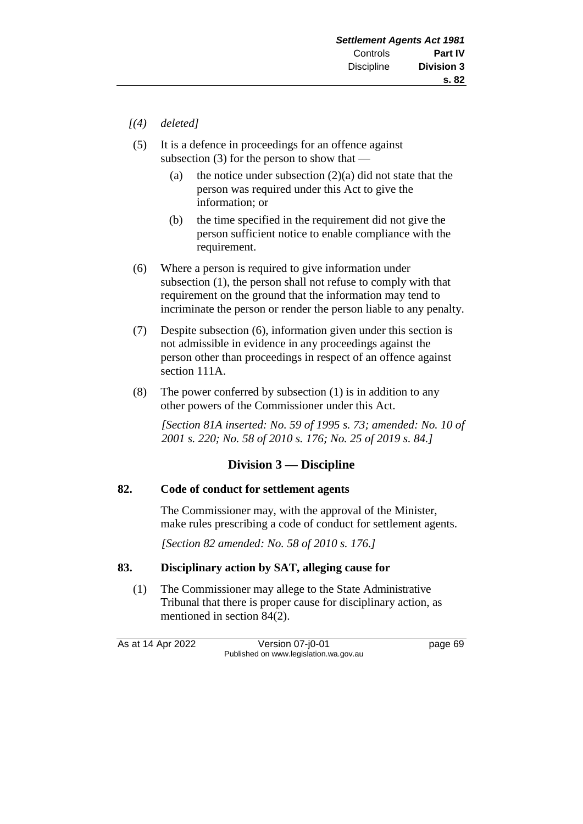- *[(4) deleted]*
- (5) It is a defence in proceedings for an offence against subsection  $(3)$  for the person to show that —
	- (a) the notice under subsection  $(2)(a)$  did not state that the person was required under this Act to give the information; or
	- (b) the time specified in the requirement did not give the person sufficient notice to enable compliance with the requirement.
- (6) Where a person is required to give information under subsection (1), the person shall not refuse to comply with that requirement on the ground that the information may tend to incriminate the person or render the person liable to any penalty.
- (7) Despite subsection (6), information given under this section is not admissible in evidence in any proceedings against the person other than proceedings in respect of an offence against section 111A.
- (8) The power conferred by subsection (1) is in addition to any other powers of the Commissioner under this Act.

*[Section 81A inserted: No. 59 of 1995 s. 73; amended: No. 10 of 2001 s. 220; No. 58 of 2010 s. 176; No. 25 of 2019 s. 84.]*

## **Division 3 — Discipline**

#### **82. Code of conduct for settlement agents**

The Commissioner may, with the approval of the Minister, make rules prescribing a code of conduct for settlement agents.

*[Section 82 amended: No. 58 of 2010 s. 176.]*

## **83. Disciplinary action by SAT, alleging cause for**

(1) The Commissioner may allege to the State Administrative Tribunal that there is proper cause for disciplinary action, as mentioned in section 84(2).

As at 14 Apr 2022 Version 07-j0-01 page 69 Published on www.legislation.wa.gov.au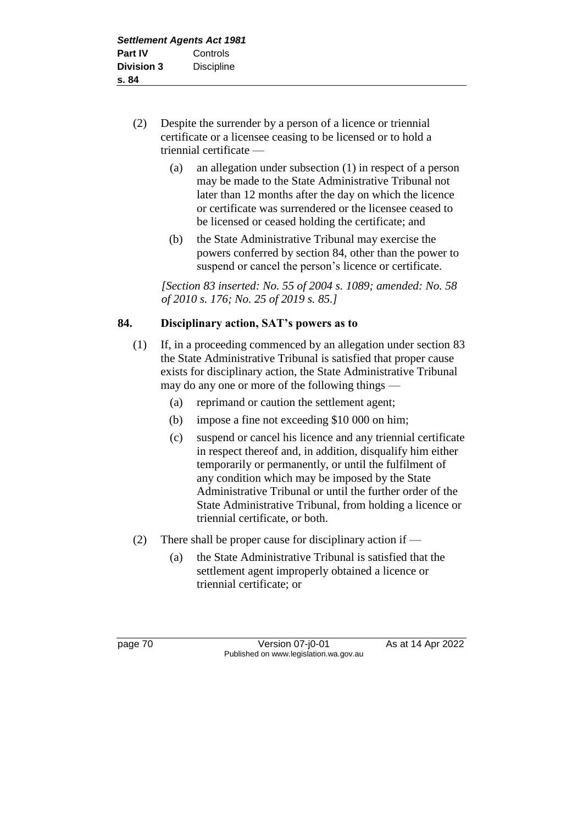- (2) Despite the surrender by a person of a licence or triennial certificate or a licensee ceasing to be licensed or to hold a triennial certificate —
	- (a) an allegation under subsection (1) in respect of a person may be made to the State Administrative Tribunal not later than 12 months after the day on which the licence or certificate was surrendered or the licensee ceased to be licensed or ceased holding the certificate; and
	- (b) the State Administrative Tribunal may exercise the powers conferred by section 84, other than the power to suspend or cancel the person's licence or certificate.

*[Section 83 inserted: No. 55 of 2004 s. 1089; amended: No. 58 of 2010 s. 176; No. 25 of 2019 s. 85.]*

## **84. Disciplinary action, SAT's powers as to**

- (1) If, in a proceeding commenced by an allegation under section 83 the State Administrative Tribunal is satisfied that proper cause exists for disciplinary action, the State Administrative Tribunal may do any one or more of the following things —
	- (a) reprimand or caution the settlement agent;
	- (b) impose a fine not exceeding \$10 000 on him;
	- (c) suspend or cancel his licence and any triennial certificate in respect thereof and, in addition, disqualify him either temporarily or permanently, or until the fulfilment of any condition which may be imposed by the State Administrative Tribunal or until the further order of the State Administrative Tribunal, from holding a licence or triennial certificate, or both.
- (2) There shall be proper cause for disciplinary action if
	- (a) the State Administrative Tribunal is satisfied that the settlement agent improperly obtained a licence or triennial certificate; or

page 70 **Version 07-j0-01** As at 14 Apr 2022 Published on www.legislation.wa.gov.au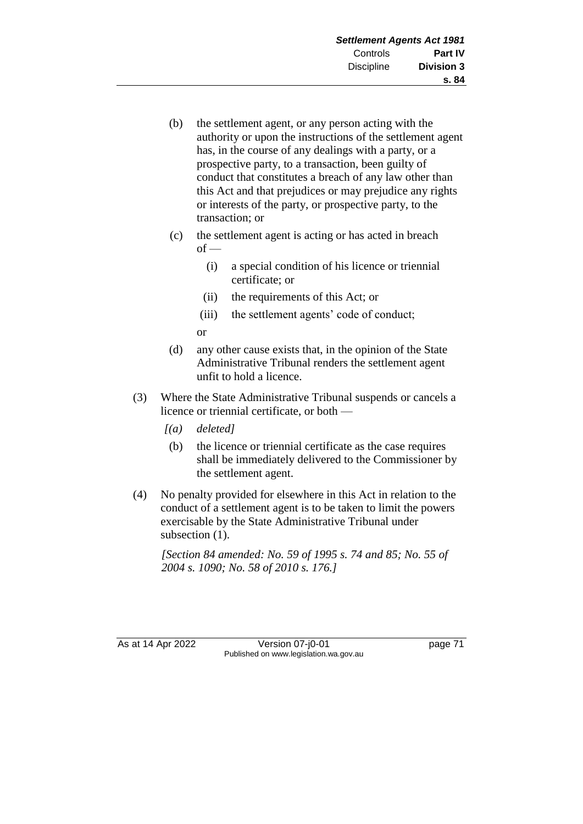- (b) the settlement agent, or any person acting with the authority or upon the instructions of the settlement agent has, in the course of any dealings with a party, or a prospective party, to a transaction, been guilty of conduct that constitutes a breach of any law other than this Act and that prejudices or may prejudice any rights or interests of the party, or prospective party, to the transaction; or
- (c) the settlement agent is acting or has acted in breach  $of -$ 
	- (i) a special condition of his licence or triennial certificate; or
	- (ii) the requirements of this Act; or
	- (iii) the settlement agents' code of conduct; or
- (d) any other cause exists that, in the opinion of the State Administrative Tribunal renders the settlement agent unfit to hold a licence.
- (3) Where the State Administrative Tribunal suspends or cancels a licence or triennial certificate, or both —
	- *[(a) deleted]*
	- (b) the licence or triennial certificate as the case requires shall be immediately delivered to the Commissioner by the settlement agent.
- (4) No penalty provided for elsewhere in this Act in relation to the conduct of a settlement agent is to be taken to limit the powers exercisable by the State Administrative Tribunal under subsection (1).

*[Section 84 amended: No. 59 of 1995 s. 74 and 85; No. 55 of 2004 s. 1090; No. 58 of 2010 s. 176.]*

As at 14 Apr 2022 Version 07-j0-01 page 71 Published on www.legislation.wa.gov.au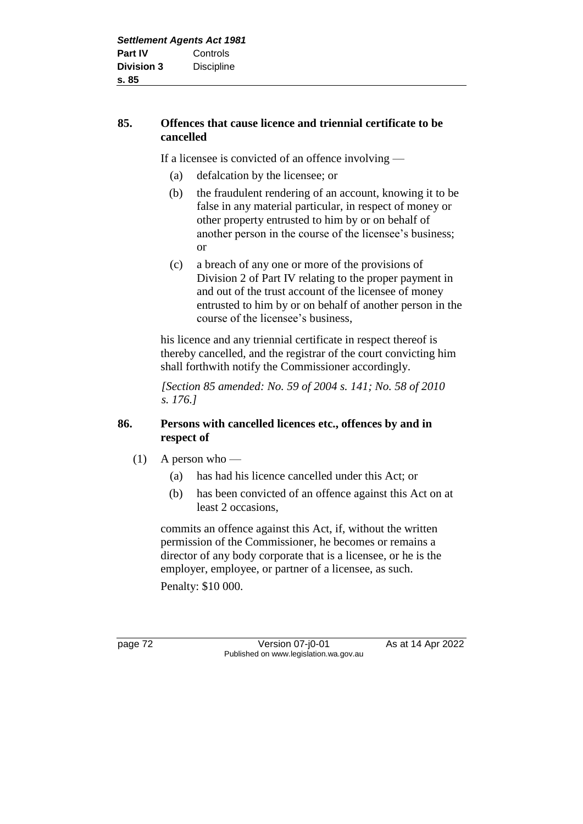## **85. Offences that cause licence and triennial certificate to be cancelled**

If a licensee is convicted of an offence involving —

- (a) defalcation by the licensee; or
- (b) the fraudulent rendering of an account, knowing it to be false in any material particular, in respect of money or other property entrusted to him by or on behalf of another person in the course of the licensee's business; or
- (c) a breach of any one or more of the provisions of Division 2 of Part IV relating to the proper payment in and out of the trust account of the licensee of money entrusted to him by or on behalf of another person in the course of the licensee's business,

his licence and any triennial certificate in respect thereof is thereby cancelled, and the registrar of the court convicting him shall forthwith notify the Commissioner accordingly.

*[Section 85 amended: No. 59 of 2004 s. 141; No. 58 of 2010 s. 176.]*

## **86. Persons with cancelled licences etc., offences by and in respect of**

- $(1)$  A person who
	- (a) has had his licence cancelled under this Act; or
	- (b) has been convicted of an offence against this Act on at least 2 occasions,

commits an offence against this Act, if, without the written permission of the Commissioner, he becomes or remains a director of any body corporate that is a licensee, or he is the employer, employee, or partner of a licensee, as such. Penalty: \$10 000.

page 72 Version 07-j0-01 As at 14 Apr 2022 Published on www.legislation.wa.gov.au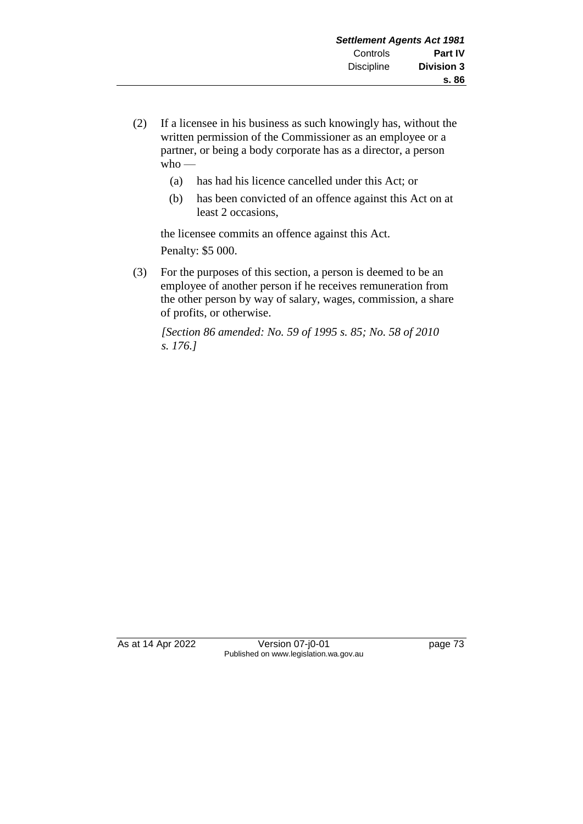- (2) If a licensee in his business as such knowingly has, without the written permission of the Commissioner as an employee or a partner, or being a body corporate has as a director, a person who —
	- (a) has had his licence cancelled under this Act; or
	- (b) has been convicted of an offence against this Act on at least 2 occasions,

the licensee commits an offence against this Act. Penalty: \$5 000.

(3) For the purposes of this section, a person is deemed to be an employee of another person if he receives remuneration from the other person by way of salary, wages, commission, a share of profits, or otherwise.

*[Section 86 amended: No. 59 of 1995 s. 85; No. 58 of 2010 s. 176.]*

As at 14 Apr 2022 Version 07-j0-01 page 73 Published on www.legislation.wa.gov.au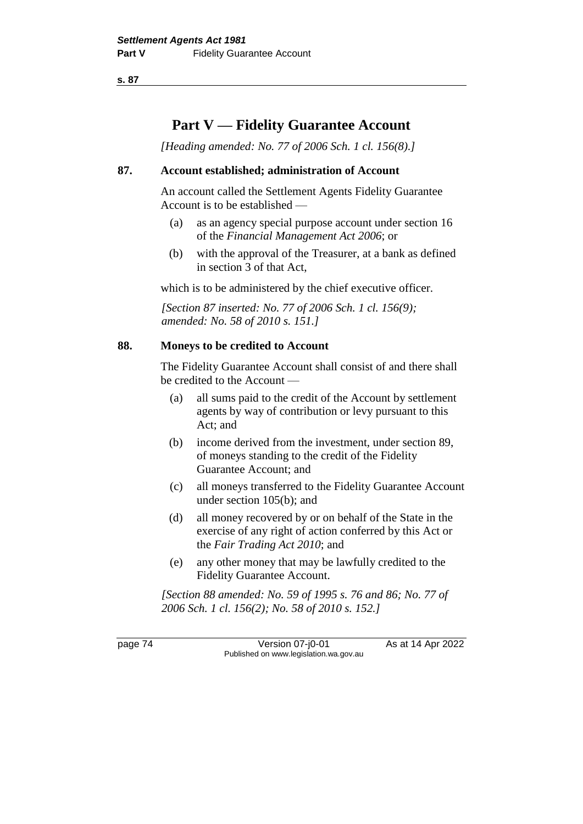# **Part V — Fidelity Guarantee Account**

*[Heading amended: No. 77 of 2006 Sch. 1 cl. 156(8).]*

#### **87. Account established; administration of Account**

An account called the Settlement Agents Fidelity Guarantee Account is to be established —

- (a) as an agency special purpose account under section 16 of the *Financial Management Act 2006*; or
- (b) with the approval of the Treasurer, at a bank as defined in section 3 of that Act,

which is to be administered by the chief executive officer.

*[Section 87 inserted: No. 77 of 2006 Sch. 1 cl. 156(9); amended: No. 58 of 2010 s. 151.]*

#### **88. Moneys to be credited to Account**

The Fidelity Guarantee Account shall consist of and there shall be credited to the Account —

- (a) all sums paid to the credit of the Account by settlement agents by way of contribution or levy pursuant to this Act; and
- (b) income derived from the investment, under section 89, of moneys standing to the credit of the Fidelity Guarantee Account; and
- (c) all moneys transferred to the Fidelity Guarantee Account under section 105(b); and
- (d) all money recovered by or on behalf of the State in the exercise of any right of action conferred by this Act or the *Fair Trading Act 2010*; and
- (e) any other money that may be lawfully credited to the Fidelity Guarantee Account.

*[Section 88 amended: No. 59 of 1995 s. 76 and 86; No. 77 of 2006 Sch. 1 cl. 156(2); No. 58 of 2010 s. 152.]*

page 74 Version 07-j0-01 As at 14 Apr 2022 Published on www.legislation.wa.gov.au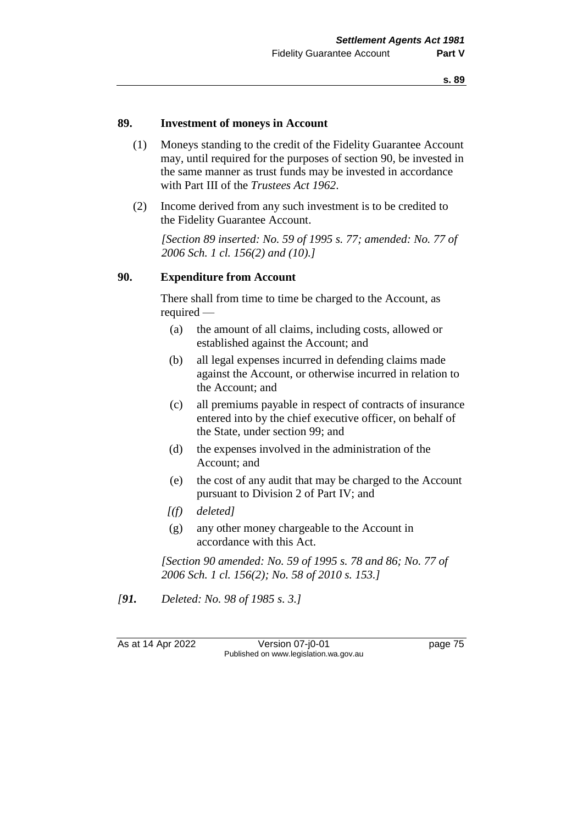#### **89. Investment of moneys in Account**

- (1) Moneys standing to the credit of the Fidelity Guarantee Account may, until required for the purposes of section 90, be invested in the same manner as trust funds may be invested in accordance with Part III of the *Trustees Act 1962*.
- (2) Income derived from any such investment is to be credited to the Fidelity Guarantee Account.

*[Section 89 inserted: No. 59 of 1995 s. 77; amended: No. 77 of 2006 Sch. 1 cl. 156(2) and (10).]*

#### **90. Expenditure from Account**

There shall from time to time be charged to the Account, as required —

- (a) the amount of all claims, including costs, allowed or established against the Account; and
- (b) all legal expenses incurred in defending claims made against the Account, or otherwise incurred in relation to the Account; and
- (c) all premiums payable in respect of contracts of insurance entered into by the chief executive officer, on behalf of the State, under section 99; and
- (d) the expenses involved in the administration of the Account; and
- (e) the cost of any audit that may be charged to the Account pursuant to Division 2 of Part IV; and
- *[(f) deleted]*
- (g) any other money chargeable to the Account in accordance with this Act.

*[Section 90 amended: No. 59 of 1995 s. 78 and 86; No. 77 of 2006 Sch. 1 cl. 156(2); No. 58 of 2010 s. 153.]*

*[91. Deleted: No. 98 of 1985 s. 3.]*

As at 14 Apr 2022 Version 07-j0-01 Page 75 Published on www.legislation.wa.gov.au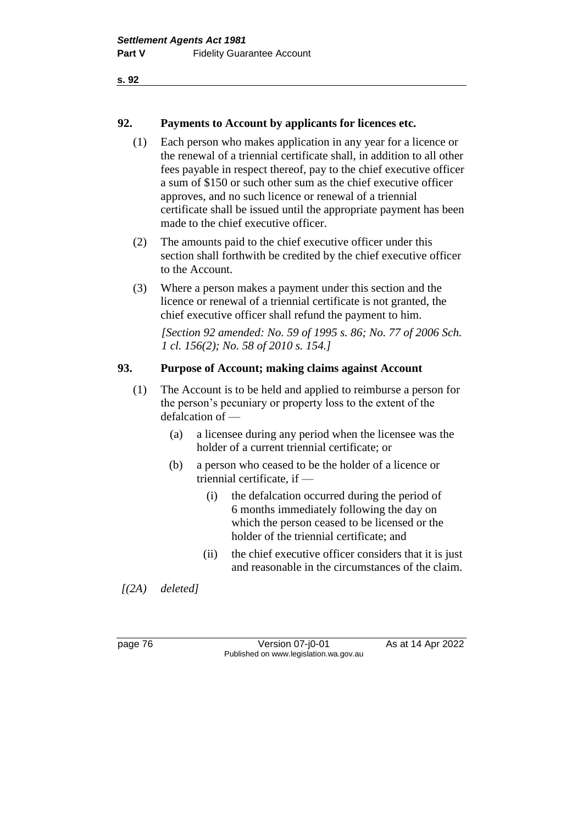## **92. Payments to Account by applicants for licences etc.**

- (1) Each person who makes application in any year for a licence or the renewal of a triennial certificate shall, in addition to all other fees payable in respect thereof, pay to the chief executive officer a sum of \$150 or such other sum as the chief executive officer approves, and no such licence or renewal of a triennial certificate shall be issued until the appropriate payment has been made to the chief executive officer.
- (2) The amounts paid to the chief executive officer under this section shall forthwith be credited by the chief executive officer to the Account.
- (3) Where a person makes a payment under this section and the licence or renewal of a triennial certificate is not granted, the chief executive officer shall refund the payment to him.

*[Section 92 amended: No. 59 of 1995 s. 86; No. 77 of 2006 Sch. 1 cl. 156(2); No. 58 of 2010 s. 154.]*

## **93. Purpose of Account; making claims against Account**

- (1) The Account is to be held and applied to reimburse a person for the person's pecuniary or property loss to the extent of the defalcation of —
	- (a) a licensee during any period when the licensee was the holder of a current triennial certificate; or
	- (b) a person who ceased to be the holder of a licence or triennial certificate, if —
		- (i) the defalcation occurred during the period of 6 months immediately following the day on which the person ceased to be licensed or the holder of the triennial certificate; and
		- (ii) the chief executive officer considers that it is just and reasonable in the circumstances of the claim.

*[(2A) deleted]*

page 76 **Version 07-j0-01** As at 14 Apr 2022 Published on www.legislation.wa.gov.au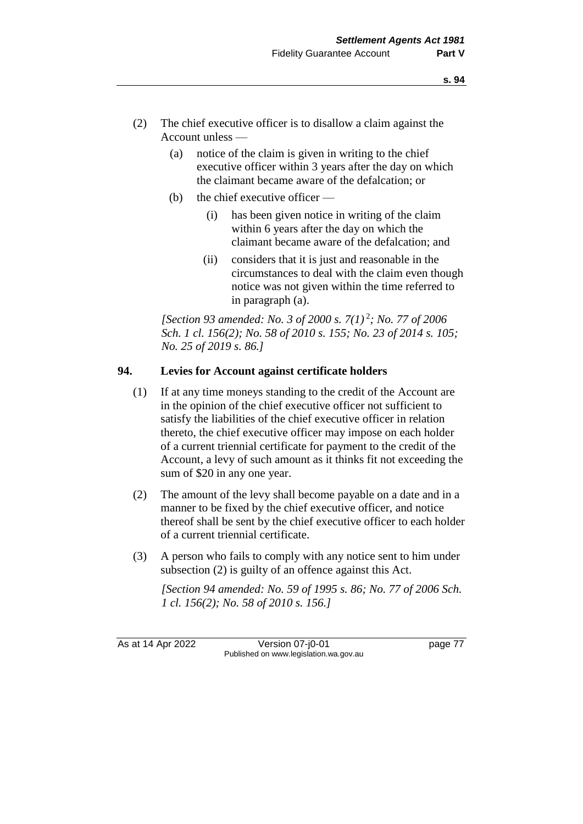- (2) The chief executive officer is to disallow a claim against the Account unless —
	- (a) notice of the claim is given in writing to the chief executive officer within 3 years after the day on which the claimant became aware of the defalcation; or
	- (b) the chief executive officer  $-$ 
		- (i) has been given notice in writing of the claim within 6 years after the day on which the claimant became aware of the defalcation; and
		- (ii) considers that it is just and reasonable in the circumstances to deal with the claim even though notice was not given within the time referred to in paragraph (a).

*[Section 93 amended: No. 3 of 2000 s. 7(1)* <sup>2</sup> *; No. 77 of 2006 Sch. 1 cl. 156(2); No. 58 of 2010 s. 155; No. 23 of 2014 s. 105; No. 25 of 2019 s. 86.]*

### **94. Levies for Account against certificate holders**

- (1) If at any time moneys standing to the credit of the Account are in the opinion of the chief executive officer not sufficient to satisfy the liabilities of the chief executive officer in relation thereto, the chief executive officer may impose on each holder of a current triennial certificate for payment to the credit of the Account, a levy of such amount as it thinks fit not exceeding the sum of \$20 in any one year.
- (2) The amount of the levy shall become payable on a date and in a manner to be fixed by the chief executive officer, and notice thereof shall be sent by the chief executive officer to each holder of a current triennial certificate.
- (3) A person who fails to comply with any notice sent to him under subsection (2) is guilty of an offence against this Act.

*[Section 94 amended: No. 59 of 1995 s. 86; No. 77 of 2006 Sch. 1 cl. 156(2); No. 58 of 2010 s. 156.]*

As at 14 Apr 2022 Version 07-j0-01 page 77 Published on www.legislation.wa.gov.au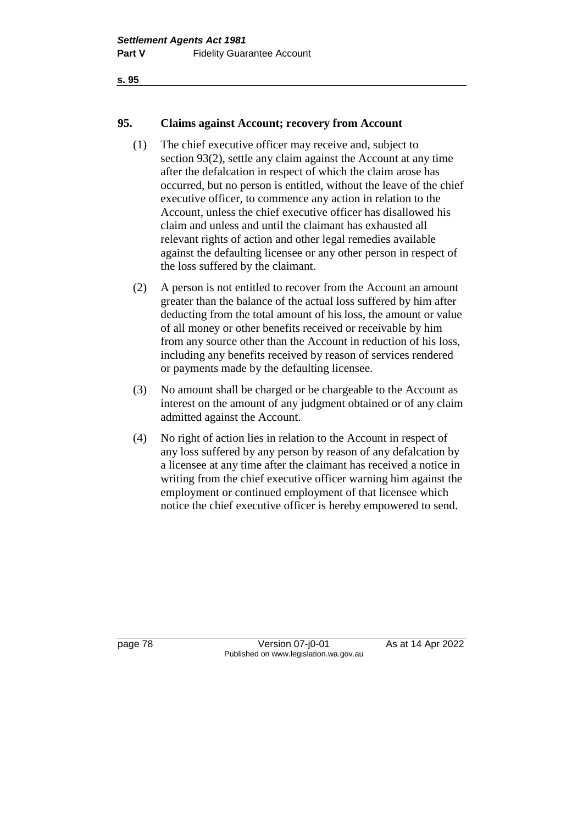#### **95. Claims against Account; recovery from Account**

- (1) The chief executive officer may receive and, subject to section 93(2), settle any claim against the Account at any time after the defalcation in respect of which the claim arose has occurred, but no person is entitled, without the leave of the chief executive officer, to commence any action in relation to the Account, unless the chief executive officer has disallowed his claim and unless and until the claimant has exhausted all relevant rights of action and other legal remedies available against the defaulting licensee or any other person in respect of the loss suffered by the claimant.
- (2) A person is not entitled to recover from the Account an amount greater than the balance of the actual loss suffered by him after deducting from the total amount of his loss, the amount or value of all money or other benefits received or receivable by him from any source other than the Account in reduction of his loss, including any benefits received by reason of services rendered or payments made by the defaulting licensee.
- (3) No amount shall be charged or be chargeable to the Account as interest on the amount of any judgment obtained or of any claim admitted against the Account.
- (4) No right of action lies in relation to the Account in respect of any loss suffered by any person by reason of any defalcation by a licensee at any time after the claimant has received a notice in writing from the chief executive officer warning him against the employment or continued employment of that licensee which notice the chief executive officer is hereby empowered to send.

page 78 Version 07-j0-01 As at 14 Apr 2022 Published on www.legislation.wa.gov.au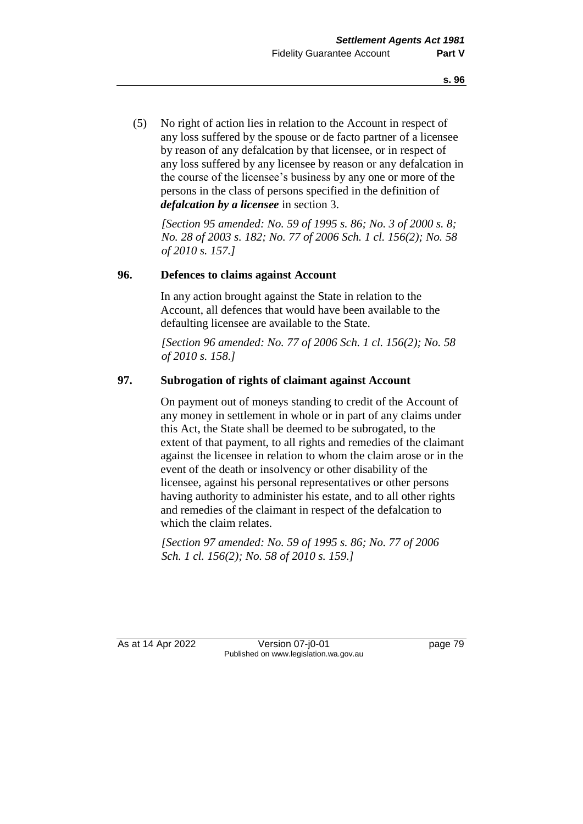(5) No right of action lies in relation to the Account in respect of any loss suffered by the spouse or de facto partner of a licensee by reason of any defalcation by that licensee, or in respect of any loss suffered by any licensee by reason or any defalcation in the course of the licensee's business by any one or more of the persons in the class of persons specified in the definition of *defalcation by a licensee* in section 3.

*[Section 95 amended: No. 59 of 1995 s. 86; No. 3 of 2000 s. 8; No. 28 of 2003 s. 182; No. 77 of 2006 Sch. 1 cl. 156(2); No. 58 of 2010 s. 157.]*

#### **96. Defences to claims against Account**

In any action brought against the State in relation to the Account, all defences that would have been available to the defaulting licensee are available to the State.

*[Section 96 amended: No. 77 of 2006 Sch. 1 cl. 156(2); No. 58 of 2010 s. 158.]*

## **97. Subrogation of rights of claimant against Account**

On payment out of moneys standing to credit of the Account of any money in settlement in whole or in part of any claims under this Act, the State shall be deemed to be subrogated, to the extent of that payment, to all rights and remedies of the claimant against the licensee in relation to whom the claim arose or in the event of the death or insolvency or other disability of the licensee, against his personal representatives or other persons having authority to administer his estate, and to all other rights and remedies of the claimant in respect of the defalcation to which the claim relates.

*[Section 97 amended: No. 59 of 1995 s. 86; No. 77 of 2006 Sch. 1 cl. 156(2); No. 58 of 2010 s. 159.]*

As at 14 Apr 2022 Version 07-j0-01 page 79 Published on www.legislation.wa.gov.au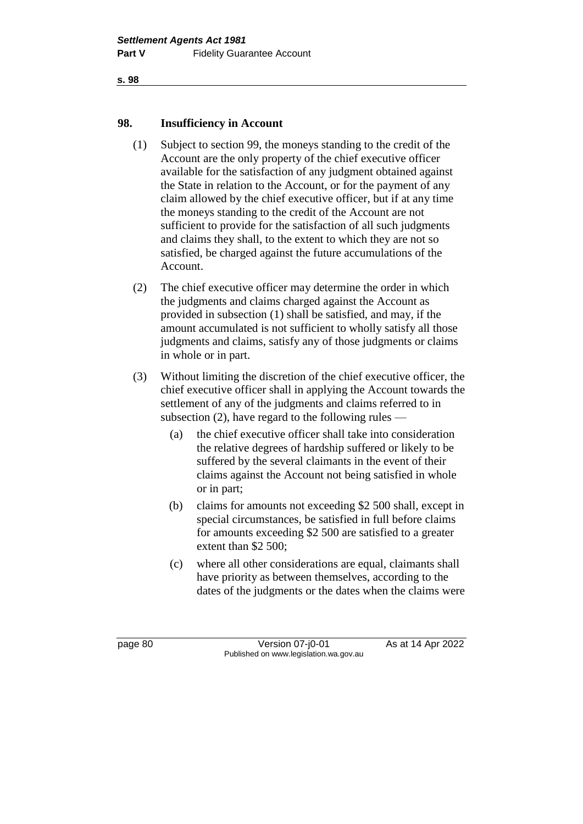#### **98. Insufficiency in Account**

- (1) Subject to section 99, the moneys standing to the credit of the Account are the only property of the chief executive officer available for the satisfaction of any judgment obtained against the State in relation to the Account, or for the payment of any claim allowed by the chief executive officer, but if at any time the moneys standing to the credit of the Account are not sufficient to provide for the satisfaction of all such judgments and claims they shall, to the extent to which they are not so satisfied, be charged against the future accumulations of the Account.
- (2) The chief executive officer may determine the order in which the judgments and claims charged against the Account as provided in subsection (1) shall be satisfied, and may, if the amount accumulated is not sufficient to wholly satisfy all those judgments and claims, satisfy any of those judgments or claims in whole or in part.
- (3) Without limiting the discretion of the chief executive officer, the chief executive officer shall in applying the Account towards the settlement of any of the judgments and claims referred to in subsection (2), have regard to the following rules —
	- (a) the chief executive officer shall take into consideration the relative degrees of hardship suffered or likely to be suffered by the several claimants in the event of their claims against the Account not being satisfied in whole or in part;
	- (b) claims for amounts not exceeding \$2 500 shall, except in special circumstances, be satisfied in full before claims for amounts exceeding \$2 500 are satisfied to a greater extent than \$2 500;
	- (c) where all other considerations are equal, claimants shall have priority as between themselves, according to the dates of the judgments or the dates when the claims were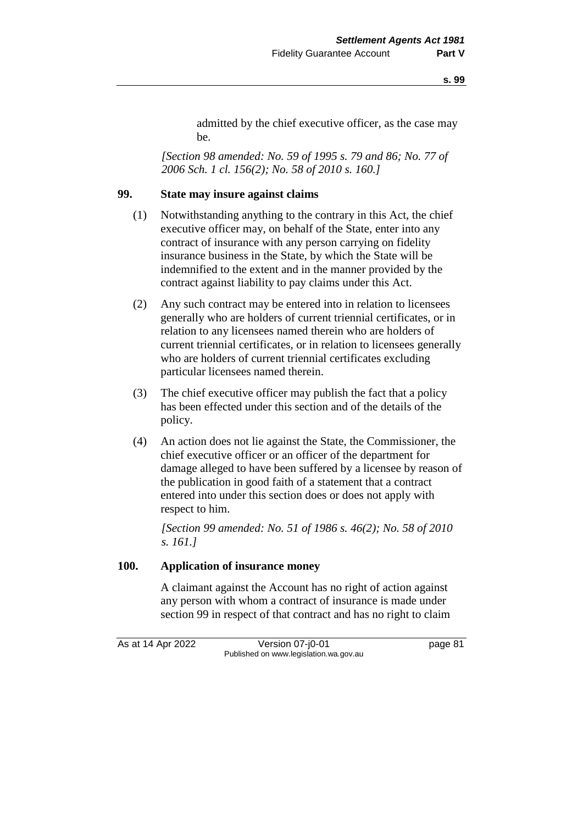admitted by the chief executive officer, as the case may be.

*[Section 98 amended: No. 59 of 1995 s. 79 and 86; No. 77 of 2006 Sch. 1 cl. 156(2); No. 58 of 2010 s. 160.]*

### **99. State may insure against claims**

- (1) Notwithstanding anything to the contrary in this Act, the chief executive officer may, on behalf of the State, enter into any contract of insurance with any person carrying on fidelity insurance business in the State, by which the State will be indemnified to the extent and in the manner provided by the contract against liability to pay claims under this Act.
- (2) Any such contract may be entered into in relation to licensees generally who are holders of current triennial certificates, or in relation to any licensees named therein who are holders of current triennial certificates, or in relation to licensees generally who are holders of current triennial certificates excluding particular licensees named therein.
- (3) The chief executive officer may publish the fact that a policy has been effected under this section and of the details of the policy.
- (4) An action does not lie against the State, the Commissioner, the chief executive officer or an officer of the department for damage alleged to have been suffered by a licensee by reason of the publication in good faith of a statement that a contract entered into under this section does or does not apply with respect to him.

*[Section 99 amended: No. 51 of 1986 s. 46(2); No. 58 of 2010 s. 161.]*

#### **100. Application of insurance money**

A claimant against the Account has no right of action against any person with whom a contract of insurance is made under section 99 in respect of that contract and has no right to claim

As at 14 Apr 2022 Version 07-j0-01 page 81 Published on www.legislation.wa.gov.au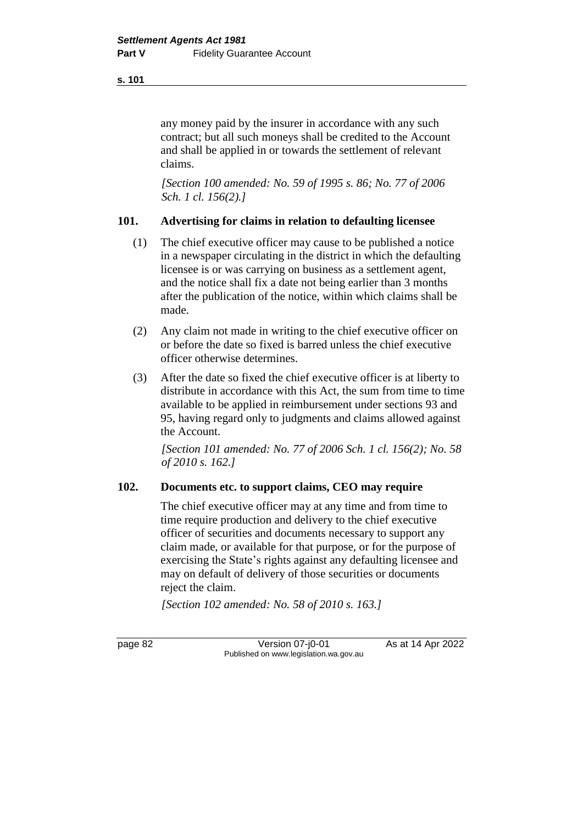any money paid by the insurer in accordance with any such contract; but all such moneys shall be credited to the Account and shall be applied in or towards the settlement of relevant claims.

*[Section 100 amended: No. 59 of 1995 s. 86; No. 77 of 2006 Sch. 1 cl. 156(2).]*

### **101. Advertising for claims in relation to defaulting licensee**

- (1) The chief executive officer may cause to be published a notice in a newspaper circulating in the district in which the defaulting licensee is or was carrying on business as a settlement agent, and the notice shall fix a date not being earlier than 3 months after the publication of the notice, within which claims shall be made.
- (2) Any claim not made in writing to the chief executive officer on or before the date so fixed is barred unless the chief executive officer otherwise determines.
- (3) After the date so fixed the chief executive officer is at liberty to distribute in accordance with this Act, the sum from time to time available to be applied in reimbursement under sections 93 and 95, having regard only to judgments and claims allowed against the Account.

*[Section 101 amended: No. 77 of 2006 Sch. 1 cl. 156(2); No. 58 of 2010 s. 162.]*

### **102. Documents etc. to support claims, CEO may require**

The chief executive officer may at any time and from time to time require production and delivery to the chief executive officer of securities and documents necessary to support any claim made, or available for that purpose, or for the purpose of exercising the State's rights against any defaulting licensee and may on default of delivery of those securities or documents reject the claim.

*[Section 102 amended: No. 58 of 2010 s. 163.]*

page 82 Version 07-j0-01 As at 14 Apr 2022 Published on www.legislation.wa.gov.au

**s. 101**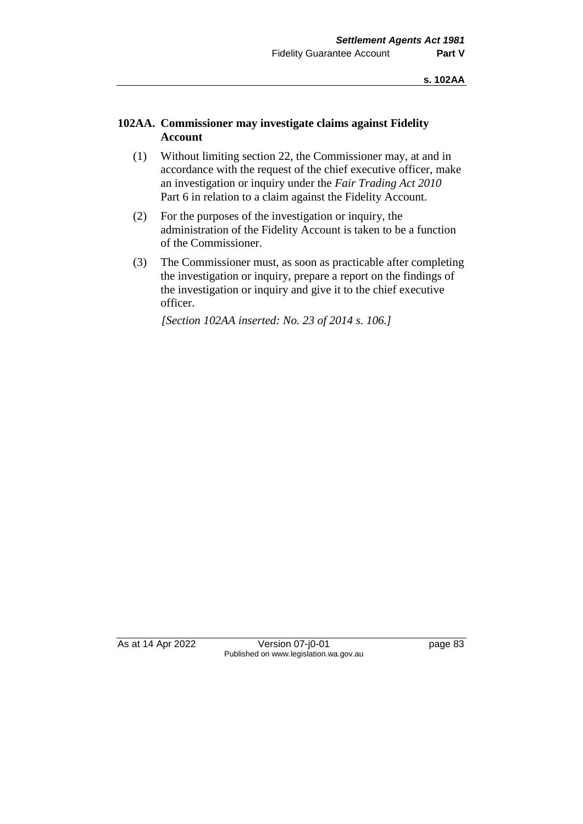## **102AA. Commissioner may investigate claims against Fidelity Account**

- (1) Without limiting section 22, the Commissioner may, at and in accordance with the request of the chief executive officer, make an investigation or inquiry under the *Fair Trading Act 2010* Part 6 in relation to a claim against the Fidelity Account.
- (2) For the purposes of the investigation or inquiry, the administration of the Fidelity Account is taken to be a function of the Commissioner.
- (3) The Commissioner must, as soon as practicable after completing the investigation or inquiry, prepare a report on the findings of the investigation or inquiry and give it to the chief executive officer.

*[Section 102AA inserted: No. 23 of 2014 s. 106.]*

As at 14 Apr 2022 Version 07-j0-01 page 83 Published on www.legislation.wa.gov.au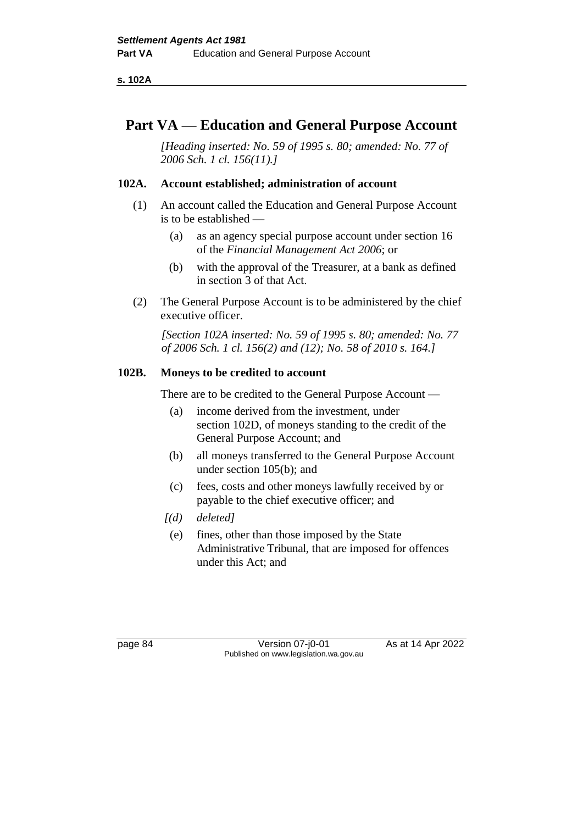**s. 102A**

## **Part VA — Education and General Purpose Account**

*[Heading inserted: No. 59 of 1995 s. 80; amended: No. 77 of 2006 Sch. 1 cl. 156(11).]*

### **102A. Account established; administration of account**

- (1) An account called the Education and General Purpose Account is to be established —
	- (a) as an agency special purpose account under section 16 of the *Financial Management Act 2006*; or
	- (b) with the approval of the Treasurer, at a bank as defined in section 3 of that Act.
- (2) The General Purpose Account is to be administered by the chief executive officer.

*[Section 102A inserted: No. 59 of 1995 s. 80; amended: No. 77 of 2006 Sch. 1 cl. 156(2) and (12); No. 58 of 2010 s. 164.]*

## **102B. Moneys to be credited to account**

There are to be credited to the General Purpose Account —

- (a) income derived from the investment, under section 102D, of moneys standing to the credit of the General Purpose Account; and
- (b) all moneys transferred to the General Purpose Account under section 105(b); and
- (c) fees, costs and other moneys lawfully received by or payable to the chief executive officer; and
- *[(d) deleted]*
	- (e) fines, other than those imposed by the State Administrative Tribunal, that are imposed for offences under this Act; and

page 84 Version 07-j0-01 As at 14 Apr 2022 Published on www.legislation.wa.gov.au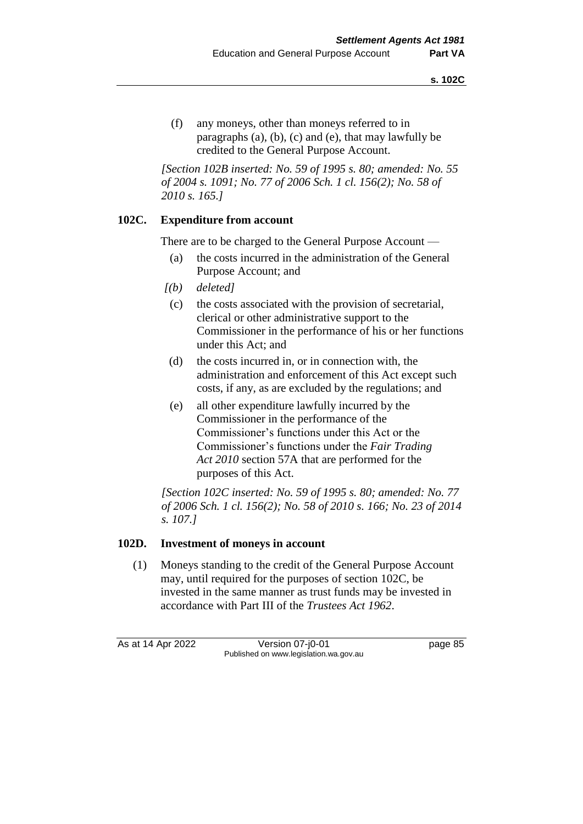(f) any moneys, other than moneys referred to in paragraphs (a), (b), (c) and (e), that may lawfully be credited to the General Purpose Account.

*[Section 102B inserted: No. 59 of 1995 s. 80; amended: No. 55 of 2004 s. 1091; No. 77 of 2006 Sch. 1 cl. 156(2); No. 58 of 2010 s. 165.]*

## **102C. Expenditure from account**

There are to be charged to the General Purpose Account —

- (a) the costs incurred in the administration of the General Purpose Account; and
- *[(b) deleted]*
- (c) the costs associated with the provision of secretarial, clerical or other administrative support to the Commissioner in the performance of his or her functions under this Act; and
- (d) the costs incurred in, or in connection with, the administration and enforcement of this Act except such costs, if any, as are excluded by the regulations; and
- (e) all other expenditure lawfully incurred by the Commissioner in the performance of the Commissioner's functions under this Act or the Commissioner's functions under the *Fair Trading Act 2010* section 57A that are performed for the purposes of this Act.

*[Section 102C inserted: No. 59 of 1995 s. 80; amended: No. 77 of 2006 Sch. 1 cl. 156(2); No. 58 of 2010 s. 166; No. 23 of 2014 s. 107.]*

## **102D. Investment of moneys in account**

(1) Moneys standing to the credit of the General Purpose Account may, until required for the purposes of section 102C, be invested in the same manner as trust funds may be invested in accordance with Part III of the *Trustees Act 1962*.

As at 14 Apr 2022 Version 07-j0-01 page 85 Published on www.legislation.wa.gov.au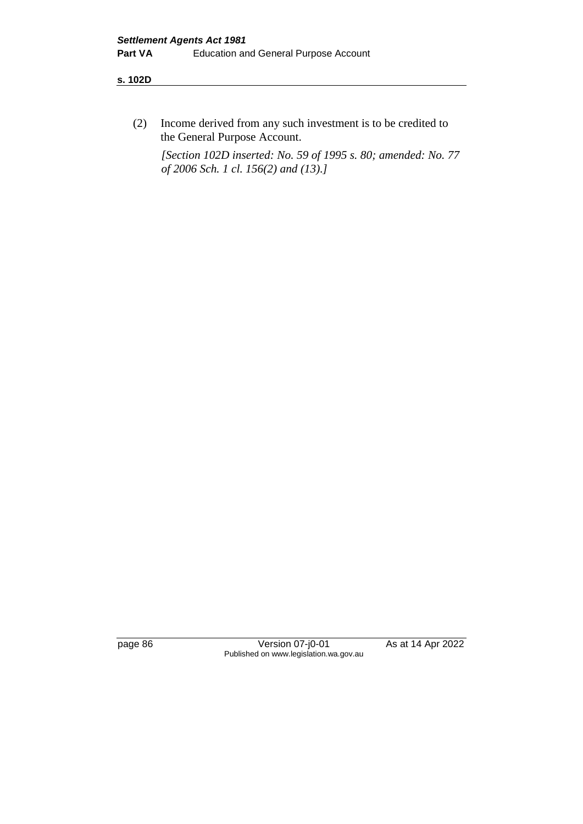#### **s. 102D**

(2) Income derived from any such investment is to be credited to the General Purpose Account.

*[Section 102D inserted: No. 59 of 1995 s. 80; amended: No. 77 of 2006 Sch. 1 cl. 156(2) and (13).]*

page 86 Version 07-j0-01 As at 14 Apr 2022 Published on www.legislation.wa.gov.au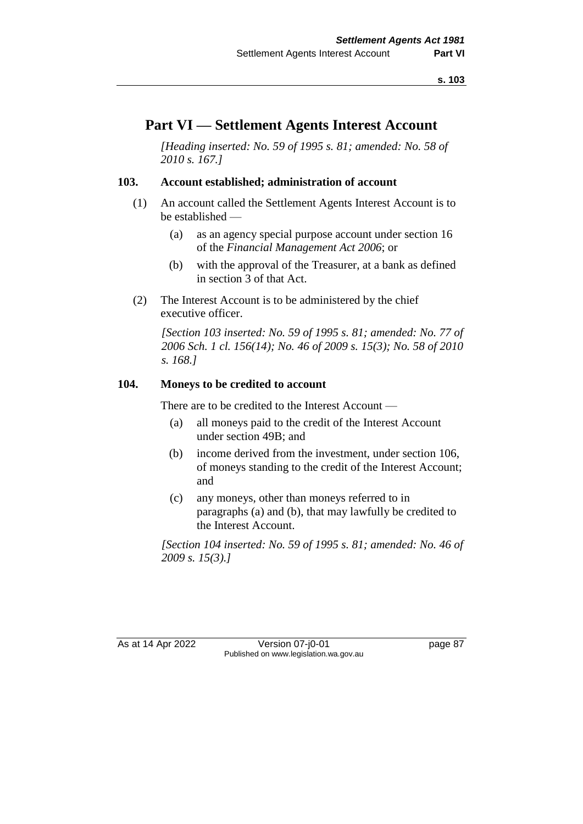# **Part VI — Settlement Agents Interest Account**

*[Heading inserted: No. 59 of 1995 s. 81; amended: No. 58 of 2010 s. 167.]*

#### **103. Account established; administration of account**

- (1) An account called the Settlement Agents Interest Account is to be established —
	- (a) as an agency special purpose account under section 16 of the *Financial Management Act 2006*; or
	- (b) with the approval of the Treasurer, at a bank as defined in section 3 of that Act.
- (2) The Interest Account is to be administered by the chief executive officer.

*[Section 103 inserted: No. 59 of 1995 s. 81; amended: No. 77 of 2006 Sch. 1 cl. 156(14); No. 46 of 2009 s. 15(3); No. 58 of 2010 s. 168.]*

#### **104. Moneys to be credited to account**

There are to be credited to the Interest Account —

- (a) all moneys paid to the credit of the Interest Account under section 49B; and
- (b) income derived from the investment, under section 106, of moneys standing to the credit of the Interest Account; and
- (c) any moneys, other than moneys referred to in paragraphs (a) and (b), that may lawfully be credited to the Interest Account.

*[Section 104 inserted: No. 59 of 1995 s. 81; amended: No. 46 of 2009 s. 15(3).]*

As at 14 Apr 2022 Version 07-j0-01 Page 87 Published on www.legislation.wa.gov.au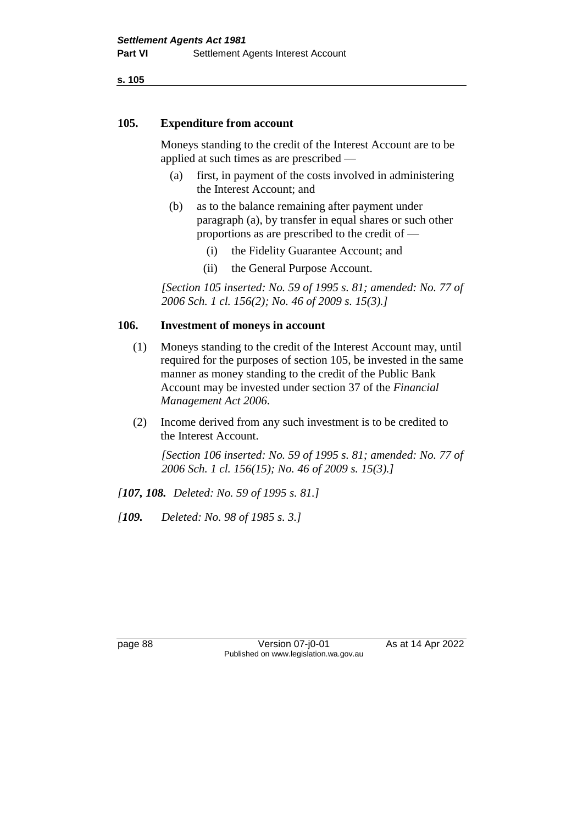#### **105. Expenditure from account**

Moneys standing to the credit of the Interest Account are to be applied at such times as are prescribed —

- (a) first, in payment of the costs involved in administering the Interest Account; and
- (b) as to the balance remaining after payment under paragraph (a), by transfer in equal shares or such other proportions as are prescribed to the credit of —
	- (i) the Fidelity Guarantee Account; and
	- (ii) the General Purpose Account.

*[Section 105 inserted: No. 59 of 1995 s. 81; amended: No. 77 of 2006 Sch. 1 cl. 156(2); No. 46 of 2009 s. 15(3).]*

#### **106. Investment of moneys in account**

- (1) Moneys standing to the credit of the Interest Account may, until required for the purposes of section 105, be invested in the same manner as money standing to the credit of the Public Bank Account may be invested under section 37 of the *Financial Management Act 2006*.
- (2) Income derived from any such investment is to be credited to the Interest Account.

*[Section 106 inserted: No. 59 of 1995 s. 81; amended: No. 77 of 2006 Sch. 1 cl. 156(15); No. 46 of 2009 s. 15(3).]*

- *[107, 108. Deleted: No. 59 of 1995 s. 81.]*
- *[109. Deleted: No. 98 of 1985 s. 3.]*

page 88 Version 07-j0-01 As at 14 Apr 2022 Published on www.legislation.wa.gov.au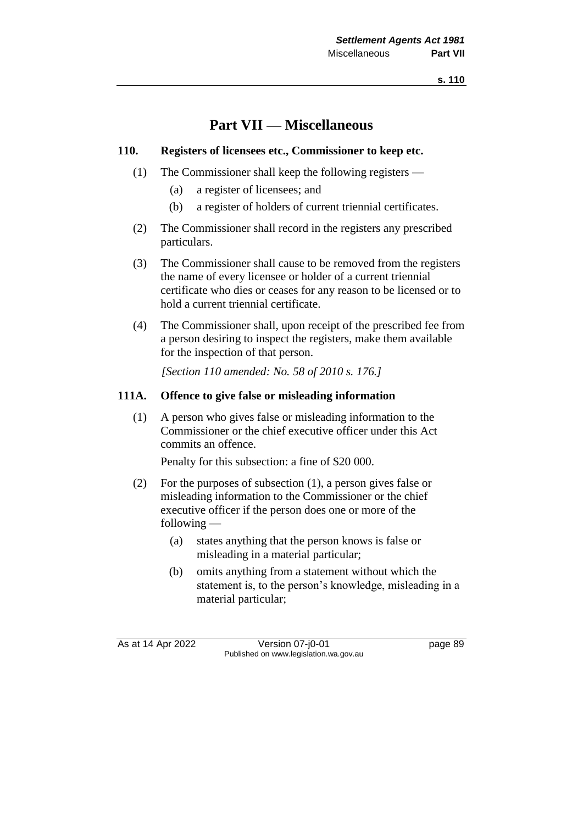# **Part VII — Miscellaneous**

## **110. Registers of licensees etc., Commissioner to keep etc.**

- (1) The Commissioner shall keep the following registers
	- (a) a register of licensees; and
	- (b) a register of holders of current triennial certificates.
- (2) The Commissioner shall record in the registers any prescribed particulars.
- (3) The Commissioner shall cause to be removed from the registers the name of every licensee or holder of a current triennial certificate who dies or ceases for any reason to be licensed or to hold a current triennial certificate.
- (4) The Commissioner shall, upon receipt of the prescribed fee from a person desiring to inspect the registers, make them available for the inspection of that person.

*[Section 110 amended: No. 58 of 2010 s. 176.]*

## **111A. Offence to give false or misleading information**

(1) A person who gives false or misleading information to the Commissioner or the chief executive officer under this Act commits an offence.

Penalty for this subsection: a fine of \$20 000.

- (2) For the purposes of subsection (1), a person gives false or misleading information to the Commissioner or the chief executive officer if the person does one or more of the following —
	- (a) states anything that the person knows is false or misleading in a material particular;
	- (b) omits anything from a statement without which the statement is, to the person's knowledge, misleading in a material particular;

As at 14 Apr 2022 Version 07-j0-01 page 89 Published on www.legislation.wa.gov.au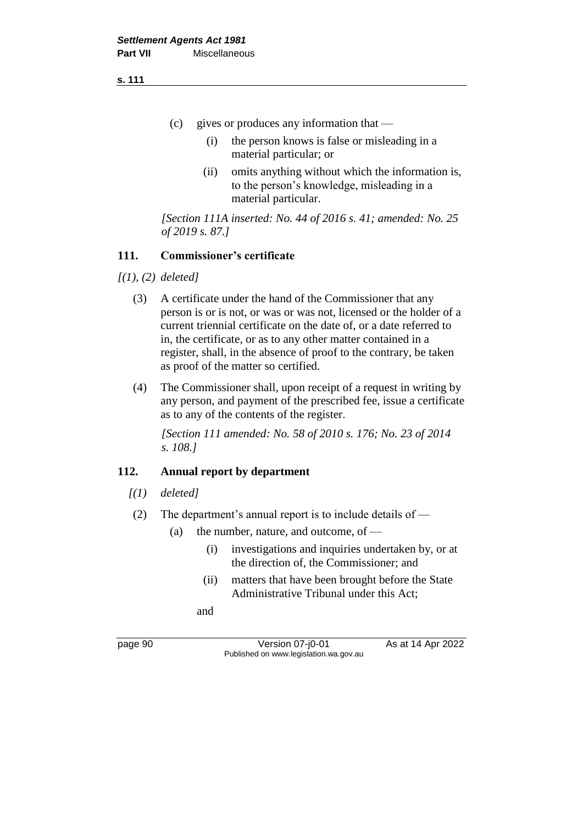- (c) gives or produces any information that
	- (i) the person knows is false or misleading in a material particular; or
	- (ii) omits anything without which the information is, to the person's knowledge, misleading in a material particular.

*[Section 111A inserted: No. 44 of 2016 s. 41; amended: No. 25 of 2019 s. 87.]*

## **111. Commissioner's certificate**

*[(1), (2) deleted]*

- (3) A certificate under the hand of the Commissioner that any person is or is not, or was or was not, licensed or the holder of a current triennial certificate on the date of, or a date referred to in, the certificate, or as to any other matter contained in a register, shall, in the absence of proof to the contrary, be taken as proof of the matter so certified.
- (4) The Commissioner shall, upon receipt of a request in writing by any person, and payment of the prescribed fee, issue a certificate as to any of the contents of the register.

*[Section 111 amended: No. 58 of 2010 s. 176; No. 23 of 2014 s. 108.]*

#### **112. Annual report by department**

- *[(1) deleted]*
- (2) The department's annual report is to include details of
	- (a) the number, nature, and outcome, of  $-$ 
		- (i) investigations and inquiries undertaken by, or at the direction of, the Commissioner; and
		- (ii) matters that have been brought before the State Administrative Tribunal under this Act;

and

page 90 Version 07-j0-01 As at 14 Apr 2022 Published on www.legislation.wa.gov.au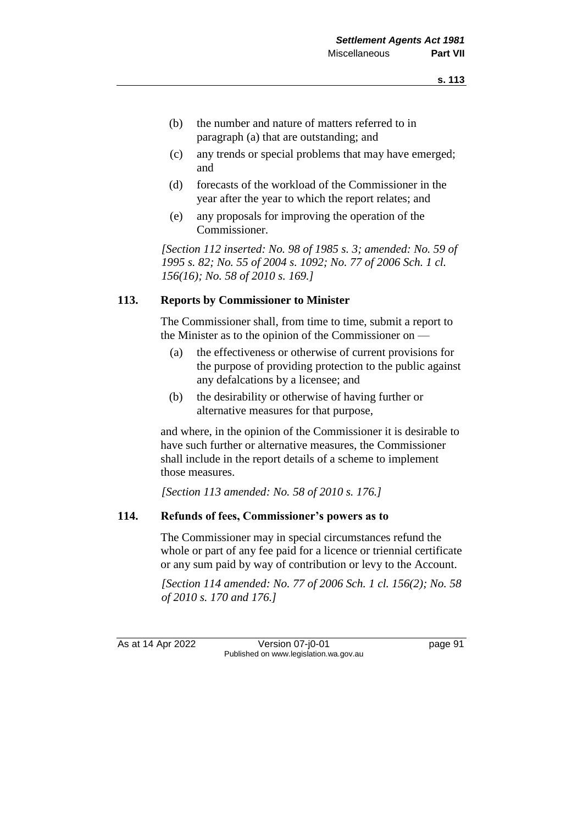- (b) the number and nature of matters referred to in paragraph (a) that are outstanding; and
- (c) any trends or special problems that may have emerged; and
- (d) forecasts of the workload of the Commissioner in the year after the year to which the report relates; and
- (e) any proposals for improving the operation of the Commissioner.

*[Section 112 inserted: No. 98 of 1985 s. 3; amended: No. 59 of 1995 s. 82; No. 55 of 2004 s. 1092; No. 77 of 2006 Sch. 1 cl. 156(16); No. 58 of 2010 s. 169.]*

## **113. Reports by Commissioner to Minister**

The Commissioner shall, from time to time, submit a report to the Minister as to the opinion of the Commissioner on —

- (a) the effectiveness or otherwise of current provisions for the purpose of providing protection to the public against any defalcations by a licensee; and
- (b) the desirability or otherwise of having further or alternative measures for that purpose,

and where, in the opinion of the Commissioner it is desirable to have such further or alternative measures, the Commissioner shall include in the report details of a scheme to implement those measures.

*[Section 113 amended: No. 58 of 2010 s. 176.]*

#### **114. Refunds of fees, Commissioner's powers as to**

The Commissioner may in special circumstances refund the whole or part of any fee paid for a licence or triennial certificate or any sum paid by way of contribution or levy to the Account.

*[Section 114 amended: No. 77 of 2006 Sch. 1 cl. 156(2); No. 58 of 2010 s. 170 and 176.]*

As at 14 Apr 2022 Version 07-j0-01 page 91 Published on www.legislation.wa.gov.au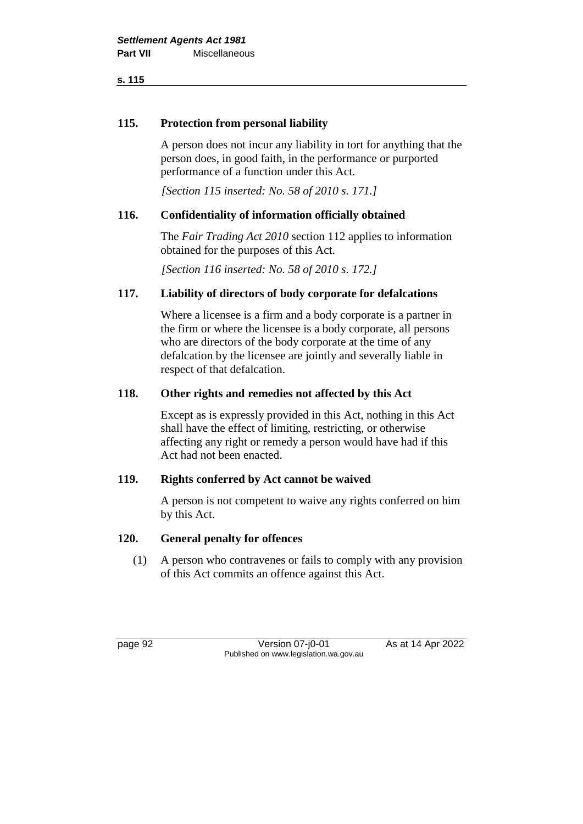## **115. Protection from personal liability**

A person does not incur any liability in tort for anything that the person does, in good faith, in the performance or purported performance of a function under this Act.

*[Section 115 inserted: No. 58 of 2010 s. 171.]*

## **116. Confidentiality of information officially obtained**

The *Fair Trading Act 2010* section 112 applies to information obtained for the purposes of this Act.

*[Section 116 inserted: No. 58 of 2010 s. 172.]*

## **117. Liability of directors of body corporate for defalcations**

Where a licensee is a firm and a body corporate is a partner in the firm or where the licensee is a body corporate, all persons who are directors of the body corporate at the time of any defalcation by the licensee are jointly and severally liable in respect of that defalcation.

#### **118. Other rights and remedies not affected by this Act**

Except as is expressly provided in this Act, nothing in this Act shall have the effect of limiting, restricting, or otherwise affecting any right or remedy a person would have had if this Act had not been enacted.

#### **119. Rights conferred by Act cannot be waived**

A person is not competent to waive any rights conferred on him by this Act.

#### **120. General penalty for offences**

(1) A person who contravenes or fails to comply with any provision of this Act commits an offence against this Act.

page 92 Version 07-j0-01 As at 14 Apr 2022 Published on www.legislation.wa.gov.au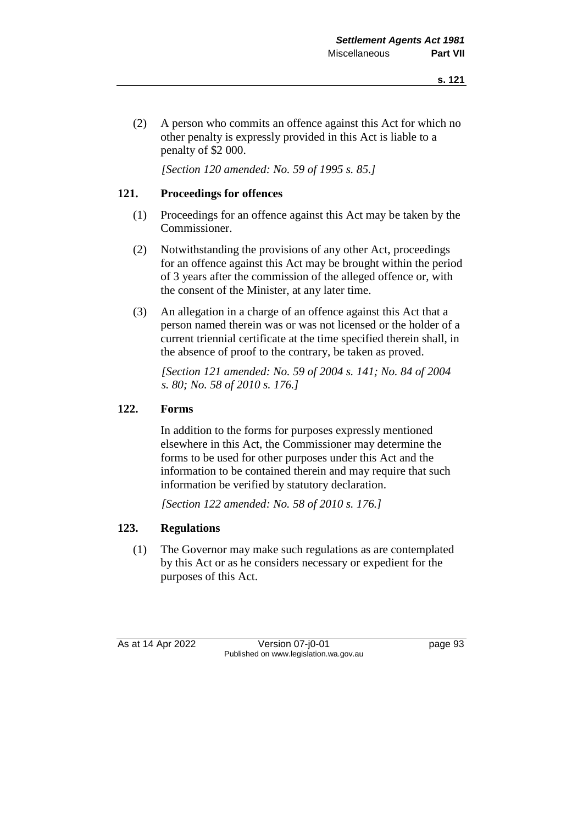(2) A person who commits an offence against this Act for which no other penalty is expressly provided in this Act is liable to a penalty of \$2 000.

*[Section 120 amended: No. 59 of 1995 s. 85.]*

## **121. Proceedings for offences**

- (1) Proceedings for an offence against this Act may be taken by the Commissioner.
- (2) Notwithstanding the provisions of any other Act, proceedings for an offence against this Act may be brought within the period of 3 years after the commission of the alleged offence or, with the consent of the Minister, at any later time.
- (3) An allegation in a charge of an offence against this Act that a person named therein was or was not licensed or the holder of a current triennial certificate at the time specified therein shall, in the absence of proof to the contrary, be taken as proved.

*[Section 121 amended: No. 59 of 2004 s. 141; No. 84 of 2004 s. 80; No. 58 of 2010 s. 176.]*

## **122. Forms**

In addition to the forms for purposes expressly mentioned elsewhere in this Act, the Commissioner may determine the forms to be used for other purposes under this Act and the information to be contained therein and may require that such information be verified by statutory declaration.

*[Section 122 amended: No. 58 of 2010 s. 176.]*

## **123. Regulations**

(1) The Governor may make such regulations as are contemplated by this Act or as he considers necessary or expedient for the purposes of this Act.

As at 14 Apr 2022 Version 07-j0-01 page 93 Published on www.legislation.wa.gov.au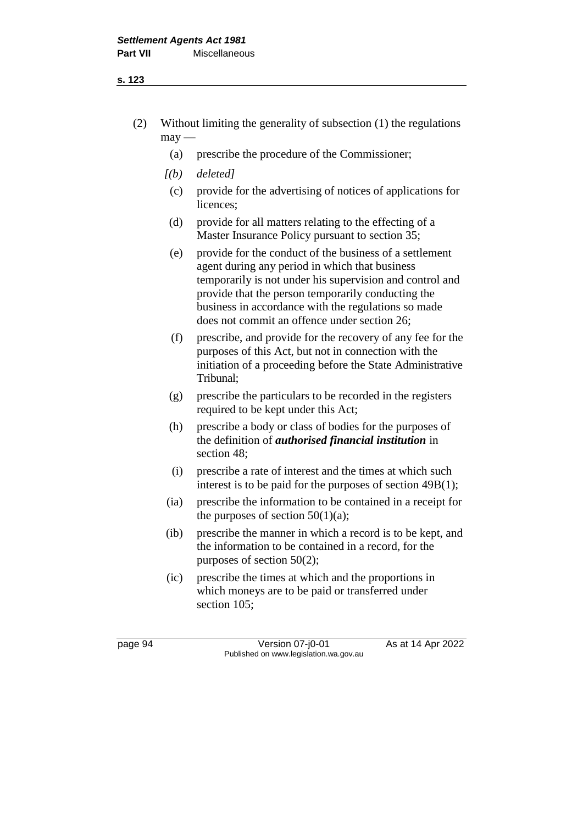- (2) Without limiting the generality of subsection (1) the regulations  $may$ —
	- (a) prescribe the procedure of the Commissioner;
	- *[(b) deleted]*
		- (c) provide for the advertising of notices of applications for licences;
		- (d) provide for all matters relating to the effecting of a Master Insurance Policy pursuant to section 35;
		- (e) provide for the conduct of the business of a settlement agent during any period in which that business temporarily is not under his supervision and control and provide that the person temporarily conducting the business in accordance with the regulations so made does not commit an offence under section 26;
		- (f) prescribe, and provide for the recovery of any fee for the purposes of this Act, but not in connection with the initiation of a proceeding before the State Administrative Tribunal;
		- (g) prescribe the particulars to be recorded in the registers required to be kept under this Act;
		- (h) prescribe a body or class of bodies for the purposes of the definition of *authorised financial institution* in section 48;
		- (i) prescribe a rate of interest and the times at which such interest is to be paid for the purposes of section 49B(1);
	- (ia) prescribe the information to be contained in a receipt for the purposes of section  $50(1)(a)$ ;
	- (ib) prescribe the manner in which a record is to be kept, and the information to be contained in a record, for the purposes of section 50(2);
	- (ic) prescribe the times at which and the proportions in which moneys are to be paid or transferred under section 105;

page 94 Version 07-j0-01 As at 14 Apr 2022 Published on www.legislation.wa.gov.au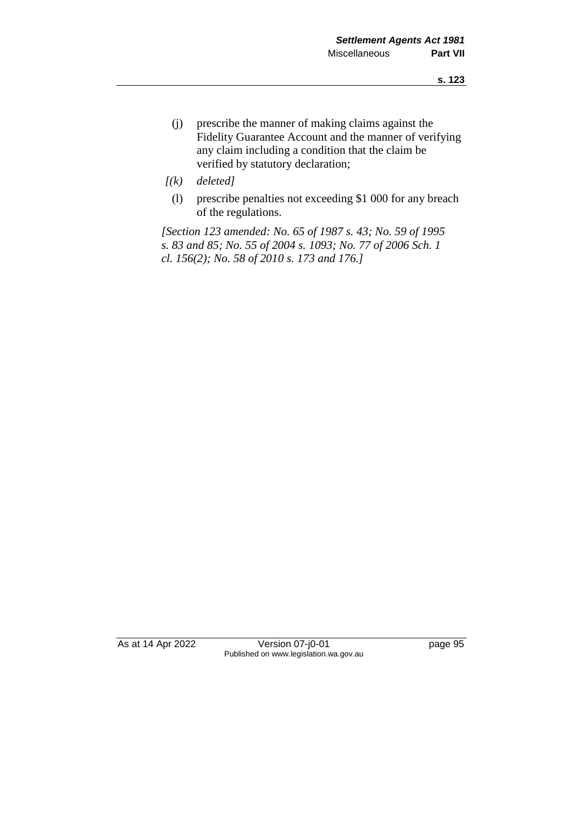- (j) prescribe the manner of making claims against the Fidelity Guarantee Account and the manner of verifying any claim including a condition that the claim be verified by statutory declaration;
- *[(k) deleted]*
	- (l) prescribe penalties not exceeding \$1 000 for any breach of the regulations.

*[Section 123 amended: No. 65 of 1987 s. 43; No. 59 of 1995 s. 83 and 85; No. 55 of 2004 s. 1093; No. 77 of 2006 Sch. 1 cl. 156(2); No. 58 of 2010 s. 173 and 176.]*

As at 14 Apr 2022 Version 07-j0-01 page 95 Published on www.legislation.wa.gov.au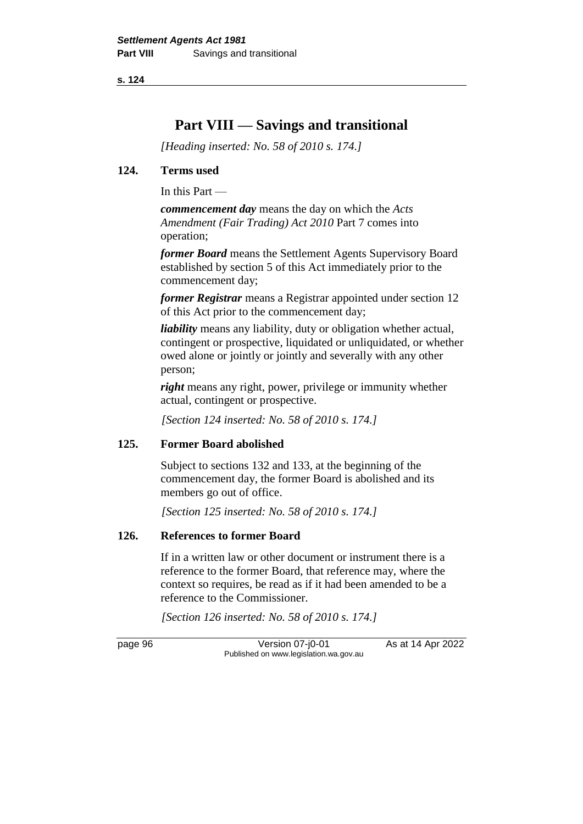# **Part VIII — Savings and transitional**

*[Heading inserted: No. 58 of 2010 s. 174.]*

#### **124. Terms used**

In this Part —

*commencement day* means the day on which the *Acts Amendment (Fair Trading) Act 2010* Part 7 comes into operation;

*former Board* means the Settlement Agents Supervisory Board established by section 5 of this Act immediately prior to the commencement day;

*former Registrar* means a Registrar appointed under section 12 of this Act prior to the commencement day;

*liability* means any liability, duty or obligation whether actual, contingent or prospective, liquidated or unliquidated, or whether owed alone or jointly or jointly and severally with any other person;

*right* means any right, power, privilege or immunity whether actual, contingent or prospective.

*[Section 124 inserted: No. 58 of 2010 s. 174.]*

#### **125. Former Board abolished**

Subject to sections 132 and 133, at the beginning of the commencement day, the former Board is abolished and its members go out of office.

*[Section 125 inserted: No. 58 of 2010 s. 174.]*

## **126. References to former Board**

If in a written law or other document or instrument there is a reference to the former Board, that reference may, where the context so requires, be read as if it had been amended to be a reference to the Commissioner.

*[Section 126 inserted: No. 58 of 2010 s. 174.]*

page 96 Version 07-j0-01 As at 14 Apr 2022 Published on www.legislation.wa.gov.au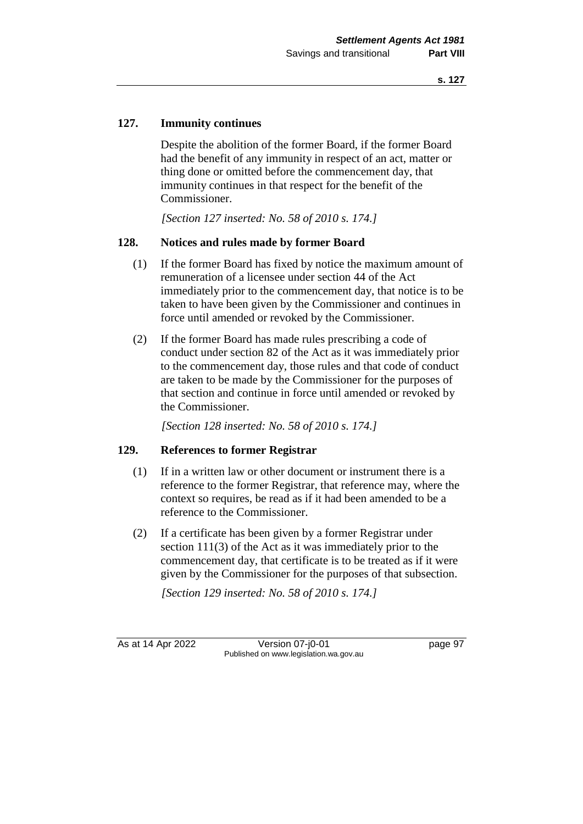## **127. Immunity continues**

Despite the abolition of the former Board, if the former Board had the benefit of any immunity in respect of an act, matter or thing done or omitted before the commencement day, that immunity continues in that respect for the benefit of the Commissioner.

*[Section 127 inserted: No. 58 of 2010 s. 174.]*

### **128. Notices and rules made by former Board**

- (1) If the former Board has fixed by notice the maximum amount of remuneration of a licensee under section 44 of the Act immediately prior to the commencement day, that notice is to be taken to have been given by the Commissioner and continues in force until amended or revoked by the Commissioner.
- (2) If the former Board has made rules prescribing a code of conduct under section 82 of the Act as it was immediately prior to the commencement day, those rules and that code of conduct are taken to be made by the Commissioner for the purposes of that section and continue in force until amended or revoked by the Commissioner.

*[Section 128 inserted: No. 58 of 2010 s. 174.]*

#### **129. References to former Registrar**

- (1) If in a written law or other document or instrument there is a reference to the former Registrar, that reference may, where the context so requires, be read as if it had been amended to be a reference to the Commissioner.
- (2) If a certificate has been given by a former Registrar under section 111(3) of the Act as it was immediately prior to the commencement day, that certificate is to be treated as if it were given by the Commissioner for the purposes of that subsection.

*[Section 129 inserted: No. 58 of 2010 s. 174.]*

As at 14 Apr 2022 Version 07-j0-01 page 97 Published on www.legislation.wa.gov.au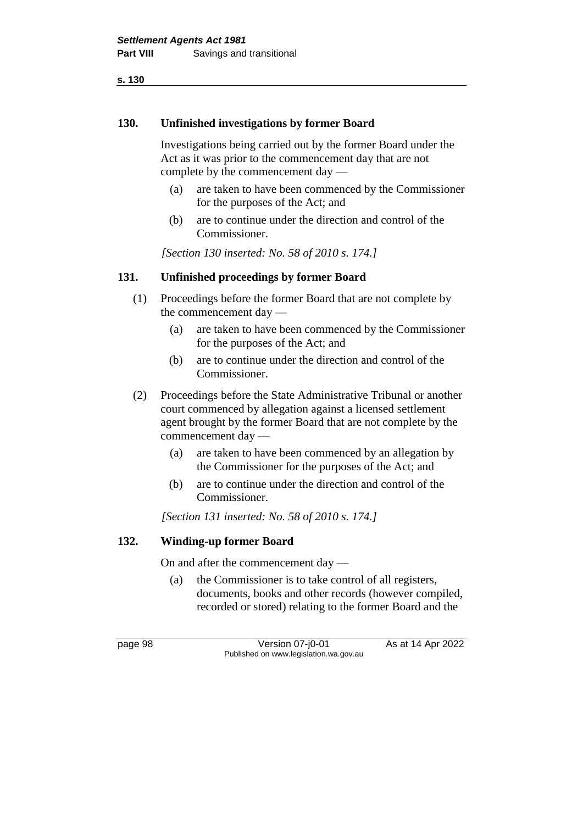#### **130. Unfinished investigations by former Board**

Investigations being carried out by the former Board under the Act as it was prior to the commencement day that are not complete by the commencement day —

- (a) are taken to have been commenced by the Commissioner for the purposes of the Act; and
- (b) are to continue under the direction and control of the Commissioner.

*[Section 130 inserted: No. 58 of 2010 s. 174.]*

#### **131. Unfinished proceedings by former Board**

- (1) Proceedings before the former Board that are not complete by the commencement day —
	- (a) are taken to have been commenced by the Commissioner for the purposes of the Act; and
	- (b) are to continue under the direction and control of the Commissioner.
- (2) Proceedings before the State Administrative Tribunal or another court commenced by allegation against a licensed settlement agent brought by the former Board that are not complete by the commencement day —
	- (a) are taken to have been commenced by an allegation by the Commissioner for the purposes of the Act; and
	- (b) are to continue under the direction and control of the Commissioner.

*[Section 131 inserted: No. 58 of 2010 s. 174.]*

#### **132. Winding-up former Board**

On and after the commencement day —

(a) the Commissioner is to take control of all registers, documents, books and other records (however compiled, recorded or stored) relating to the former Board and the

page 98 Version 07-j0-01 As at 14 Apr 2022 Published on www.legislation.wa.gov.au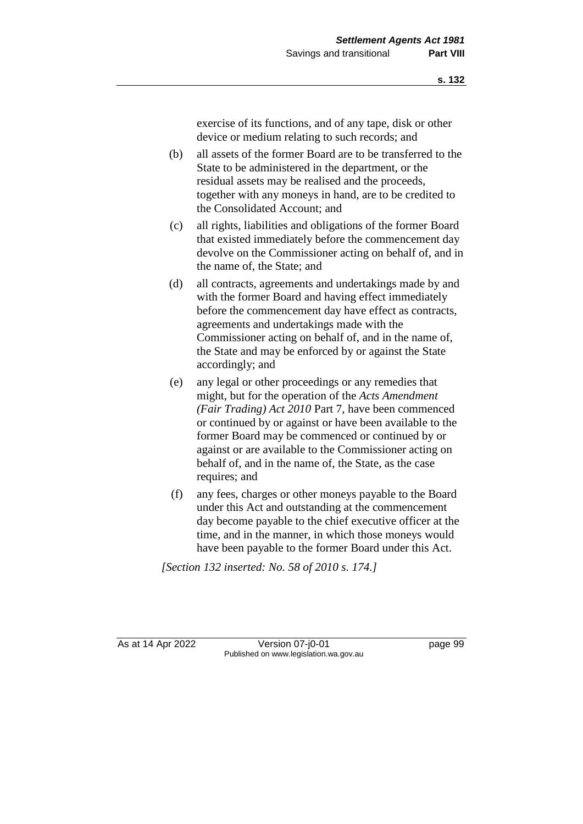exercise of its functions, and of any tape, disk or other device or medium relating to such records; and

- (b) all assets of the former Board are to be transferred to the State to be administered in the department, or the residual assets may be realised and the proceeds, together with any moneys in hand, are to be credited to the Consolidated Account; and
- (c) all rights, liabilities and obligations of the former Board that existed immediately before the commencement day devolve on the Commissioner acting on behalf of, and in the name of, the State; and
- (d) all contracts, agreements and undertakings made by and with the former Board and having effect immediately before the commencement day have effect as contracts, agreements and undertakings made with the Commissioner acting on behalf of, and in the name of, the State and may be enforced by or against the State accordingly; and
- (e) any legal or other proceedings or any remedies that might, but for the operation of the *Acts Amendment (Fair Trading) Act 2010* Part 7, have been commenced or continued by or against or have been available to the former Board may be commenced or continued by or against or are available to the Commissioner acting on behalf of, and in the name of, the State, as the case requires; and
- (f) any fees, charges or other moneys payable to the Board under this Act and outstanding at the commencement day become payable to the chief executive officer at the time, and in the manner, in which those moneys would have been payable to the former Board under this Act.

*[Section 132 inserted: No. 58 of 2010 s. 174.]*

As at 14 Apr 2022 Version 07-j0-01 page 99 Published on www.legislation.wa.gov.au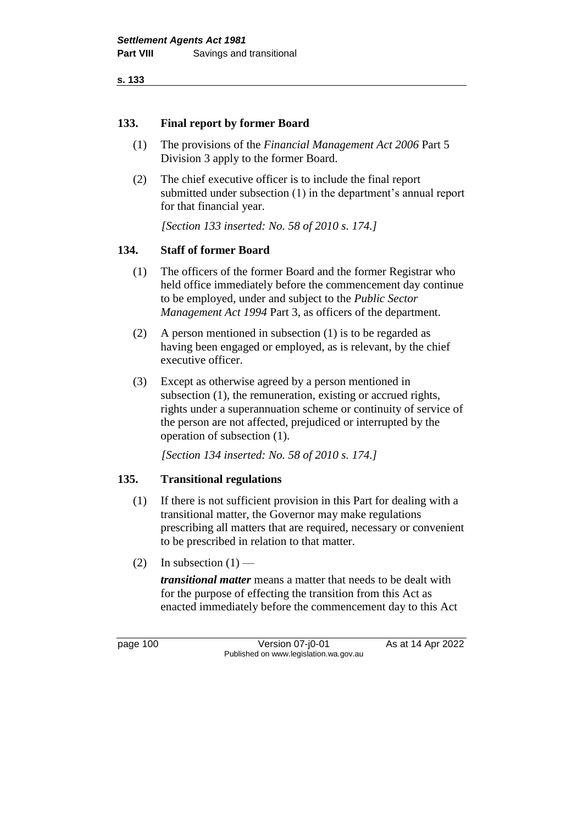**s. 133**

# **133. Final report by former Board**

- (1) The provisions of the *Financial Management Act 2006* Part 5 Division 3 apply to the former Board.
- (2) The chief executive officer is to include the final report submitted under subsection (1) in the department's annual report for that financial year.

*[Section 133 inserted: No. 58 of 2010 s. 174.]*

# **134. Staff of former Board**

- (1) The officers of the former Board and the former Registrar who held office immediately before the commencement day continue to be employed, under and subject to the *Public Sector Management Act 1994* Part 3, as officers of the department.
- (2) A person mentioned in subsection (1) is to be regarded as having been engaged or employed, as is relevant, by the chief executive officer.
- (3) Except as otherwise agreed by a person mentioned in subsection (1), the remuneration, existing or accrued rights, rights under a superannuation scheme or continuity of service of the person are not affected, prejudiced or interrupted by the operation of subsection (1).

*[Section 134 inserted: No. 58 of 2010 s. 174.]*

# **135. Transitional regulations**

- (1) If there is not sufficient provision in this Part for dealing with a transitional matter, the Governor may make regulations prescribing all matters that are required, necessary or convenient to be prescribed in relation to that matter.
- (2) In subsection  $(1)$  —

*transitional matter* means a matter that needs to be dealt with for the purpose of effecting the transition from this Act as enacted immediately before the commencement day to this Act

page 100 Version 07-j0-01 As at 14 Apr 2022 Published on www.legislation.wa.gov.au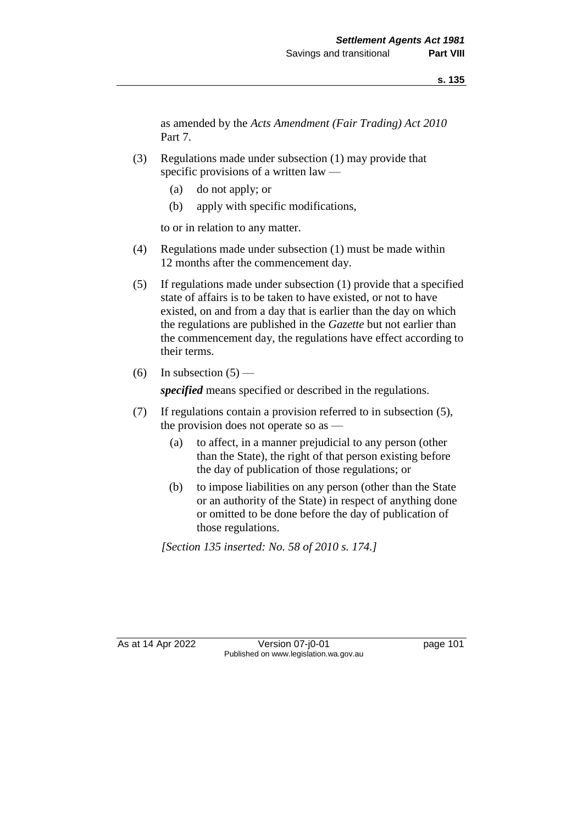as amended by the *Acts Amendment (Fair Trading) Act 2010*  Part 7.

- (3) Regulations made under subsection (1) may provide that specific provisions of a written law —
	- (a) do not apply; or
	- (b) apply with specific modifications,

to or in relation to any matter.

- (4) Regulations made under subsection (1) must be made within 12 months after the commencement day.
- (5) If regulations made under subsection (1) provide that a specified state of affairs is to be taken to have existed, or not to have existed, on and from a day that is earlier than the day on which the regulations are published in the *Gazette* but not earlier than the commencement day, the regulations have effect according to their terms.
- (6) In subsection  $(5)$  —

*specified* means specified or described in the regulations.

- (7) If regulations contain a provision referred to in subsection (5), the provision does not operate so as —
	- (a) to affect, in a manner prejudicial to any person (other than the State), the right of that person existing before the day of publication of those regulations; or
	- (b) to impose liabilities on any person (other than the State or an authority of the State) in respect of anything done or omitted to be done before the day of publication of those regulations.

*[Section 135 inserted: No. 58 of 2010 s. 174.]*

As at 14 Apr 2022 Version 07-j0-01 page 101 Published on www.legislation.wa.gov.au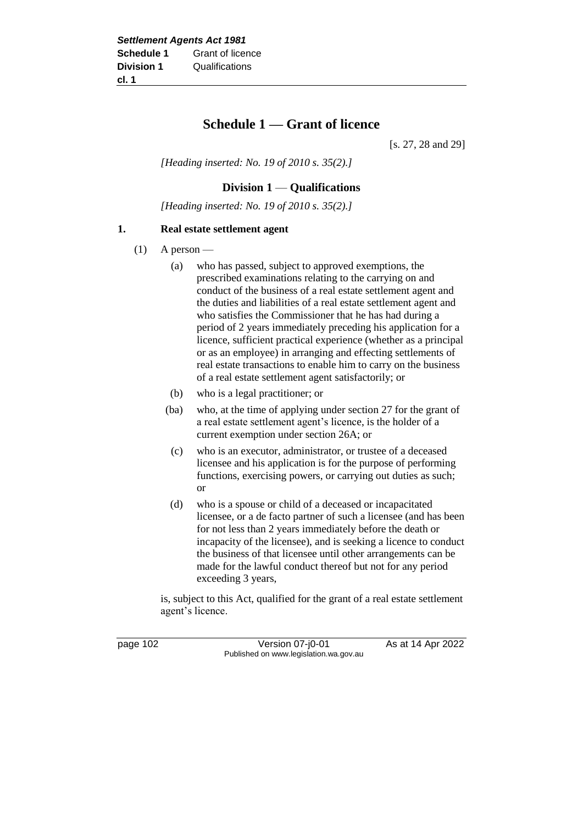# **Schedule 1 — Grant of licence**

[s. 27, 28 and 29]

*[Heading inserted: No. 19 of 2010 s. 35(2).]*

# **Division 1** — **Qualifications**

*[Heading inserted: No. 19 of 2010 s. 35(2).]*

#### **1. Real estate settlement agent**

- $(1)$  A person
	- (a) who has passed, subject to approved exemptions, the prescribed examinations relating to the carrying on and conduct of the business of a real estate settlement agent and the duties and liabilities of a real estate settlement agent and who satisfies the Commissioner that he has had during a period of 2 years immediately preceding his application for a licence, sufficient practical experience (whether as a principal or as an employee) in arranging and effecting settlements of real estate transactions to enable him to carry on the business of a real estate settlement agent satisfactorily; or
	- (b) who is a legal practitioner; or
	- (ba) who, at the time of applying under section 27 for the grant of a real estate settlement agent's licence, is the holder of a current exemption under section 26A; or
	- (c) who is an executor, administrator, or trustee of a deceased licensee and his application is for the purpose of performing functions, exercising powers, or carrying out duties as such; or
	- (d) who is a spouse or child of a deceased or incapacitated licensee, or a de facto partner of such a licensee (and has been for not less than 2 years immediately before the death or incapacity of the licensee), and is seeking a licence to conduct the business of that licensee until other arrangements can be made for the lawful conduct thereof but not for any period exceeding 3 years,

is, subject to this Act, qualified for the grant of a real estate settlement agent's licence.

page 102 Version 07-j0-01 As at 14 Apr 2022 Published on www.legislation.wa.gov.au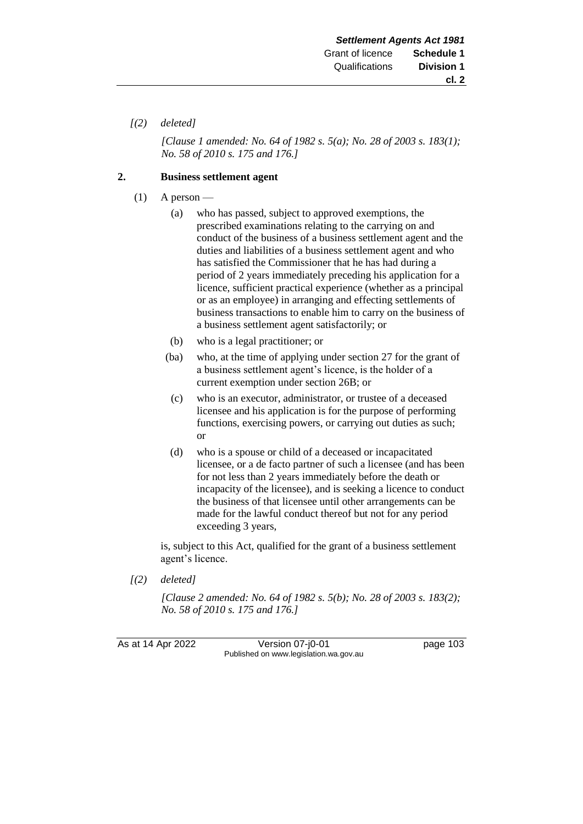### *[(2) deleted]*

*[Clause 1 amended: No. 64 of 1982 s. 5(a); No. 28 of 2003 s. 183(1); No. 58 of 2010 s. 175 and 176.]*

#### **2. Business settlement agent**

- $(1)$  A person
	- (a) who has passed, subject to approved exemptions, the prescribed examinations relating to the carrying on and conduct of the business of a business settlement agent and the duties and liabilities of a business settlement agent and who has satisfied the Commissioner that he has had during a period of 2 years immediately preceding his application for a licence, sufficient practical experience (whether as a principal or as an employee) in arranging and effecting settlements of business transactions to enable him to carry on the business of a business settlement agent satisfactorily; or
	- (b) who is a legal practitioner; or
	- (ba) who, at the time of applying under section 27 for the grant of a business settlement agent's licence, is the holder of a current exemption under section 26B; or
	- (c) who is an executor, administrator, or trustee of a deceased licensee and his application is for the purpose of performing functions, exercising powers, or carrying out duties as such; or
	- (d) who is a spouse or child of a deceased or incapacitated licensee, or a de facto partner of such a licensee (and has been for not less than 2 years immediately before the death or incapacity of the licensee), and is seeking a licence to conduct the business of that licensee until other arrangements can be made for the lawful conduct thereof but not for any period exceeding 3 years,

is, subject to this Act, qualified for the grant of a business settlement agent's licence.

*[(2) deleted]*

*[Clause 2 amended: No. 64 of 1982 s. 5(b); No. 28 of 2003 s. 183(2); No. 58 of 2010 s. 175 and 176.]*

As at 14 Apr 2022 Version 07-j0-01 page 103 Published on www.legislation.wa.gov.au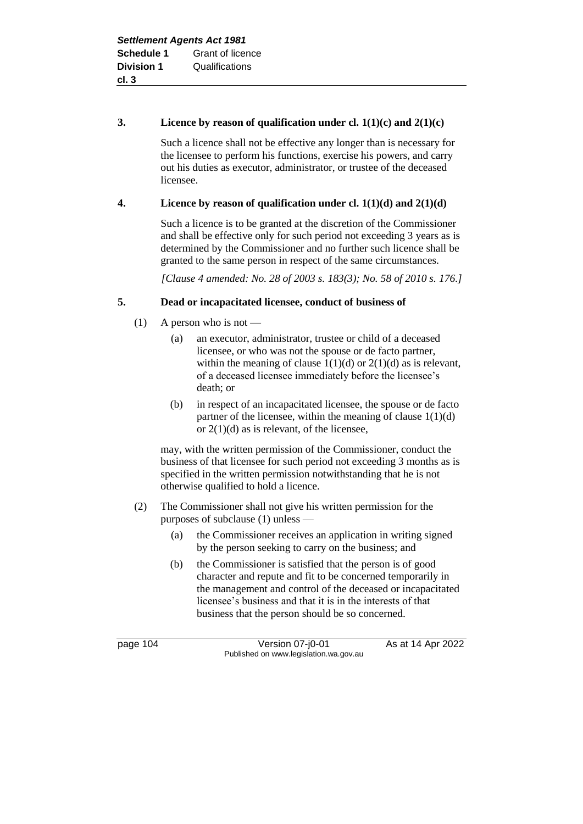## **3. Licence by reason of qualification under cl. 1(1)(c) and 2(1)(c)**

Such a licence shall not be effective any longer than is necessary for the licensee to perform his functions, exercise his powers, and carry out his duties as executor, administrator, or trustee of the deceased licensee.

# **4. Licence by reason of qualification under cl. 1(1)(d) and 2(1)(d)**

Such a licence is to be granted at the discretion of the Commissioner and shall be effective only for such period not exceeding 3 years as is determined by the Commissioner and no further such licence shall be granted to the same person in respect of the same circumstances.

*[Clause 4 amended: No. 28 of 2003 s. 183(3); No. 58 of 2010 s. 176.]*

# **5. Dead or incapacitated licensee, conduct of business of**

- (1) A person who is not
	- (a) an executor, administrator, trustee or child of a deceased licensee, or who was not the spouse or de facto partner, within the meaning of clause  $1(1)(d)$  or  $2(1)(d)$  as is relevant, of a deceased licensee immediately before the licensee's death; or
	- (b) in respect of an incapacitated licensee, the spouse or de facto partner of the licensee, within the meaning of clause  $1(1)(d)$ or  $2(1)(d)$  as is relevant, of the licensee,

may, with the written permission of the Commissioner, conduct the business of that licensee for such period not exceeding 3 months as is specified in the written permission notwithstanding that he is not otherwise qualified to hold a licence.

- (2) The Commissioner shall not give his written permission for the purposes of subclause (1) unless —
	- (a) the Commissioner receives an application in writing signed by the person seeking to carry on the business; and
	- (b) the Commissioner is satisfied that the person is of good character and repute and fit to be concerned temporarily in the management and control of the deceased or incapacitated licensee's business and that it is in the interests of that business that the person should be so concerned.

page 104 Version 07-j0-01 As at 14 Apr 2022 Published on www.legislation.wa.gov.au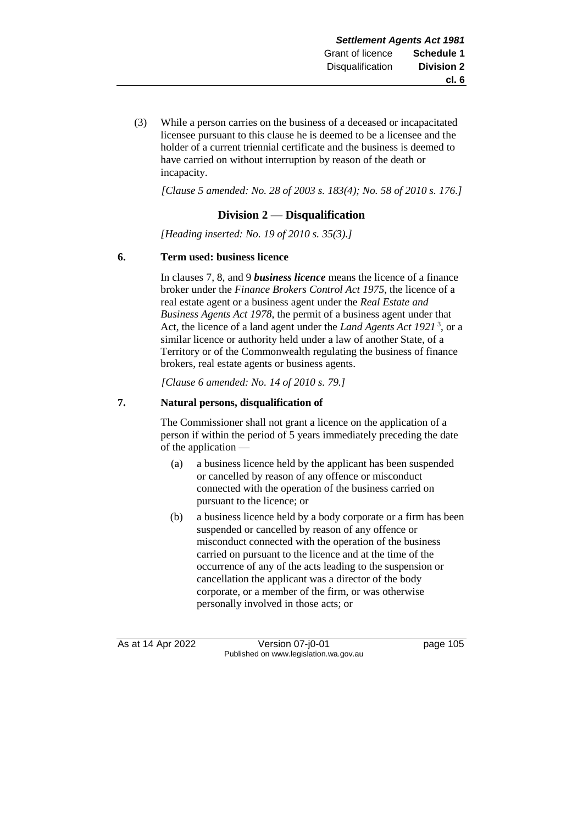(3) While a person carries on the business of a deceased or incapacitated licensee pursuant to this clause he is deemed to be a licensee and the holder of a current triennial certificate and the business is deemed to have carried on without interruption by reason of the death or incapacity.

*[Clause 5 amended: No. 28 of 2003 s. 183(4); No. 58 of 2010 s. 176.]*

# **Division 2** — **Disqualification**

*[Heading inserted: No. 19 of 2010 s. 35(3).]*

#### **6. Term used: business licence**

In clauses 7, 8, and 9 *business licence* means the licence of a finance broker under the *Finance Brokers Control Act 1975*, the licence of a real estate agent or a business agent under the *Real Estate and Business Agents Act 1978*, the permit of a business agent under that Act, the licence of a land agent under the *Land Agents Act 1921* <sup>3</sup> , or a similar licence or authority held under a law of another State, of a Territory or of the Commonwealth regulating the business of finance brokers, real estate agents or business agents.

*[Clause 6 amended: No. 14 of 2010 s. 79.]*

# **7. Natural persons, disqualification of**

The Commissioner shall not grant a licence on the application of a person if within the period of 5 years immediately preceding the date of the application —

- (a) a business licence held by the applicant has been suspended or cancelled by reason of any offence or misconduct connected with the operation of the business carried on pursuant to the licence; or
- (b) a business licence held by a body corporate or a firm has been suspended or cancelled by reason of any offence or misconduct connected with the operation of the business carried on pursuant to the licence and at the time of the occurrence of any of the acts leading to the suspension or cancellation the applicant was a director of the body corporate, or a member of the firm, or was otherwise personally involved in those acts; or

As at 14 Apr 2022 Version 07-j0-01 page 105 Published on www.legislation.wa.gov.au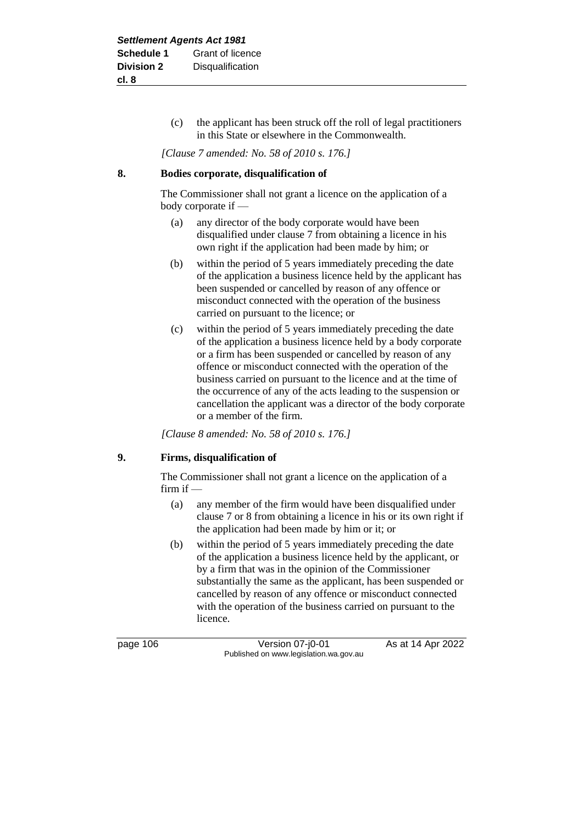(c) the applicant has been struck off the roll of legal practitioners in this State or elsewhere in the Commonwealth.

*[Clause 7 amended: No. 58 of 2010 s. 176.]*

#### **8. Bodies corporate, disqualification of**

The Commissioner shall not grant a licence on the application of a body corporate if —

- (a) any director of the body corporate would have been disqualified under clause 7 from obtaining a licence in his own right if the application had been made by him; or
- (b) within the period of 5 years immediately preceding the date of the application a business licence held by the applicant has been suspended or cancelled by reason of any offence or misconduct connected with the operation of the business carried on pursuant to the licence; or
- (c) within the period of 5 years immediately preceding the date of the application a business licence held by a body corporate or a firm has been suspended or cancelled by reason of any offence or misconduct connected with the operation of the business carried on pursuant to the licence and at the time of the occurrence of any of the acts leading to the suspension or cancellation the applicant was a director of the body corporate or a member of the firm.

*[Clause 8 amended: No. 58 of 2010 s. 176.]*

# **9. Firms, disqualification of**

The Commissioner shall not grant a licence on the application of a firm if —

- (a) any member of the firm would have been disqualified under clause 7 or 8 from obtaining a licence in his or its own right if the application had been made by him or it; or
- (b) within the period of 5 years immediately preceding the date of the application a business licence held by the applicant, or by a firm that was in the opinion of the Commissioner substantially the same as the applicant, has been suspended or cancelled by reason of any offence or misconduct connected with the operation of the business carried on pursuant to the licence.

page 106 Version 07-j0-01 As at 14 Apr 2022 Published on www.legislation.wa.gov.au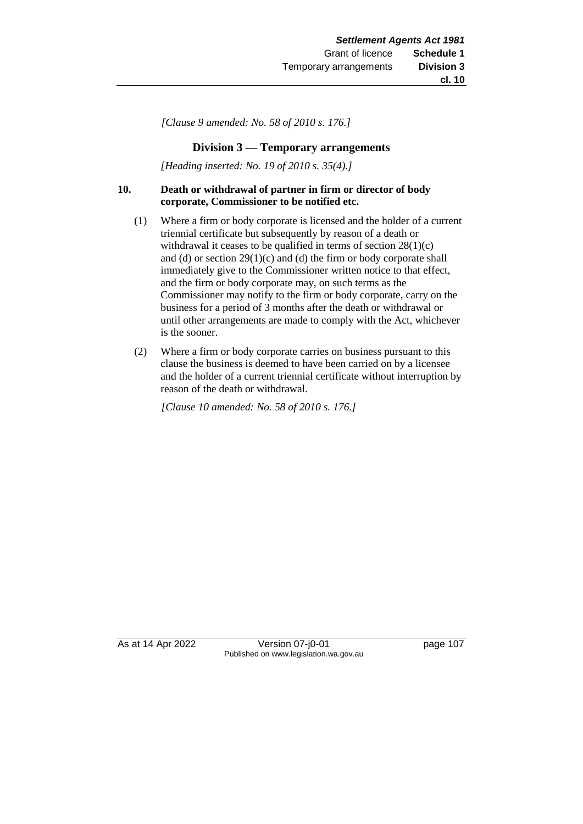*[Clause 9 amended: No. 58 of 2010 s. 176.]*

# **Division 3 — Temporary arrangements**

*[Heading inserted: No. 19 of 2010 s. 35(4).]*

#### **10. Death or withdrawal of partner in firm or director of body corporate, Commissioner to be notified etc.**

- (1) Where a firm or body corporate is licensed and the holder of a current triennial certificate but subsequently by reason of a death or withdrawal it ceases to be qualified in terms of section 28(1)(c) and (d) or section  $29(1)(c)$  and (d) the firm or body corporate shall immediately give to the Commissioner written notice to that effect, and the firm or body corporate may, on such terms as the Commissioner may notify to the firm or body corporate, carry on the business for a period of 3 months after the death or withdrawal or until other arrangements are made to comply with the Act, whichever is the sooner.
- (2) Where a firm or body corporate carries on business pursuant to this clause the business is deemed to have been carried on by a licensee and the holder of a current triennial certificate without interruption by reason of the death or withdrawal.

*[Clause 10 amended: No. 58 of 2010 s. 176.]*

As at 14 Apr 2022 Version 07-j0-01 page 107 Published on www.legislation.wa.gov.au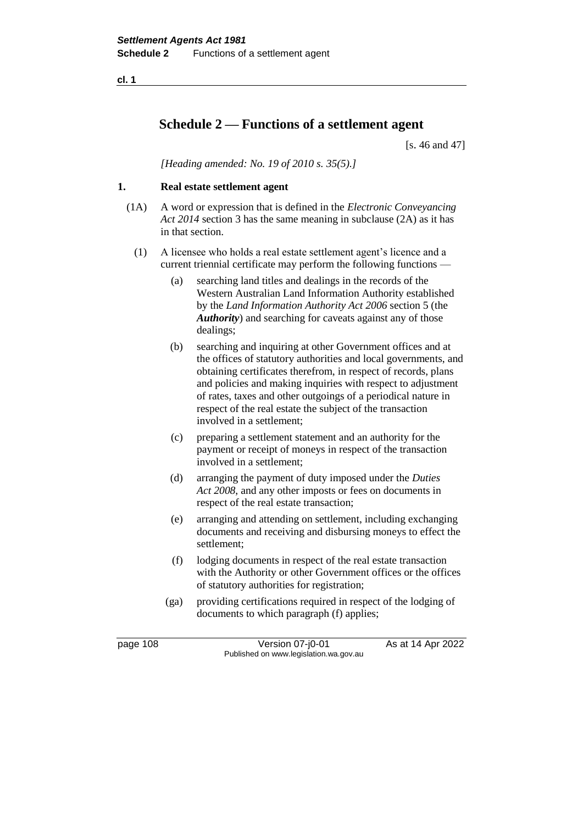**cl. 1**

# **Schedule 2 — Functions of a settlement agent**

[s. 46 and 47]

*[Heading amended: No. 19 of 2010 s. 35(5).]*

# **1. Real estate settlement agent**

- (1A) A word or expression that is defined in the *Electronic Conveyancing Act 2014* section 3 has the same meaning in subclause (2A) as it has in that section.
	- (1) A licensee who holds a real estate settlement agent's licence and a current triennial certificate may perform the following functions —
		- (a) searching land titles and dealings in the records of the Western Australian Land Information Authority established by the *Land Information Authority Act 2006* section 5 (the *Authority*) and searching for caveats against any of those dealings;
		- (b) searching and inquiring at other Government offices and at the offices of statutory authorities and local governments, and obtaining certificates therefrom, in respect of records, plans and policies and making inquiries with respect to adjustment of rates, taxes and other outgoings of a periodical nature in respect of the real estate the subject of the transaction involved in a settlement;
		- (c) preparing a settlement statement and an authority for the payment or receipt of moneys in respect of the transaction involved in a settlement;
		- (d) arranging the payment of duty imposed under the *Duties Act 2008*, and any other imposts or fees on documents in respect of the real estate transaction;
		- (e) arranging and attending on settlement, including exchanging documents and receiving and disbursing moneys to effect the settlement;
		- (f) lodging documents in respect of the real estate transaction with the Authority or other Government offices or the offices of statutory authorities for registration;
		- (ga) providing certifications required in respect of the lodging of documents to which paragraph (f) applies;

page 108 Version 07-j0-01 As at 14 Apr 2022 Published on www.legislation.wa.gov.au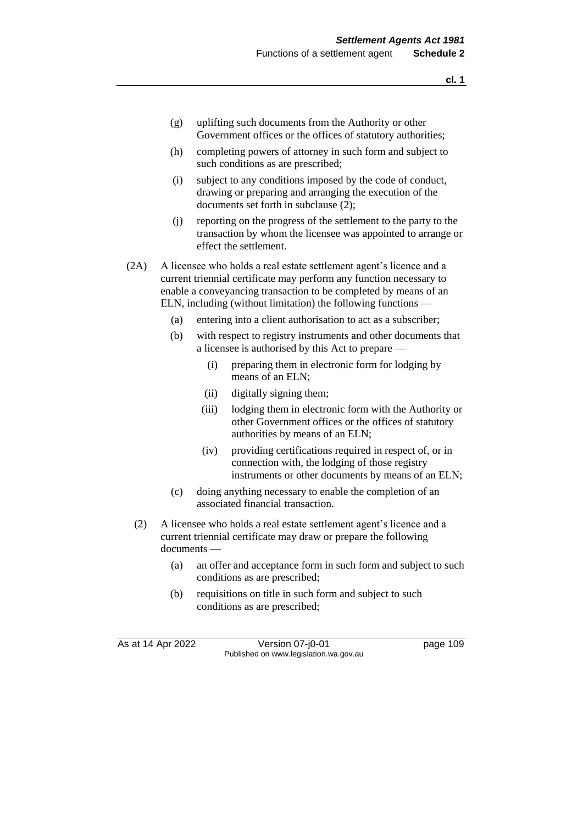- (g) uplifting such documents from the Authority or other Government offices or the offices of statutory authorities;
- (h) completing powers of attorney in such form and subject to such conditions as are prescribed;
- (i) subject to any conditions imposed by the code of conduct, drawing or preparing and arranging the execution of the documents set forth in subclause (2);
- (j) reporting on the progress of the settlement to the party to the transaction by whom the licensee was appointed to arrange or effect the settlement.
- (2A) A licensee who holds a real estate settlement agent's licence and a current triennial certificate may perform any function necessary to enable a conveyancing transaction to be completed by means of an ELN, including (without limitation) the following functions —
	- (a) entering into a client authorisation to act as a subscriber;
	- (b) with respect to registry instruments and other documents that a licensee is authorised by this Act to prepare —
		- (i) preparing them in electronic form for lodging by means of an ELN;
		- (ii) digitally signing them;
		- (iii) lodging them in electronic form with the Authority or other Government offices or the offices of statutory authorities by means of an ELN;
		- (iv) providing certifications required in respect of, or in connection with, the lodging of those registry instruments or other documents by means of an ELN;
	- (c) doing anything necessary to enable the completion of an associated financial transaction.
	- (2) A licensee who holds a real estate settlement agent's licence and a current triennial certificate may draw or prepare the following documents —
		- (a) an offer and acceptance form in such form and subject to such conditions as are prescribed;
		- (b) requisitions on title in such form and subject to such conditions as are prescribed;

As at 14 Apr 2022 Version 07-j0-01 page 109 Published on www.legislation.wa.gov.au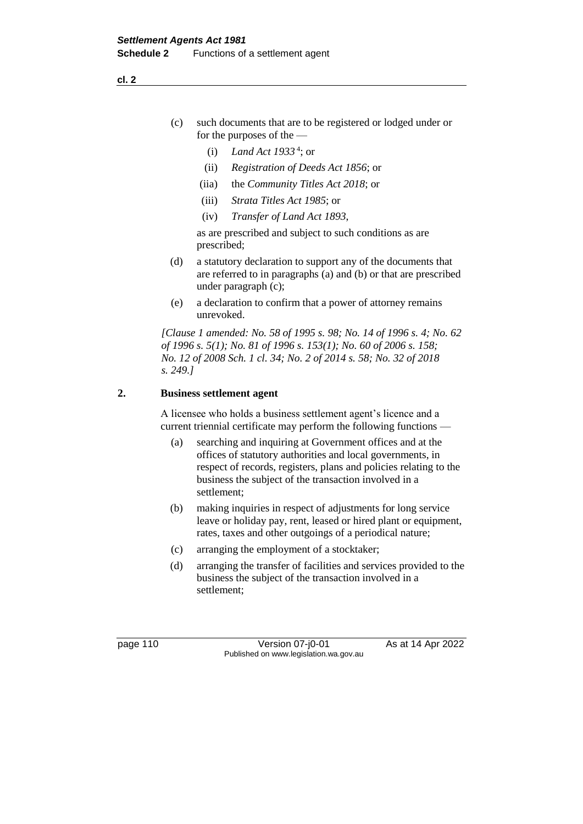- (c) such documents that are to be registered or lodged under or for the purposes of the —
	- (i) *Land Act 1933* <sup>4</sup> ; or
	- (ii) *Registration of Deeds Act 1856*; or
	- (iia) the *Community Titles Act 2018*; or
	- (iii) *Strata Titles Act 1985*; or
	- (iv) *Transfer of Land Act 1893*,

as are prescribed and subject to such conditions as are prescribed;

- (d) a statutory declaration to support any of the documents that are referred to in paragraphs (a) and (b) or that are prescribed under paragraph (c);
- (e) a declaration to confirm that a power of attorney remains unrevoked.

*[Clause 1 amended: No. 58 of 1995 s. 98; No. 14 of 1996 s. 4; No. 62 of 1996 s. 5(1); No. 81 of 1996 s. 153(1); No. 60 of 2006 s. 158; No. 12 of 2008 Sch. 1 cl. 34; No. 2 of 2014 s. 58; No. 32 of 2018 s. 249.]*

#### **2. Business settlement agent**

A licensee who holds a business settlement agent's licence and a current triennial certificate may perform the following functions —

- (a) searching and inquiring at Government offices and at the offices of statutory authorities and local governments, in respect of records, registers, plans and policies relating to the business the subject of the transaction involved in a settlement;
- (b) making inquiries in respect of adjustments for long service leave or holiday pay, rent, leased or hired plant or equipment, rates, taxes and other outgoings of a periodical nature;
- (c) arranging the employment of a stocktaker;
- (d) arranging the transfer of facilities and services provided to the business the subject of the transaction involved in a settlement;

page 110 Version 07-j0-01 As at 14 Apr 2022 Published on www.legislation.wa.gov.au

**cl. 2**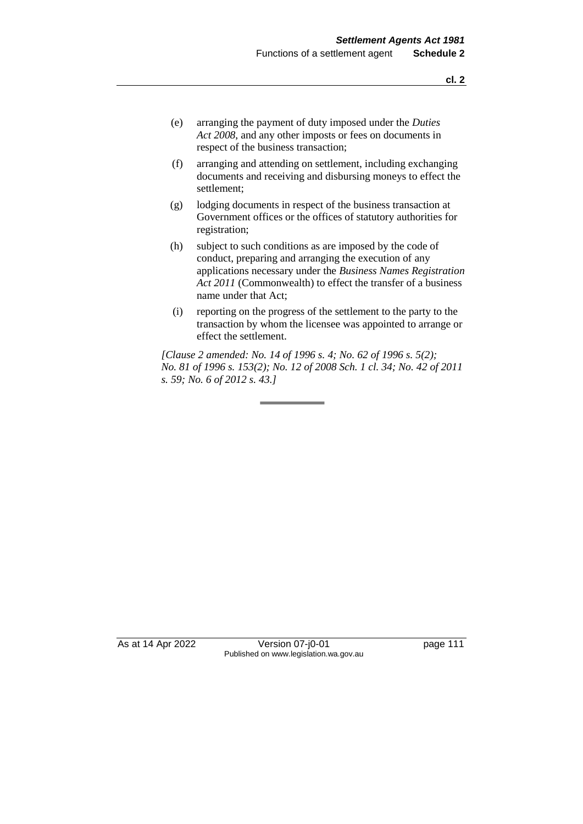- (e) arranging the payment of duty imposed under the *Duties Act 2008*, and any other imposts or fees on documents in respect of the business transaction;
- (f) arranging and attending on settlement, including exchanging documents and receiving and disbursing moneys to effect the settlement;
- (g) lodging documents in respect of the business transaction at Government offices or the offices of statutory authorities for registration;
- (h) subject to such conditions as are imposed by the code of conduct, preparing and arranging the execution of any applications necessary under the *Business Names Registration Act 2011* (Commonwealth) to effect the transfer of a business name under that Act;
- (i) reporting on the progress of the settlement to the party to the transaction by whom the licensee was appointed to arrange or effect the settlement.

*[Clause 2 amended: No. 14 of 1996 s. 4; No. 62 of 1996 s. 5(2); No. 81 of 1996 s. 153(2); No. 12 of 2008 Sch. 1 cl. 34; No. 42 of 2011 s. 59; No. 6 of 2012 s. 43.]*

As at 14 Apr 2022 Version 07-j0-01 page 111 Published on www.legislation.wa.gov.au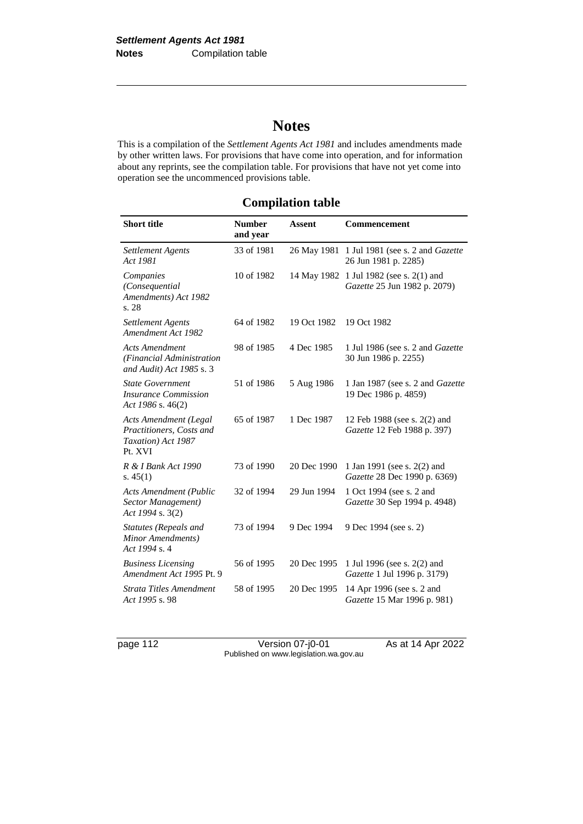# **Notes**

This is a compilation of the *Settlement Agents Act 1981* and includes amendments made by other written laws. For provisions that have come into operation, and for information about any reprints, see the compilation table. For provisions that have not yet come into operation see the uncommenced provisions table.

# **Compilation table**

| <b>Short title</b>                                                                        | <b>Number</b><br>and year | <b>Assent</b> | Commencement                                                            |
|-------------------------------------------------------------------------------------------|---------------------------|---------------|-------------------------------------------------------------------------|
| <b>Settlement Agents</b><br>Act 1981                                                      | 33 of 1981                |               | 26 May 1981 1 Jul 1981 (see s. 2 and Gazette<br>26 Jun 1981 p. 2285)    |
| Companies<br>(Consequential<br>Amendments) Act 1982<br>s. 28                              | 10 of 1982                |               | 14 May 1982 1 Jul 1982 (see s. 2(1) and<br>Gazette 25 Jun 1982 p. 2079) |
| <b>Settlement Agents</b><br>Amendment Act 1982                                            | 64 of 1982                | 19 Oct 1982   | 19 Oct 1982                                                             |
| <b>Acts Amendment</b><br>(Financial Administration<br>and Audit) Act 1985 s. 3            | 98 of 1985                | 4 Dec 1985    | 1 Jul 1986 (see s. 2 and <i>Gazette</i><br>30 Jun 1986 p. 2255)         |
| <b>State Government</b><br><i><b>Insurance Commission</b></i><br>Act 1986 s. $46(2)$      | 51 of 1986                | 5 Aug 1986    | 1 Jan 1987 (see s. 2 and Gazette<br>19 Dec 1986 p. 4859)                |
| <b>Acts Amendment (Legal</b><br>Practitioners, Costs and<br>Taxation) Act 1987<br>Pt. XVI | 65 of 1987                | 1 Dec 1987    | 12 Feb 1988 (see s. 2(2) and<br>Gazette 12 Feb 1988 p. 397)             |
| R & I Bank Act 1990<br>s. $45(1)$                                                         | 73 of 1990                | 20 Dec 1990   | 1 Jan 1991 (see s. 2(2) and<br>Gazette 28 Dec 1990 p. 6369)             |
| <b>Acts Amendment (Public</b><br>Sector Management)<br>Act 1994 s. 3(2)                   | 32 of 1994                | 29 Jun 1994   | 1 Oct 1994 (see s. 2 and<br>Gazette 30 Sep 1994 p. 4948)                |
| Statutes (Repeals and<br>Minor Amendments)<br>Act 1994 s. 4                               | 73 of 1994                | 9 Dec 1994    | 9 Dec 1994 (see s. 2)                                                   |
| <b>Business Licensing</b><br>Amendment Act 1995 Pt. 9                                     | 56 of 1995                | 20 Dec 1995   | 1 Jul 1996 (see s. 2(2) and<br>Gazette 1 Jul 1996 p. 3179)              |
| Strata Titles Amendment<br>Act 1995 s. 98                                                 | 58 of 1995                | 20 Dec 1995   | 14 Apr 1996 (see s. 2 and<br>Gazette 15 Mar 1996 p. 981)                |

page 112 Version 07-j0-01 As at 14 Apr 2022 Published on www.legislation.wa.gov.au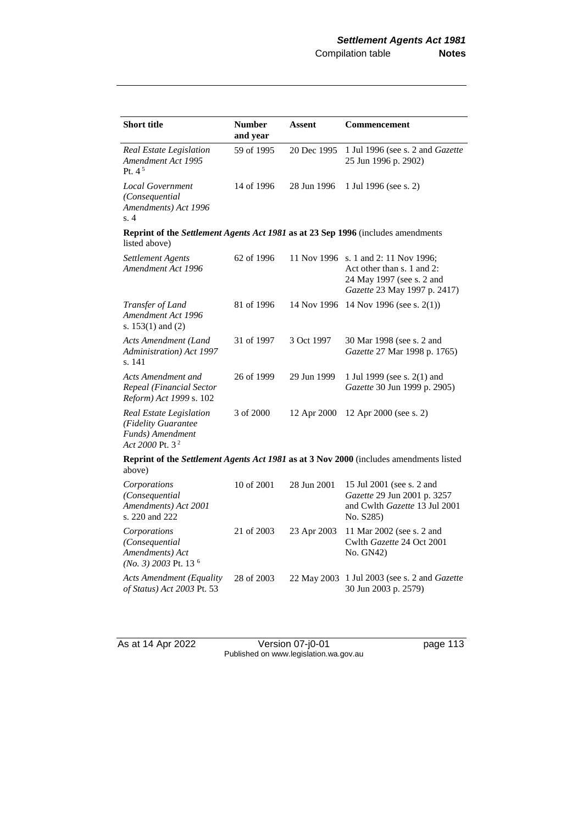| <b>Short title</b>                                                                                | <b>Number</b><br>and year | <b>Assent</b> | <b>Commencement</b>                                                                                                             |  |
|---------------------------------------------------------------------------------------------------|---------------------------|---------------|---------------------------------------------------------------------------------------------------------------------------------|--|
| Real Estate Legislation<br>Amendment Act 1995<br>Pt. $4^5$                                        | 59 of 1995                | 20 Dec 1995   | 1 Jul 1996 (see s. 2 and Gazette<br>25 Jun 1996 p. 2902)                                                                        |  |
| <b>Local Government</b><br>(Consequential<br>Amendments) Act 1996<br>s.4                          | 14 of 1996                | 28 Jun 1996   | 1 Jul 1996 (see s. 2)                                                                                                           |  |
| Reprint of the Settlement Agents Act 1981 as at 23 Sep 1996 (includes amendments<br>listed above) |                           |               |                                                                                                                                 |  |
| Settlement Agents<br>Amendment Act 1996                                                           | 62 of 1996                |               | 11 Nov 1996 s. 1 and 2: 11 Nov 1996;<br>Act other than s. 1 and 2:<br>24 May 1997 (see s. 2 and<br>Gazette 23 May 1997 p. 2417) |  |
| Transfer of Land<br>Amendment Act 1996<br>s. $153(1)$ and $(2)$                                   | 81 of 1996                | 14 Nov 1996   | 14 Nov 1996 (see s. 2(1))                                                                                                       |  |
| Acts Amendment (Land<br>Administration) Act 1997<br>s. 141                                        | 31 of 1997                | 3 Oct 1997    | 30 Mar 1998 (see s. 2 and<br>Gazette 27 Mar 1998 p. 1765)                                                                       |  |
| Acts Amendment and<br>Repeal (Financial Sector<br>Reform) Act 1999 s. 102                         | 26 of 1999                | 29 Jun 1999   | 1 Jul 1999 (see s. 2(1) and<br>Gazette 30 Jun 1999 p. 2905)                                                                     |  |
| Real Estate Legislation<br>(Fidelity Guarantee<br>Funds) Amendment<br>Act 2000 Pt. $32$           | 3 of 2000                 | 12 Apr 2000   | 12 Apr 2000 (see s. 2)                                                                                                          |  |
| Reprint of the Settlement Agents Act 1981 as at 3 Nov 2000 (includes amendments listed<br>above)  |                           |               |                                                                                                                                 |  |
| Corporations<br>(Consequential<br>Amendments) Act 2001<br>s. 220 and 222                          | 10 of 2001                | 28 Jun 2001   | 15 Jul 2001 (see s. 2 and<br>Gazette 29 Jun 2001 p. 3257<br>and Cwlth Gazette 13 Jul 2001<br>No. S285)                          |  |
| Corporations<br>(Consequential<br>Amendments) Act<br>$(No. 3)$ 2003 Pt. 13 <sup>6</sup>           | 21 of 2003                | 23 Apr 2003   | 11 Mar 2002 (see s. 2 and<br>Cwlth Gazette 24 Oct 2001<br>No. GN42)                                                             |  |
| <b>Acts Amendment (Equality</b><br>of Status) Act 2003 Pt. 53                                     | 28 of 2003                | 22 May 2003   | 1 Jul 2003 (see s. 2 and <i>Gazette</i><br>30 Jun 2003 p. 2579)                                                                 |  |

As at 14 Apr 2022 Version 07-j0-01 page 113 Published on www.legislation.wa.gov.au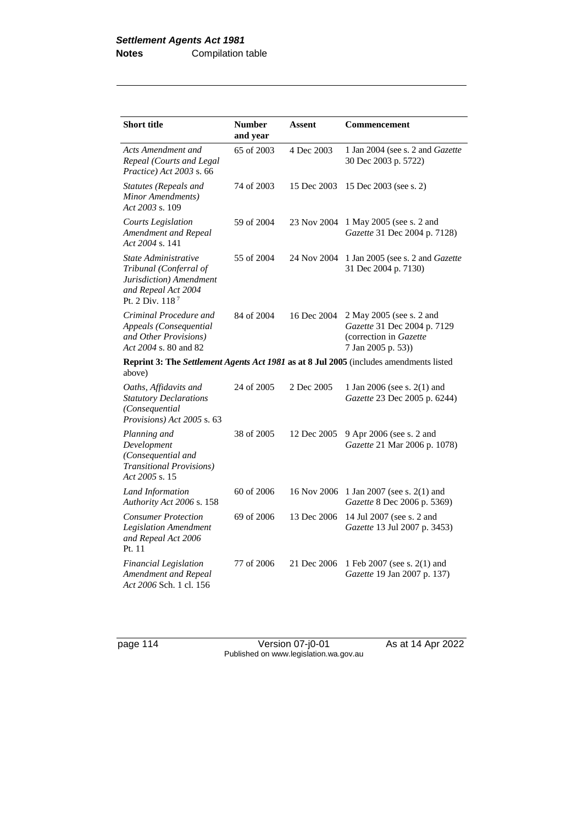| <b>Short title</b>                                                                                                  | <b>Number</b><br>and year | <b>Assent</b> | <b>Commencement</b>                                                                                     |
|---------------------------------------------------------------------------------------------------------------------|---------------------------|---------------|---------------------------------------------------------------------------------------------------------|
| Acts Amendment and<br>Repeal (Courts and Legal<br>Practice) Act 2003 s. 66                                          | 65 of 2003                | 4 Dec 2003    | 1 Jan 2004 (see s. 2 and Gazette<br>30 Dec 2003 p. 5722)                                                |
| Statutes (Repeals and<br>Minor Amendments)<br>Act 2003 s. 109                                                       | 74 of 2003                | 15 Dec 2003   | 15 Dec 2003 (see s. 2)                                                                                  |
| <b>Courts Legislation</b><br>Amendment and Repeal<br>Act 2004 s. 141                                                | 59 of 2004                | 23 Nov 2004   | 1 May 2005 (see s. 2 and<br>Gazette 31 Dec 2004 p. 7128)                                                |
| State Administrative<br>Tribunal (Conferral of<br>Jurisdiction) Amendment<br>and Repeal Act 2004<br>Pt. 2 Div. 1187 | 55 of 2004                | 24 Nov 2004   | 1 Jan 2005 (see s. 2 and Gazette<br>31 Dec 2004 p. 7130)                                                |
| Criminal Procedure and<br>Appeals (Consequential<br>and Other Provisions)<br>Act 2004 s. 80 and 82                  | 84 of 2004                | 16 Dec 2004   | 2 May 2005 (see s. 2 and<br>Gazette 31 Dec 2004 p. 7129<br>(correction in Gazette<br>7 Jan 2005 p. 53)) |
| above)                                                                                                              |                           |               | Reprint 3: The Settlement Agents Act 1981 as at 8 Jul 2005 (includes amendments listed                  |
| Oaths, Affidavits and<br><b>Statutory Declarations</b><br>(Consequential<br>Provisions) Act 2005 s. 63              | 24 of 2005                | 2 Dec 2005    | 1 Jan 2006 (see s. 2(1) and<br>Gazette 23 Dec 2005 p. 6244)                                             |
| Planning and<br>Development<br>(Consequential and<br><b>Transitional Provisions</b> )<br>Act 2005 s. 15             | 38 of 2005                | 12 Dec 2005   | 9 Apr 2006 (see s. 2 and<br>Gazette 21 Mar 2006 p. 1078)                                                |
| Land Information<br>Authority Act 2006 s. 158                                                                       | 60 of 2006                | 16 Nov 2006   | 1 Jan 2007 (see s. 2(1) and<br>Gazette 8 Dec 2006 p. 5369)                                              |
| <b>Consumer Protection</b><br><b>Legislation Amendment</b><br>and Repeal Act 2006<br>Pt. 11                         | 69 of 2006                | 13 Dec 2006   | 14 Jul 2007 (see s. 2 and<br>Gazette 13 Jul 2007 p. 3453)                                               |
| <b>Financial Legislation</b><br>Amendment and Repeal<br>Act 2006 Sch. 1 cl. 156                                     | 77 of 2006                | 21 Dec 2006   | 1 Feb 2007 (see s. 2(1) and<br>Gazette 19 Jan 2007 p. 137)                                              |

page 114 Version 07-j0-01 As at 14 Apr 2022 Published on www.legislation.wa.gov.au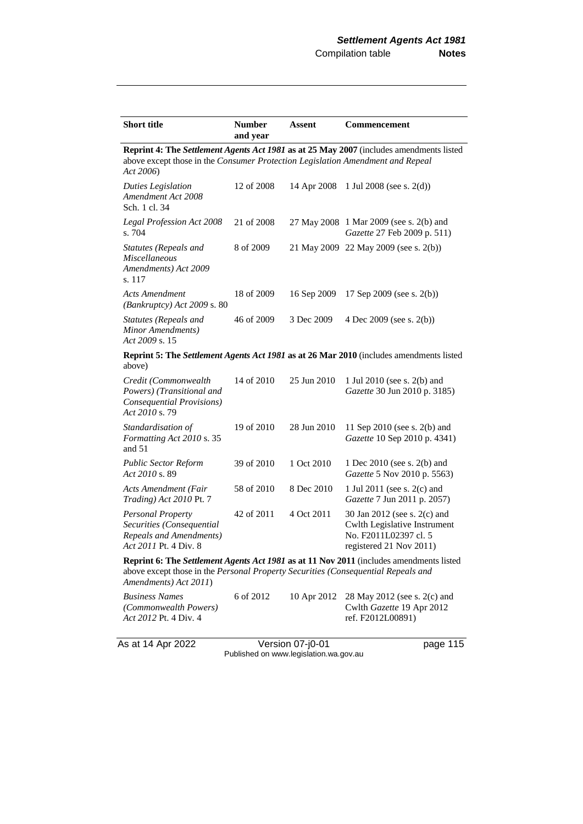| <b>Short title</b>                                                                                                                                                                                    | <b>Number</b><br>and year | Assent      | <b>Commencement</b>                                                                                              |  |
|-------------------------------------------------------------------------------------------------------------------------------------------------------------------------------------------------------|---------------------------|-------------|------------------------------------------------------------------------------------------------------------------|--|
| Reprint 4: The Settlement Agents Act 1981 as at 25 May 2007 (includes amendments listed<br>above except those in the Consumer Protection Legislation Amendment and Repeal<br>Act 2006)                |                           |             |                                                                                                                  |  |
| <b>Duties Legislation</b><br>Amendment Act 2008<br>Sch. 1 cl. 34                                                                                                                                      | 12 of 2008                | 14 Apr 2008 | 1 Jul 2008 (see s. $2(d)$ )                                                                                      |  |
| Legal Profession Act 2008<br>s. 704                                                                                                                                                                   | 21 of 2008                |             | 27 May 2008 1 Mar 2009 (see s. 2(b) and<br>Gazette 27 Feb 2009 p. 511)                                           |  |
| Statutes (Repeals and<br><b>Miscellaneous</b><br>Amendments) Act 2009<br>s. 117                                                                                                                       | 8 of 2009                 |             | 21 May 2009 22 May 2009 (see s. 2(b))                                                                            |  |
| <b>Acts Amendment</b><br>(Bankruptcy) Act 2009 s. 80                                                                                                                                                  | 18 of 2009                | 16 Sep 2009 | 17 Sep 2009 (see s. 2(b))                                                                                        |  |
| Statutes (Repeals and<br>Minor Amendments)<br>Act 2009 s. 15                                                                                                                                          | 46 of 2009                | 3 Dec 2009  | 4 Dec 2009 (see s. $2(b)$ )                                                                                      |  |
| above)                                                                                                                                                                                                |                           |             | Reprint 5: The Settlement Agents Act 1981 as at 26 Mar 2010 (includes amendments listed                          |  |
| Credit (Commonwealth<br>Powers) (Transitional and<br>Consequential Provisions)<br>Act 2010 s.79                                                                                                       | 14 of 2010                | 25 Jun 2010 | 1 Jul 2010 (see s. 2(b) and<br>Gazette 30 Jun 2010 p. 3185)                                                      |  |
| Standardisation of<br>Formatting Act 2010 s. 35<br>and 51                                                                                                                                             | 19 of 2010                | 28 Jun 2010 | 11 Sep 2010 (see s. 2(b) and<br>Gazette 10 Sep 2010 p. 4341)                                                     |  |
| Public Sector Reform<br>Act 2010 s. 89                                                                                                                                                                | 39 of 2010                | 1 Oct 2010  | 1 Dec 2010 (see s. 2(b) and<br>Gazette 5 Nov 2010 p. 5563)                                                       |  |
| <b>Acts Amendment (Fair</b><br>Trading) Act 2010 Pt. 7                                                                                                                                                | 58 of 2010                | 8 Dec 2010  | 1 Jul 2011 (see s. 2(c) and<br>Gazette 7 Jun 2011 p. 2057)                                                       |  |
| Personal Property<br>Securities (Consequential<br>Repeals and Amendments)<br>Act 2011 Pt. 4 Div. 8                                                                                                    | 42 of 2011                | 4 Oct 2011  | 30 Jan 2012 (see s. 2(c) and<br>Cwlth Legislative Instrument<br>No. F2011L02397 cl. 5<br>registered 21 Nov 2011) |  |
| Reprint 6: The Settlement Agents Act 1981 as at 11 Nov 2011 (includes amendments listed<br>above except those in the Personal Property Securities (Consequential Repeals and<br>Amendments) Act 2011) |                           |             |                                                                                                                  |  |

| Business Names               | 6 of 2012 | 10 Apr 2012 28 May 2012 (see s. 2(c) and |
|------------------------------|-----------|------------------------------------------|
| (Commonwealth Powers)        |           | Cwlth <i>Gazette</i> 19 Apr 2012         |
| <i>Act 2012 Pt.</i> 4 Div. 4 |           | ref. F2012L00891)                        |

As at 14 Apr 2022 Version 07-j0-01 page 115 Published on www.legislation.wa.gov.au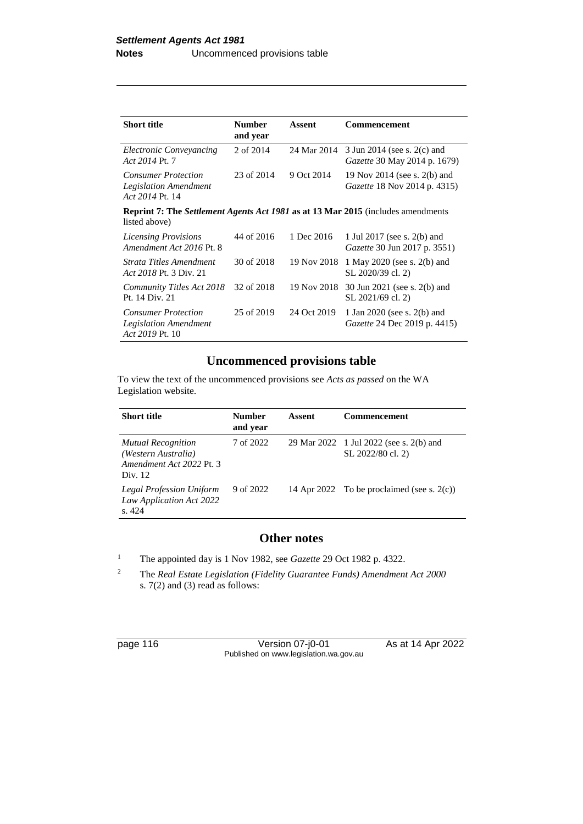| <b>Short title</b>                                                                                       | <b>Number</b><br>and year | Assent      | Commencement                                                        |
|----------------------------------------------------------------------------------------------------------|---------------------------|-------------|---------------------------------------------------------------------|
| Electronic Conveyancing<br>Act 2014 Pt. 7                                                                | 2 of 2014                 | 24 Mar 2014 | 3 Jun 2014 (see s. 2(c) and<br><i>Gazette</i> 30 May 2014 p. 1679)  |
| <b>Consumer Protection</b><br><b>Legislation Amendment</b><br>Act 2014 Pt. 14                            | 23 of 2014                | 9 Oct 2014  | 19 Nov 2014 (see s. 2(b) and<br><i>Gazette</i> 18 Nov 2014 p. 4315) |
| <b>Reprint 7: The Settlement Agents Act 1981 as at 13 Mar 2015</b> (includes amendments<br>listed above) |                           |             |                                                                     |
| <b>Licensing Provisions</b><br>Amendment Act 2016 Pt. 8                                                  | 44 of 2016                | 1 Dec 2016  | 1 Jul 2017 (see s. 2(b) and<br><i>Gazette</i> 30 Jun 2017 p. 3551)  |
| Strata Titles Amendment<br>Act 2018 Pt. 3 Div. 21                                                        | 30 of 2018                | 19 Nov 2018 | 1 May 2020 (see s. 2(b) and<br>SL 2020/39 cl. 2)                    |
| Community Titles Act 2018<br>Pt. 14 Div. 21                                                              | 32 of 2018                | 19 Nov 2018 | 30 Jun 2021 (see s. 2(b) and<br>SL 2021/69 cl. 2)                   |
| <b>Consumer Protection</b><br>Legislation Amendment<br>Act 2019 Pt. 10                                   | 25 of 2019                | 24 Oct 2019 | 1 Jan 2020 (see s. 2(b) and<br><i>Gazette</i> 24 Dec 2019 p. 4415)  |

# **Uncommenced provisions table**

To view the text of the uncommenced provisions see *Acts as passed* on the WA Legislation website.

| <b>Short title</b>                                                                      | <b>Number</b><br>and year | Assent | <b>Commencement</b>                                          |
|-----------------------------------------------------------------------------------------|---------------------------|--------|--------------------------------------------------------------|
| <b>Mutual Recognition</b><br>(Western Australia)<br>Amendment Act 2022 Pt. 3<br>Div. 12 | 7 of 2022                 |        | 29 Mar 2022 1 Jul 2022 (see s. 2(b) and<br>SL 2022/80 cl. 2) |
| Legal Profession Uniform<br>Law Application Act 2022<br>$\pm 424$                       | 9 of 2022                 |        | 14 Apr 2022 To be proclaimed (see s. $2(c)$ )                |

# **Other notes**

<sup>1</sup> The appointed day is 1 Nov 1982, see *Gazette* 29 Oct 1982 p. 4322.

<sup>2</sup> The *Real Estate Legislation (Fidelity Guarantee Funds) Amendment Act 2000* s. 7(2) and (3) read as follows:

| page 116 |  |  |  |
|----------|--|--|--|
|----------|--|--|--|

Version 07-j0-01 As at 14 Apr 2022 Published on www.legislation.wa.gov.au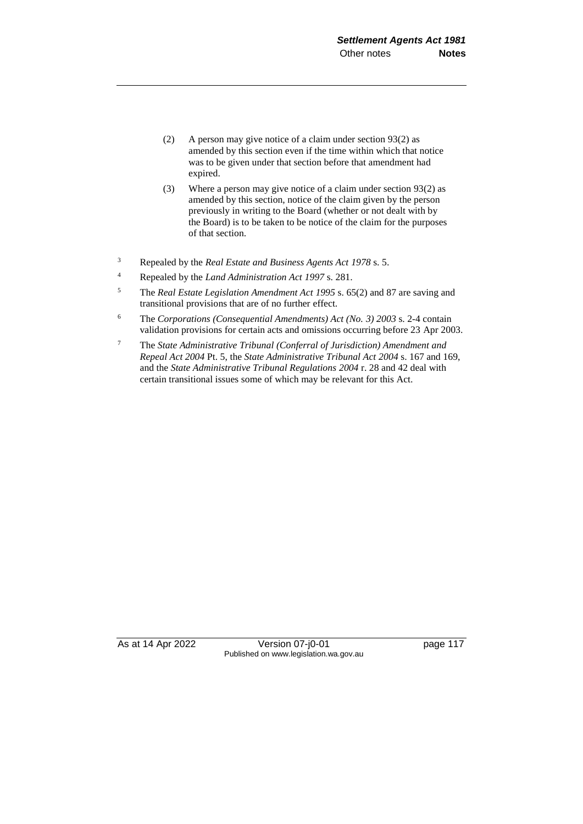- (2) A person may give notice of a claim under section 93(2) as amended by this section even if the time within which that notice was to be given under that section before that amendment had expired.
- (3) Where a person may give notice of a claim under section 93(2) as amended by this section, notice of the claim given by the person previously in writing to the Board (whether or not dealt with by the Board) is to be taken to be notice of the claim for the purposes of that section.
- <sup>3</sup> Repealed by the *Real Estate and Business Agents Act 1978* s. 5.
- <sup>4</sup> Repealed by the *Land Administration Act 1997* s. 281.
- <sup>5</sup> The *Real Estate Legislation Amendment Act 1995* s. 65(2) and 87 are saving and transitional provisions that are of no further effect.
- <sup>6</sup> The *Corporations (Consequential Amendments) Act (No. 3) 2003* s. 2-4 contain validation provisions for certain acts and omissions occurring before 23 Apr 2003.
- <sup>7</sup> The *State Administrative Tribunal (Conferral of Jurisdiction) Amendment and Repeal Act 2004* Pt. 5, the *State Administrative Tribunal Act 2004* s. 167 and 169, and the *State Administrative Tribunal Regulations 2004* r. 28 and 42 deal with certain transitional issues some of which may be relevant for this Act.

As at 14 Apr 2022 Version 07-j0-01 page 117 Published on www.legislation.wa.gov.au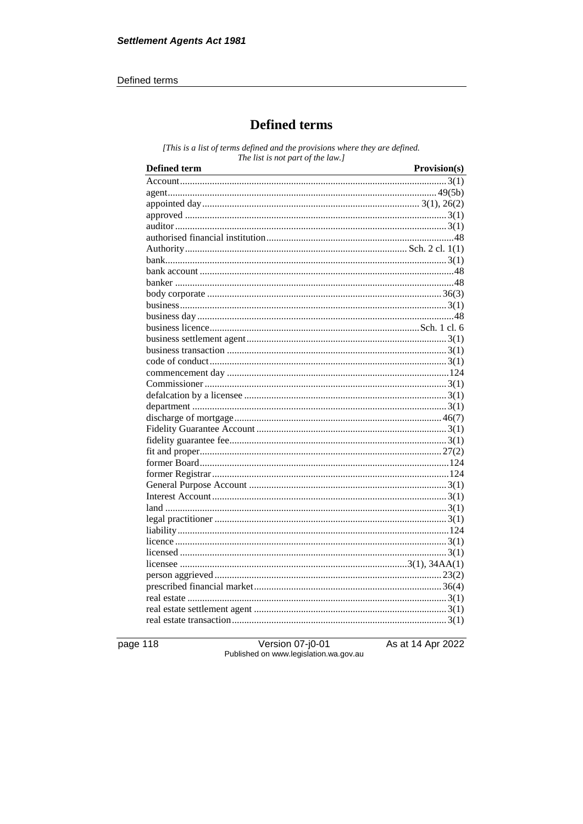#### Defined terms

# **Defined terms**

[This is a list of terms defined and the provisions where they are defined. The list is not part of the law.]

| Defined term | Provision(s) |
|--------------|--------------|
|              |              |
|              |              |
|              |              |
|              |              |
|              |              |
|              |              |
|              |              |
|              |              |
|              |              |
|              |              |
|              |              |
|              |              |
|              |              |
|              |              |
|              |              |
|              |              |
|              |              |
|              |              |
|              |              |
|              |              |
|              |              |
|              |              |
|              |              |
|              |              |
|              |              |
|              |              |
|              |              |
|              |              |
|              |              |
|              |              |
|              |              |
|              |              |
|              |              |
|              |              |
|              |              |
|              |              |
|              |              |
|              |              |
|              |              |
|              |              |

page 118

Version 07-j0-01<br>Published on www.legislation.wa.gov.au

As at 14 Apr 2022